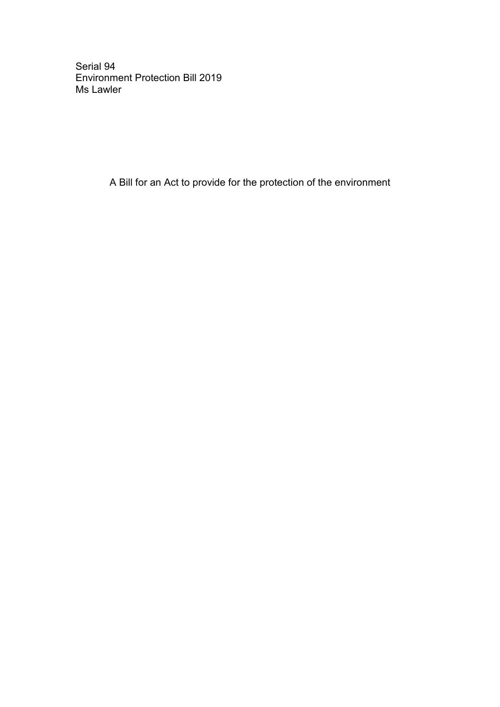Serial 94 Environment Protection Bill 2019 Ms Lawler

A Bill for an Act to provide for the protection of the environment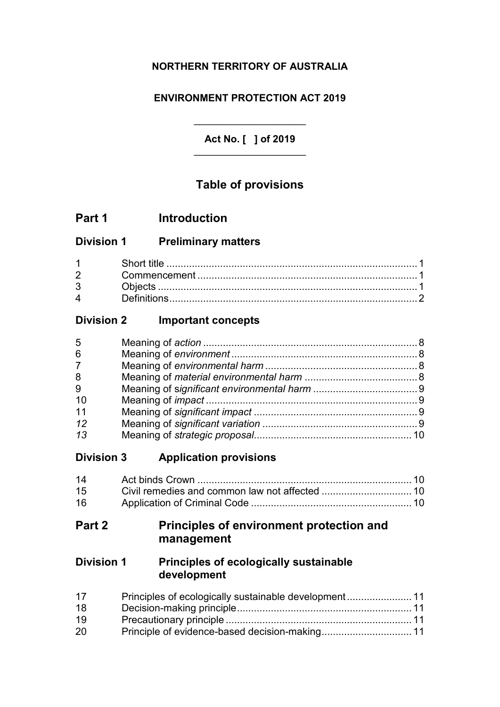## **NORTHERN TERRITORY OF AUSTRALIA**

### **ENVIRONMENT PROTECTION ACT 2019**

**Act No. [ ] of 2019** \_\_\_\_\_\_\_\_\_\_\_\_\_\_\_\_\_\_\_\_

\_\_\_\_\_\_\_\_\_\_\_\_\_\_\_\_\_\_\_\_

## **Table of provisions**

| Part 1 | <b>Introduction</b> |
|--------|---------------------|
|        |                     |

### **Division 1 Preliminary matters**

| $1 \quad \blacksquare$ |  |
|------------------------|--|
| $2^{\sim}$             |  |
| $3^{\circ}$            |  |
| $\mathbf 4$            |  |

## **Division 2 Important concepts**

| 5               |  |
|-----------------|--|
| $6\phantom{1}6$ |  |
| $\overline{7}$  |  |
| 8               |  |
| 9               |  |
| 10              |  |
| 11              |  |
| 12              |  |
| 13              |  |

### **Division 3 Application provisions**

| 14 |  |
|----|--|
| 15 |  |
| 16 |  |

## **Part 2 Principles of environment protection and management**

## **Division 1 Principles of ecologically sustainable development**

| 17 |  |
|----|--|
| 18 |  |
| 19 |  |
| 20 |  |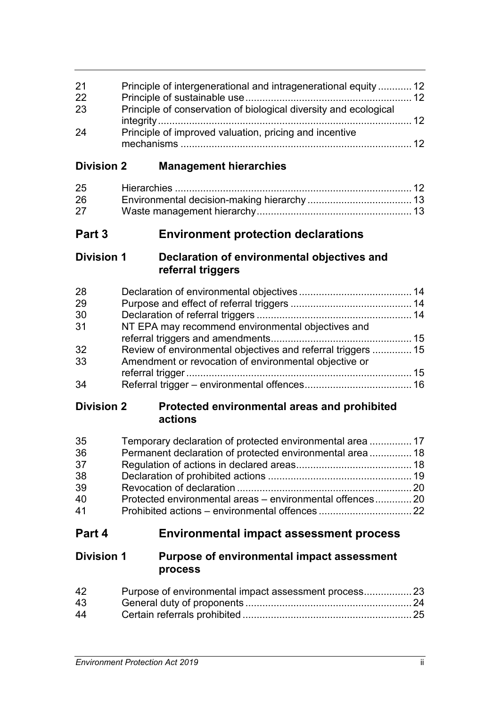| 21 | Principle of intergenerational and intragenerational equity  12  |                 |
|----|------------------------------------------------------------------|-----------------|
| 22 |                                                                  |                 |
| 23 | Principle of conservation of biological diversity and ecological |                 |
|    |                                                                  | $\overline{12}$ |
| 24 | Principle of improved valuation, pricing and incentive           |                 |
|    |                                                                  | 12              |

## **Division 2 Management hierarchies**

| 25 |  |
|----|--|
| 26 |  |
| 27 |  |

## **Part 3 Environment protection declarations**

### **Division 1 Declaration of environmental objectives and referral triggers**

| 28 |                                                              |  |
|----|--------------------------------------------------------------|--|
| 29 |                                                              |  |
| 30 |                                                              |  |
| 31 | NT EPA may recommend environmental objectives and            |  |
|    |                                                              |  |
| 32 | Review of environmental objectives and referral triggers  15 |  |
| 33 | Amendment or revocation of environmental objective or        |  |
|    |                                                              |  |
| 34 |                                                              |  |

## **Division 2 Protected environmental areas and prohibited actions**

| 35 | Temporary declaration of protected environmental area  17 |  |
|----|-----------------------------------------------------------|--|
| 36 | Permanent declaration of protected environmental area 18  |  |
| 37 |                                                           |  |
| 38 |                                                           |  |
| 39 |                                                           |  |
| 40 | Protected environmental areas – environmental offences20  |  |
| 41 |                                                           |  |

## **Part 4 Environmental impact assessment process**

### **Division 1 Purpose of environmental impact assessment process**

| 42 |  |
|----|--|
| 43 |  |
| 44 |  |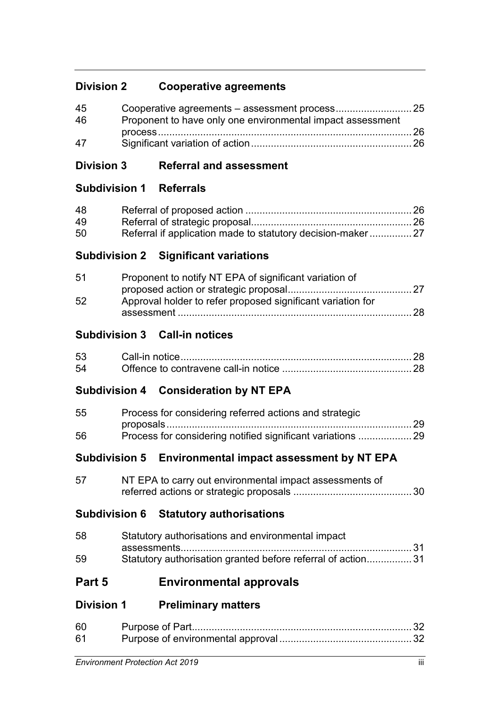## **Division 2 Cooperative agreements**

| 45         |                                                            |  |
|------------|------------------------------------------------------------|--|
| -46        | Proponent to have only one environmental impact assessment |  |
|            |                                                            |  |
| $\Delta$ 7 |                                                            |  |

## **Division 3 Referral and assessment**

## **Subdivision 1 Referrals**

| 48 |  |
|----|--|
| 49 |  |
| 50 |  |

## **Subdivision 2 Significant variations**

| 51 | Proponent to notify NT EPA of significant variation of      |  |
|----|-------------------------------------------------------------|--|
|    |                                                             |  |
| 52 | Approval holder to refer proposed significant variation for |  |
|    | - 28                                                        |  |

## **Subdivision 3 Call-in notices**

| 54 |  |
|----|--|

## **Subdivision 4 Consideration by NT EPA**

| 55 | Process for considering referred actions and strategic |  |
|----|--------------------------------------------------------|--|
|    |                                                        |  |
| 56 |                                                        |  |

## **Subdivision 5 Environmental impact assessment by NT EPA**

| 57 | NT EPA to carry out environmental impact assessments of |  |
|----|---------------------------------------------------------|--|
|    |                                                         |  |

## **Subdivision 6 Statutory authorisations**

| 58 | Statutory authorisations and environmental impact           |
|----|-------------------------------------------------------------|
|    |                                                             |
| 59 | Statutory authorisation granted before referral of action31 |

## **Part 5 Environmental approvals**

## **Division 1 Preliminary matters**

| 60 |  |
|----|--|
| 61 |  |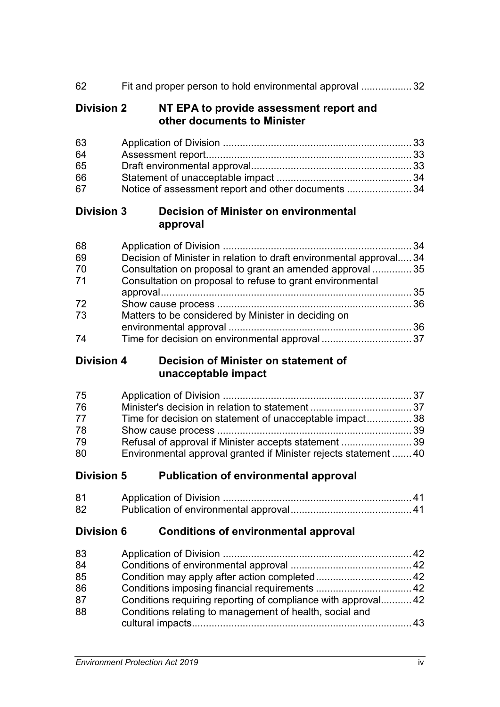| 62                         | Fit and proper person to hold environmental approval  32                                                                                                                                      |  |
|----------------------------|-----------------------------------------------------------------------------------------------------------------------------------------------------------------------------------------------|--|
| <b>Division 2</b>          | NT EPA to provide assessment report and<br>other documents to Minister                                                                                                                        |  |
| 63<br>64<br>65<br>66<br>67 | Notice of assessment report and other documents  34                                                                                                                                           |  |
| <b>Division 3</b>          | <b>Decision of Minister on environmental</b><br>approval                                                                                                                                      |  |
| 68<br>69<br>70<br>71       | Decision of Minister in relation to draft environmental approval 34<br>Consultation on proposal to grant an amended approval  35<br>Consultation on proposal to refuse to grant environmental |  |
| 72<br>73                   | Matters to be considered by Minister in deciding on                                                                                                                                           |  |
| 74                         | Time for decision on environmental approval 37                                                                                                                                                |  |
| <b>Division 4</b>          | Decision of Minister on statement of<br>unacceptable impact                                                                                                                                   |  |
| 75                         |                                                                                                                                                                                               |  |
| 76                         |                                                                                                                                                                                               |  |
|                            |                                                                                                                                                                                               |  |
| 77                         | Time for decision on statement of unacceptable impact 38                                                                                                                                      |  |
| 78                         |                                                                                                                                                                                               |  |
| 79<br>80                   | Refusal of approval if Minister accepts statement  39<br>Environmental approval granted if Minister rejects statement  40                                                                     |  |
| <b>Division 5</b>          | <b>Publication of environmental approval</b>                                                                                                                                                  |  |
| 81                         |                                                                                                                                                                                               |  |
| 82                         |                                                                                                                                                                                               |  |
| <b>Division 6</b>          | <b>Conditions of environmental approval</b>                                                                                                                                                   |  |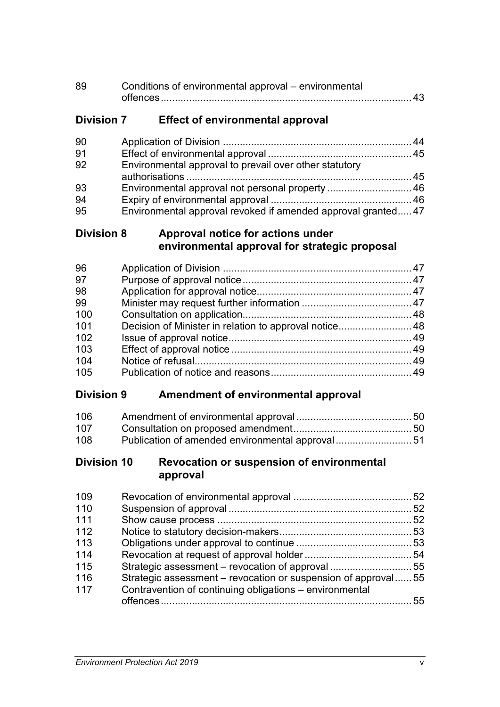| 89 | Conditions of environmental approval – environmental |  |
|----|------------------------------------------------------|--|
|    |                                                      |  |

## **Division 7 Effect of environmental approval**

| 90 |                                                              |  |
|----|--------------------------------------------------------------|--|
| 91 |                                                              |  |
| 92 | Environmental approval to prevail over other statutory       |  |
|    |                                                              |  |
| 93 | Environmental approval not personal property  46             |  |
| 94 |                                                              |  |
| 95 | Environmental approval revoked if amended approval granted47 |  |

## **Division 8 Approval notice for actions under environmental approval for strategic proposal**

| 96  |                                                        |  |
|-----|--------------------------------------------------------|--|
| 97  |                                                        |  |
| 98  |                                                        |  |
| 99  |                                                        |  |
| 100 |                                                        |  |
| 101 | Decision of Minister in relation to approval notice 48 |  |
| 102 |                                                        |  |
| 103 |                                                        |  |
| 104 |                                                        |  |
| 105 |                                                        |  |

## **Division 9 Amendment of environmental approval**

| 106 |                                                 |  |
|-----|-------------------------------------------------|--|
| 107 |                                                 |  |
| 108 | Publication of amended environmental approval51 |  |

### **Division 10 Revocation or suspension of environmental approval**

| 109 |                                                               |    |
|-----|---------------------------------------------------------------|----|
| 110 |                                                               |    |
| 111 |                                                               |    |
| 112 |                                                               |    |
| 113 |                                                               |    |
| 114 |                                                               |    |
| 115 |                                                               |    |
| 116 | Strategic assessment – revocation or suspension of approval55 |    |
| 117 | Contravention of continuing obligations – environmental       |    |
|     |                                                               | 55 |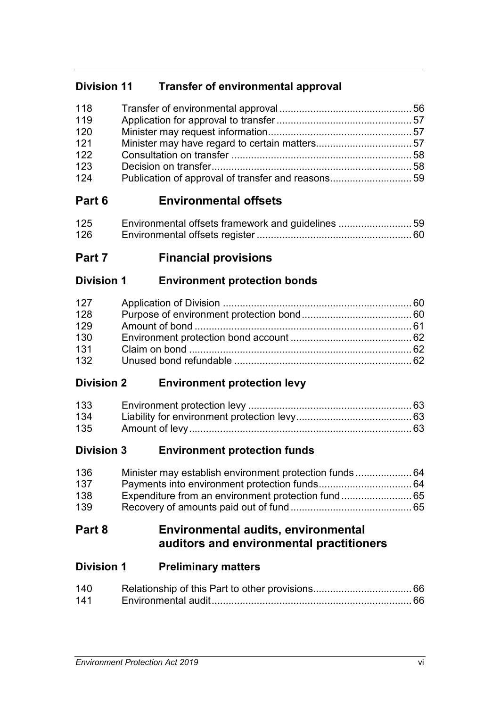## **Division 11 Transfer of environmental approval**

| 118 |  |
|-----|--|
| 119 |  |
| 120 |  |
| 121 |  |
| 122 |  |
| 123 |  |
| 124 |  |
|     |  |

# **Part 6 Environmental offsets**

| 125 | Environmental offsets framework and guidelines 59 |  |
|-----|---------------------------------------------------|--|
| 126 |                                                   |  |

# **Part 7 Financial provisions**

## **Division 1 Environment protection bonds**

## **Division 2 Environment protection levy**

| 135 |  |
|-----|--|

## **Division 3 Environment protection funds**

| 136 |  |
|-----|--|
| 137 |  |
| 138 |  |
| 139 |  |

## **Part 8 Environmental audits, environmental auditors and environmental practitioners**

| <b>Division 1</b> | <b>Preliminary matters</b> |
|-------------------|----------------------------|
|-------------------|----------------------------|

| 140 |  |
|-----|--|
| 141 |  |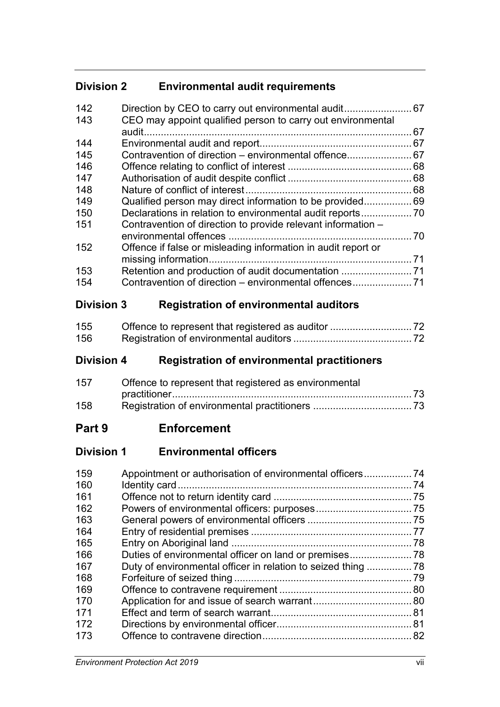## **Division 2 Environmental audit requirements**

| 142 |                                                               |      |
|-----|---------------------------------------------------------------|------|
| 143 | CEO may appoint qualified person to carry out environmental   |      |
|     | audit                                                         | 67   |
| 144 |                                                               | 67   |
| 145 | Contravention of direction – environmental offence 67         |      |
| 146 |                                                               | 68   |
| 147 |                                                               | 68   |
| 148 |                                                               | 68   |
| 149 | Qualified person may direct information to be provided        | 69   |
| 150 |                                                               |      |
| 151 | Contravention of direction to provide relevant information -  |      |
|     |                                                               | .70  |
| 152 | Offence if false or misleading information in audit report or |      |
|     |                                                               | 71   |
| 153 | Retention and production of audit documentation               | . 71 |
| 154 | Contravention of direction – environmental offences           | 71   |
|     |                                                               |      |

# **Division 3 Registration of environmental auditors**

| 155 |  |
|-----|--|
| 156 |  |

# **Division 4 Registration of environmental practitioners**

| 157 | Offence to represent that registered as environmental |  |
|-----|-------------------------------------------------------|--|
|     |                                                       |  |
| 158 |                                                       |  |

## **Part 9 Enforcement**

## **Division 1 Environmental officers**

| 159 |  |
|-----|--|
| 160 |  |
| 161 |  |
| 162 |  |
| 163 |  |
| 164 |  |
| 165 |  |
| 166 |  |
| 167 |  |
| 168 |  |
| 169 |  |
| 170 |  |
| 171 |  |
| 172 |  |
| 173 |  |
|     |  |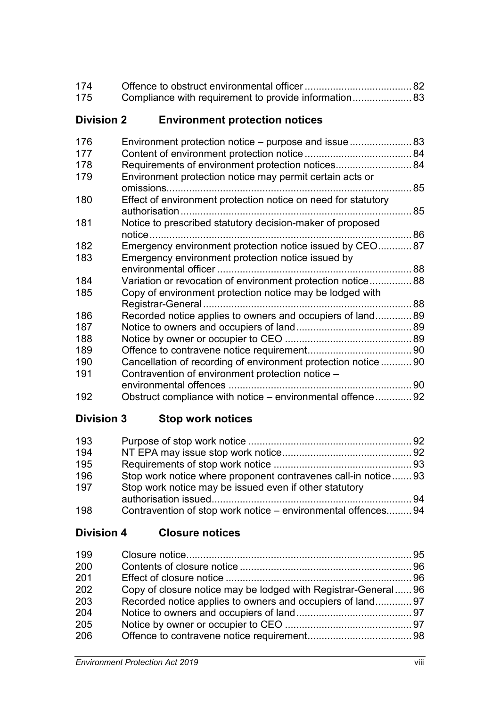| 174<br>175        | Compliance with requirement to provide information 83         |  |
|-------------------|---------------------------------------------------------------|--|
| <b>Division 2</b> | <b>Environment protection notices</b>                         |  |
| 176               |                                                               |  |
| 177               |                                                               |  |
| 178               | Requirements of environment protection notices 84             |  |
| 179               | Environment protection notice may permit certain acts or      |  |
| 180               | Effect of environment protection notice on need for statutory |  |
| 181               | Notice to prescribed statutory decision-maker of proposed     |  |
| 182               | Emergency environment protection notice issued by CEO87       |  |
| 183               | Emergency environment protection notice issued by             |  |
|                   |                                                               |  |
| 184               | Variation or revocation of environment protection notice 88   |  |
| 185               | Copy of environment protection notice may be lodged with      |  |
|                   |                                                               |  |
| 186               | Recorded notice applies to owners and occupiers of land 89    |  |
| 187               |                                                               |  |
| 188               |                                                               |  |
| 189               |                                                               |  |
| 190               | Cancellation of recording of environment protection notice 90 |  |
| 191               | Contravention of environment protection notice -              |  |
|                   |                                                               |  |
| 192               | Obstruct compliance with notice – environmental offence 92    |  |

# **Division 3 Stop work notices**

| 193 |                                                               |  |
|-----|---------------------------------------------------------------|--|
| 194 |                                                               |  |
| 195 |                                                               |  |
| 196 | Stop work notice where proponent contravenes call-in notice93 |  |
| 197 | Stop work notice may be issued even if other statutory        |  |
|     |                                                               |  |
| 198 | Contravention of stop work notice - environmental offences 94 |  |

## **Division 4 Closure notices**

| 199 |                                                               |  |
|-----|---------------------------------------------------------------|--|
| 200 |                                                               |  |
| 201 |                                                               |  |
| 202 | Copy of closure notice may be lodged with Registrar-General96 |  |
| 203 | Recorded notice applies to owners and occupiers of land 97    |  |
| 204 |                                                               |  |
| 205 |                                                               |  |
| 206 |                                                               |  |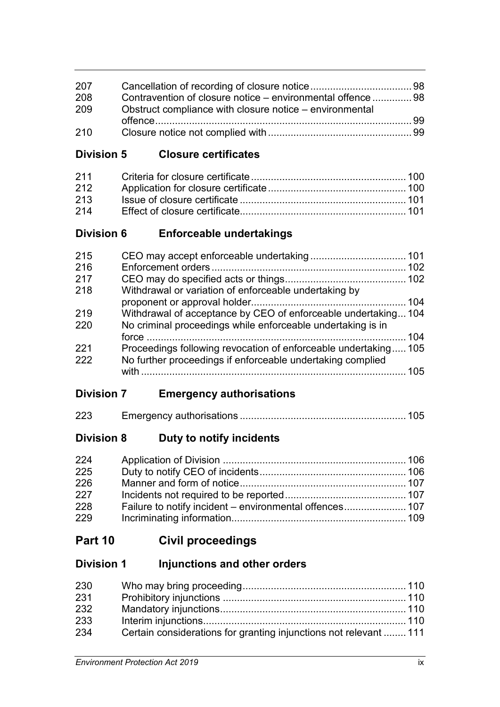| 207 |                                                             |  |
|-----|-------------------------------------------------------------|--|
| 208 | Contravention of closure notice – environmental offence  98 |  |
| 209 | Obstruct compliance with closure notice – environmental     |  |
|     |                                                             |  |
| 210 |                                                             |  |

## **Division 5 Closure certificates**

| 212 |  |
|-----|--|
| 213 |  |
| 214 |  |

## **Division 6 Enforceable undertakings**

| 215 |                                                                 |     |
|-----|-----------------------------------------------------------------|-----|
| 216 |                                                                 |     |
| 217 |                                                                 |     |
| 218 | Withdrawal or variation of enforceable undertaking by           |     |
|     |                                                                 |     |
| 219 | Withdrawal of acceptance by CEO of enforceable undertaking104   |     |
| 220 | No criminal proceedings while enforceable undertaking is in     |     |
|     |                                                                 | 104 |
| 221 | Proceedings following revocation of enforceable undertaking 105 |     |
| 222 | No further proceedings if enforceable undertaking complied      |     |
|     |                                                                 | 105 |
|     |                                                                 |     |

## **Division 7 Emergency authorisations**

| 223 |  |  |
|-----|--|--|
|-----|--|--|

## **Division 8 Duty to notify incidents**

| 224 |  |
|-----|--|
| 225 |  |
| 226 |  |
| 227 |  |
| 228 |  |
| 229 |  |

# **Part 10 Civil proceedings**

## **Division 1 Injunctions and other orders**

| 230 |                                                                   |  |
|-----|-------------------------------------------------------------------|--|
| 231 |                                                                   |  |
| 232 |                                                                   |  |
| 233 |                                                                   |  |
| 234 | Certain considerations for granting injunctions not relevant  111 |  |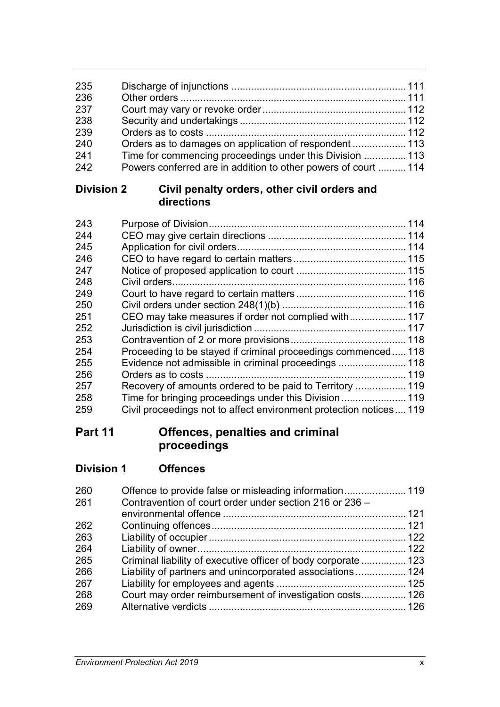| 235        |                                                                                                                            |  |
|------------|----------------------------------------------------------------------------------------------------------------------------|--|
| 236        |                                                                                                                            |  |
| 237        |                                                                                                                            |  |
| 238        |                                                                                                                            |  |
| 239<br>240 |                                                                                                                            |  |
| 241        | Orders as to damages on application of respondent  113                                                                     |  |
| 242        | Time for commencing proceedings under this Division  113<br>Powers conferred are in addition to other powers of court  114 |  |

## **Division 2 Civil penalty orders, other civil orders and directions**

| 243 |                                                                   |  |
|-----|-------------------------------------------------------------------|--|
| 244 |                                                                   |  |
| 245 |                                                                   |  |
| 246 |                                                                   |  |
| 247 |                                                                   |  |
| 248 |                                                                   |  |
| 249 |                                                                   |  |
| 250 |                                                                   |  |
| 251 | CEO may take measures if order not complied with 117              |  |
| 252 |                                                                   |  |
| 253 |                                                                   |  |
| 254 | Proceeding to be stayed if criminal proceedings commenced118      |  |
| 255 |                                                                   |  |
| 256 |                                                                   |  |
| 257 | Recovery of amounts ordered to be paid to Territory  119          |  |
| 258 |                                                                   |  |
| 259 | Civil proceedings not to affect environment protection notices119 |  |
|     |                                                                   |  |

# **Part 11 Offences, penalties and criminal proceedings**

| <b>Division 1</b> | <b>Offences</b> |
|-------------------|-----------------|
|                   |                 |

| 260 |                                                               |  |
|-----|---------------------------------------------------------------|--|
| 261 | Contravention of court order under section 216 or 236 -       |  |
|     |                                                               |  |
| 262 |                                                               |  |
| 263 |                                                               |  |
| 264 |                                                               |  |
| 265 | Criminal liability of executive officer of body corporate 123 |  |
| 266 | Liability of partners and unincorporated associations 124     |  |
| 267 |                                                               |  |
| 268 | Court may order reimbursement of investigation costs 126      |  |
| 269 |                                                               |  |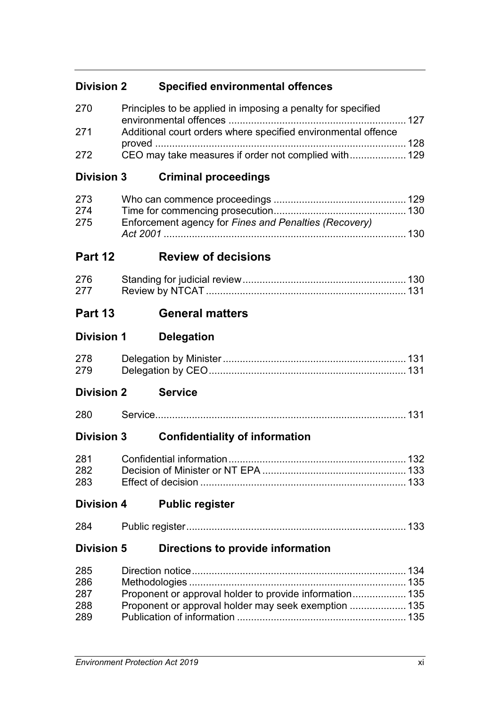| <b>Division 2</b> | <b>Specified environmental offences</b>                       |  |
|-------------------|---------------------------------------------------------------|--|
| 270               | Principles to be applied in imposing a penalty for specified  |  |
| 271               | Additional court orders where specified environmental offence |  |
| 272               | CEO may take measures if order not complied with 129          |  |
| <b>Division 3</b> | <b>Criminal proceedings</b>                                   |  |
| 273               |                                                               |  |
| 274               |                                                               |  |
| 275               | Enforcement agency for Fines and Penalties (Recovery)         |  |
| Part 12           | <b>Review of decisions</b>                                    |  |
| 276               |                                                               |  |
| 277               |                                                               |  |
| Part 13           | <b>General matters</b>                                        |  |
| <b>Division 1</b> | <b>Delegation</b>                                             |  |
| 278               |                                                               |  |
| 279               |                                                               |  |
| <b>Division 2</b> | <b>Service</b>                                                |  |
| 280               |                                                               |  |
| <b>Division 3</b> | <b>Confidentiality of information</b>                         |  |
|                   |                                                               |  |
| 282               |                                                               |  |
| 283               |                                                               |  |
| <b>Division 4</b> | <b>Public register</b>                                        |  |
| 284               |                                                               |  |
| <b>Division 5</b> | Directions to provide information                             |  |
| 285               |                                                               |  |
| 286               |                                                               |  |
| 287               | Proponent or approval holder to provide information 135       |  |
| 288<br>289        | Proponent or approval holder may seek exemption  135          |  |
|                   |                                                               |  |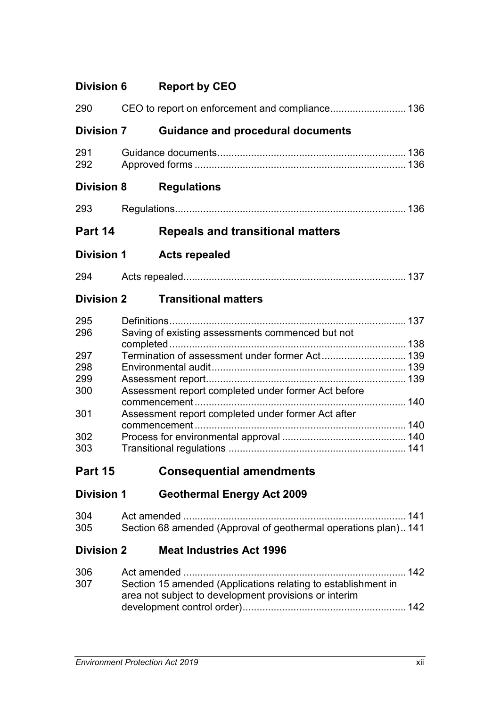| <b>Division 6</b> |                                                                                                           | <b>Report by CEO</b>                                                                                                                  |  |
|-------------------|-----------------------------------------------------------------------------------------------------------|---------------------------------------------------------------------------------------------------------------------------------------|--|
| 290               |                                                                                                           | CEO to report on enforcement and compliance 136                                                                                       |  |
| <b>Division 7</b> |                                                                                                           | <b>Guidance and procedural documents</b>                                                                                              |  |
| 291<br>292        |                                                                                                           |                                                                                                                                       |  |
| <b>Division 8</b> |                                                                                                           | <b>Regulations</b>                                                                                                                    |  |
| 293               |                                                                                                           |                                                                                                                                       |  |
| Part 14           |                                                                                                           | <b>Repeals and transitional matters</b>                                                                                               |  |
| <b>Division 1</b> |                                                                                                           | <b>Acts repealed</b>                                                                                                                  |  |
| 294               |                                                                                                           |                                                                                                                                       |  |
| <b>Division 2</b> |                                                                                                           | <b>Transitional matters</b>                                                                                                           |  |
| 295<br>296        |                                                                                                           | Saving of existing assessments commenced but not                                                                                      |  |
| 297<br>298<br>299 |                                                                                                           |                                                                                                                                       |  |
| 300<br>301        | Assessment report completed under former Act before<br>Assessment report completed under former Act after |                                                                                                                                       |  |
| 302<br>303        |                                                                                                           |                                                                                                                                       |  |
| Part 15           |                                                                                                           | <b>Consequential amendments</b>                                                                                                       |  |
| <b>Division 1</b> |                                                                                                           | <b>Geothermal Energy Act 2009</b>                                                                                                     |  |
| 304<br>305        |                                                                                                           | Section 68 amended (Approval of geothermal operations plan) 141                                                                       |  |
| <b>Division 2</b> |                                                                                                           | <b>Meat Industries Act 1996</b>                                                                                                       |  |
| 306<br>307        |                                                                                                           | Act amended<br>Section 15 amended (Applications relating to establishment in<br>area not subject to development provisions or interim |  |
|                   |                                                                                                           |                                                                                                                                       |  |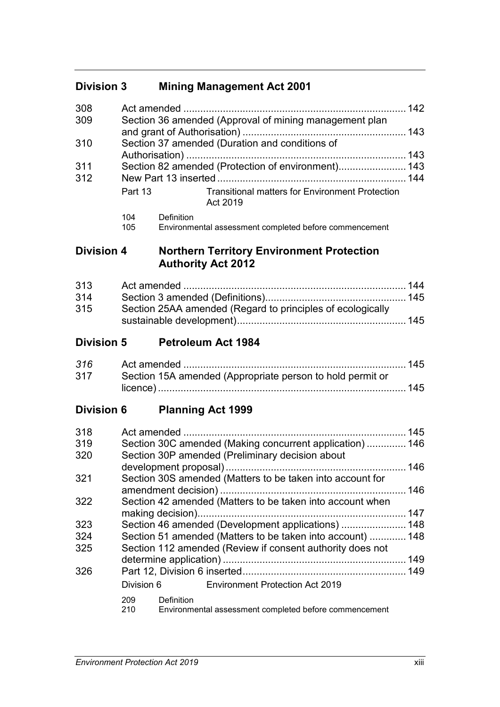## **Division 3 Mining Management Act 2001**

| 308 |                            |                                                                    |  |  |
|-----|----------------------------|--------------------------------------------------------------------|--|--|
| 309 |                            | Section 36 amended (Approval of mining management plan             |  |  |
|     |                            |                                                                    |  |  |
| 310 |                            | Section 37 amended (Duration and conditions of                     |  |  |
|     |                            |                                                                    |  |  |
| 311 |                            | Section 82 amended (Protection of environment) 143                 |  |  |
| 312 |                            |                                                                    |  |  |
|     | Part 13                    | <b>Transitional matters for Environment Protection</b><br>Act 2019 |  |  |
|     | <b>Definition</b><br>1 N A |                                                                    |  |  |

104 Definition Environmental assessment completed before commencement

## **Division 4 Northern Territory Environment Protection Authority Act 2012**

| 313 |                                                            |  |
|-----|------------------------------------------------------------|--|
| 314 |                                                            |  |
| 315 | Section 25AA amended (Regard to principles of ecologically |  |
|     |                                                            |  |

## **Division 5 Petroleum Act 1984**

| 316 |                                                           |  |
|-----|-----------------------------------------------------------|--|
| 317 | Section 15A amended (Appropriate person to hold permit or |  |
|     |                                                           |  |

**Division 6 Planning Act 1999**

| 318 | Act amended       |                                                            | 145 |  |
|-----|-------------------|------------------------------------------------------------|-----|--|
| 319 |                   | Section 30C amended (Making concurrent application) 146    |     |  |
| 320 |                   | Section 30P amended (Preliminary decision about            |     |  |
|     |                   |                                                            | 146 |  |
| 321 |                   | Section 30S amended (Matters to be taken into account for  |     |  |
|     |                   |                                                            | 146 |  |
| 322 |                   | Section 42 amended (Matters to be taken into account when  |     |  |
|     |                   |                                                            | 147 |  |
| 323 |                   | Section 46 amended (Development applications)  148         |     |  |
| 324 |                   | Section 51 amended (Matters to be taken into account)  148 |     |  |
| 325 |                   | Section 112 amended (Review if consent authority does not  |     |  |
|     |                   |                                                            | 149 |  |
| 326 |                   |                                                            |     |  |
|     | Division 6        | <b>Environment Protection Act 2019</b>                     |     |  |
|     | 209<br>Definition |                                                            |     |  |
|     | 210               | Environmental assessment completed before commencement     |     |  |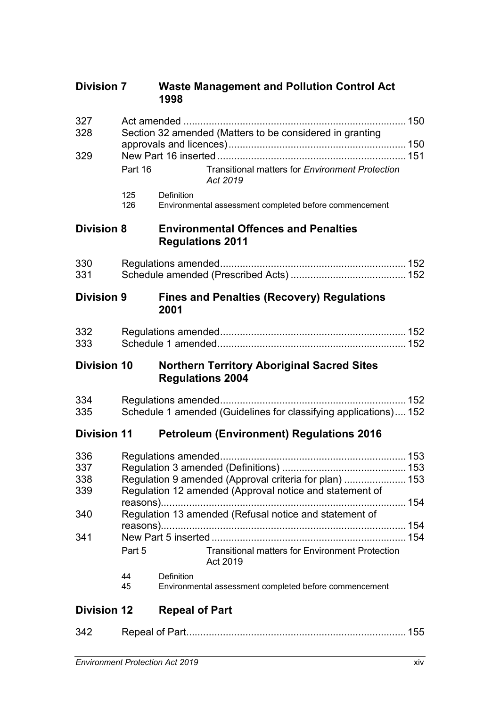| <b>Division 7</b>  |                                                                                                                   | <b>Waste Management and Pollution Control Act</b><br>1998                    |
|--------------------|-------------------------------------------------------------------------------------------------------------------|------------------------------------------------------------------------------|
| 327<br>328         | Section 32 amended (Matters to be considered in granting                                                          |                                                                              |
| 329                | Part 16                                                                                                           | Transitional matters for Environment Protection<br>Act 2019                  |
|                    | 125<br>126                                                                                                        | Definition<br>Environmental assessment completed before commencement         |
| <b>Division 8</b>  |                                                                                                                   | <b>Environmental Offences and Penalties</b><br><b>Regulations 2011</b>       |
| 330<br>331         |                                                                                                                   |                                                                              |
| <b>Division 9</b>  |                                                                                                                   | <b>Fines and Penalties (Recovery) Regulations</b><br>2001                    |
| 332<br>333         |                                                                                                                   |                                                                              |
| <b>Division 10</b> |                                                                                                                   | <b>Northern Territory Aboriginal Sacred Sites</b><br><b>Regulations 2004</b> |
| 334<br>335         |                                                                                                                   | Schedule 1 amended (Guidelines for classifying applications) 152             |
| <b>Division 11</b> |                                                                                                                   | <b>Petroleum (Environment) Regulations 2016</b>                              |
| 337<br>338<br>339  | Regulation 9 amended (Approval criteria for plan)  153<br>Regulation 12 amended (Approval notice and statement of |                                                                              |
| 340                | Regulation 13 amended (Refusal notice and statement of                                                            |                                                                              |
| 341                | Part 5                                                                                                            | <b>Transitional matters for Environment Protection</b><br>Act 2019           |
|                    | 44<br>45                                                                                                          | Definition<br>Environmental assessment completed before commencement         |
| <b>Division 12</b> |                                                                                                                   | <b>Repeal of Part</b>                                                        |
| 342                |                                                                                                                   |                                                                              |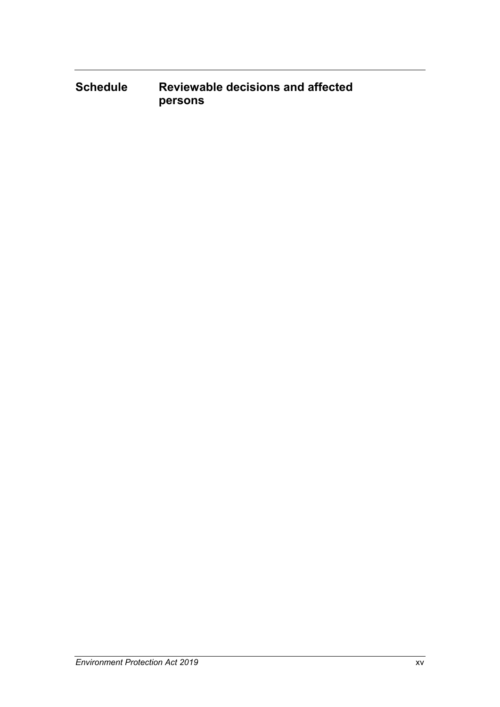**Schedule Reviewable decisions and affected persons**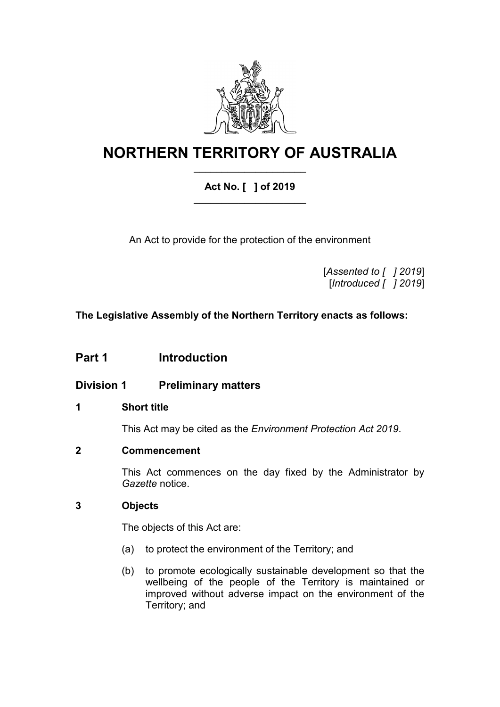

# **NORTHERN TERRITORY OF AUSTRALIA** \_\_\_\_\_\_\_\_\_\_\_\_\_\_\_\_\_\_\_\_

## **Act No. [ ] of 2019**  $\overline{\phantom{a}}$  , where  $\overline{\phantom{a}}$  , where  $\overline{\phantom{a}}$  , where  $\overline{\phantom{a}}$

An Act to provide for the protection of the environment

[*Assented to [ ] 2019*] [*Introduced [ ] 2019*]

**The Legislative Assembly of the Northern Territory enacts as follows:**

## **Part 1 Introduction**

**Division 1 Preliminary matters**

### **1 Short title**

This Act may be cited as the *Environment Protection Act 2019*.

### **2 Commencement**

This Act commences on the day fixed by the Administrator by *Gazette* notice.

### **3 Objects**

The objects of this Act are:

- (a) to protect the environment of the Territory; and
- (b) to promote ecologically sustainable development so that the wellbeing of the people of the Territory is maintained or improved without adverse impact on the environment of the Territory; and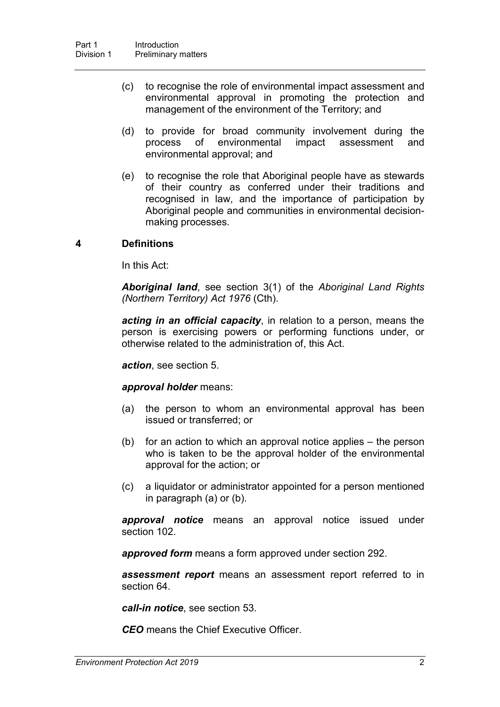- (c) to recognise the role of environmental impact assessment and environmental approval in promoting the protection and management of the environment of the Territory; and
- (d) to provide for broad community involvement during the process of environmental impact assessment and environmental approval; and
- (e) to recognise the role that Aboriginal people have as stewards of their country as conferred under their traditions and recognised in law, and the importance of participation by Aboriginal people and communities in environmental decisionmaking processes.

#### **4 Definitions**

In this Act:

*Aboriginal land*, see section 3(1) of the *Aboriginal Land Rights (Northern Territory) Act 1976* (Cth).

*acting in an official capacity*, in relation to a person, means the person is exercising powers or performing functions under, or otherwise related to the administration of, this Act.

*action*, see section [5.](#page-25-0)

*approval holder* means:

- (a) the person to whom an environmental approval has been issued or transferred; or
- (b) for an action to which an approval notice applies the person who is taken to be the approval holder of the environmental approval for the action; or
- (c) a liquidator or administrator appointed for a person mentioned in paragraph (a) or (b).

*approval notice* means an approval notice issued under section [102.](#page-66-0)

*approved form* means a form approved under section [292.](#page-153-0)

*assessment report* means an assessment report referred to in section [64.](#page-50-0)

*call-in notice*, see section [53.](#page-45-0)

*CEO* means the Chief Executive Officer.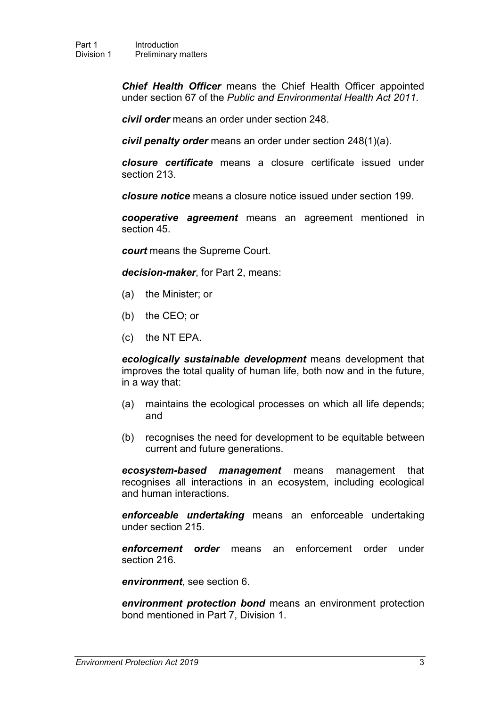*Chief Health Officer* means the Chief Health Officer appointed under section 67 of the *Public and Environmental Health Act 2011*.

*civil order* means an order under section [248.](#page-133-0)

*civil penalty order* means an order under section [248\(](#page-133-0)1)(a).

*closure certificate* means a closure certificate issued under section [213.](#page-118-0)

*closure notice* means a closure notice issued under section [199.](#page-112-0)

*cooperative agreement* means an agreement mentioned in section [45.](#page-42-0)

*court* means the Supreme Court.

*decision-maker*, for Part 2, means:

- (a) the Minister; or
- (b) the CEO; or
- (c) the NT EPA.

*ecologically sustainable development* means development that improves the total quality of human life, both now and in the future, in a way that:

- (a) maintains the ecological processes on which all life depends; and
- (b) recognises the need for development to be equitable between current and future generations.

*ecosystem-based management* means management that recognises all interactions in an ecosystem, including ecological and human interactions.

*enforceable undertaking* means an enforceable undertaking under section [215.](#page-118-1)

*enforcement order* means an enforcement order under section [216.](#page-119-0)

*environment*, see section [6.](#page-25-1)

*environment protection bond* means an environment protection bond mentioned in Part 7, Division 1.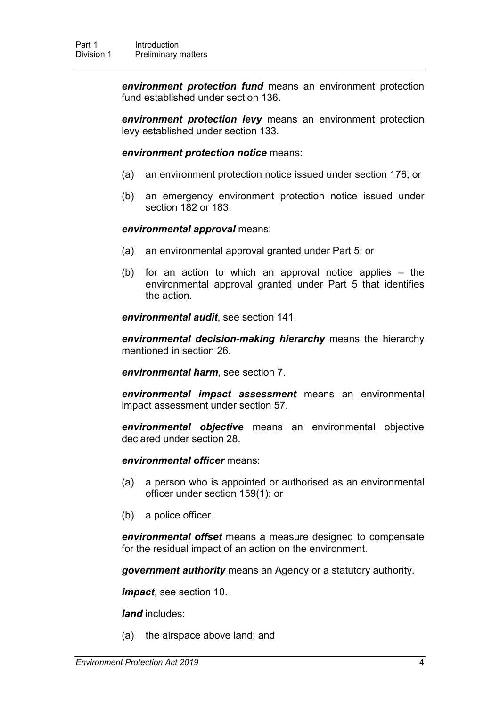*environment protection fund* means an environment protection fund established under section [136.](#page-81-0)

*environment protection levy* means an environment protection levy established under section [133.](#page-80-0)

*environment protection notice* means:

- (a) an environment protection notice issued under section [176;](#page-100-0) or
- (b) an emergency environment protection notice issued under section [182](#page-104-0) or [183.](#page-105-0)

#### *environmental approval* means:

- (a) an environmental approval granted under Part 5; or
- (b) for an action to which an approval notice applies the environmental approval granted under Part 5 that identifies the action.

*environmental audit*, see section [141.](#page-83-0)

*environmental decision-making hierarchy* means the hierarchy mentioned in section [26.](#page-30-0)

*environmental harm*, see section [7.](#page-25-2)

*environmental impact assessment* means an environmental impact assessment under section 57.

*environmental objective* means an environmental objective declared under section [28.](#page-31-0)

*environmental officer* means:

- (a) a person who is appointed or authorised as an environmental officer under section [159\(](#page-91-0)1); or
- (b) a police officer.

*environmental offset* means a measure designed to compensate for the residual impact of an action on the environment.

*government authority* means an Agency or a statutory authority.

*impact*, see section [10.](#page-26-0)

*land* includes:

(a) the airspace above land; and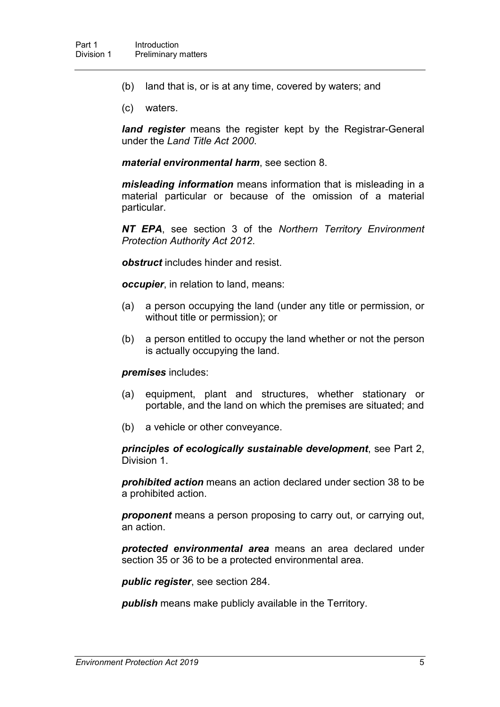- (b) land that is, or is at any time, covered by waters; and
- (c) waters.

*land register* means the register kept by the Registrar-General under the *Land Title Act 2000*.

*material environmental harm*, see section [8.](#page-25-3)

*misleading information* means information that is misleading in a material particular or because of the omission of a material particular.

*NT EPA*, see section 3 of the *Northern Territory Environment Protection Authority Act 2012*.

*obstruct* includes hinder and resist.

*occupier*, in relation to land, means:

- (a) a person occupying the land (under any title or permission, or without title or permission); or
- (b) a person entitled to occupy the land whether or not the person is actually occupying the land.

#### *premises* includes:

- (a) equipment, plant and structures, whether stationary or portable, and the land on which the premises are situated; and
- (b) a vehicle or other conveyance.

*principles of ecologically sustainable development*, see Part 2, Division 1.

*prohibited action* means an action declared under section [38](#page-36-0) to be a prohibited action.

*proponent* means a person proposing to carry out, or carrying out, an action.

*protected environmental area* means an area declared under section [35](#page-34-0) or [36](#page-35-0) to be a protected environmental area.

*public register*, see section [284.](#page-150-0)

*publish* means make publicly available in the Territory.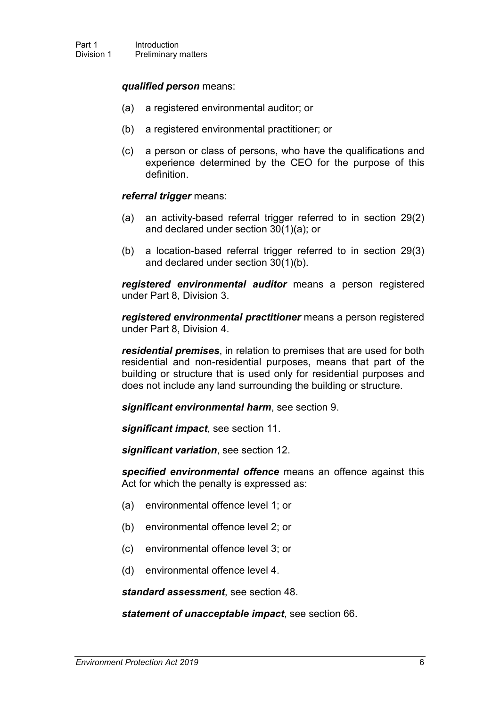#### *qualified person* means:

- (a) a registered environmental auditor; or
- (b) a registered environmental practitioner; or
- (c) a person or class of persons, who have the qualifications and experience determined by the CEO for the purpose of this definition.

#### *referral trigger* means:

- (a) an activity-based referral trigger referred to in section 29(2) and declared under section [30\(](#page-31-1)1)(a); or
- (b) a location-based referral trigger referred to in section 29(3) and declared under section [30\(](#page-31-1)1)(b).

*registered environmental auditor* means a person registered under Part 8, Division 3.

*registered environmental practitioner* means a person registered under Part 8, Division 4.

*residential premises*, in relation to premises that are used for both residential and non-residential purposes, means that part of the building or structure that is used only for residential purposes and does not include any land surrounding the building or structure.

*significant environmental harm*, see section [9.](#page-26-1)

*significant impact*, see section [11.](#page-26-2)

*significant variation*, see section [12.](#page-26-3)

*specified environmental offence* means an offence against this Act for which the penalty is expressed as:

- (a) environmental offence level 1; or
- (b) environmental offence level 2; or
- (c) environmental offence level 3; or
- (d) environmental offence level 4.

*standard assessment*, see section [48.](#page-43-0)

*statement of unacceptable impact*, see section [66.](#page-51-0)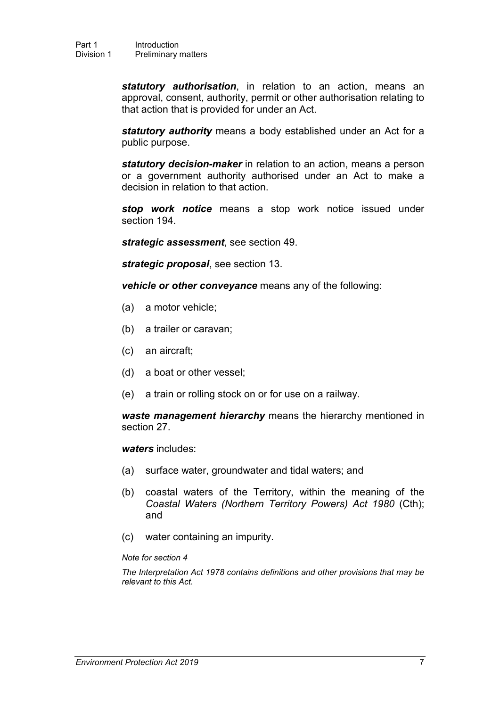*statutory authorisation*, in relation to an action, means an approval, consent, authority, permit or other authorisation relating to that action that is provided for under an Act.

*statutory authority* means a body established under an Act for a public purpose.

*statutory decision-maker* in relation to an action, means a person or a government authority authorised under an Act to make a decision in relation to that action.

*stop work notice* means a stop work notice issued under section [194.](#page-109-0)

*strategic assessment*, see section [49.](#page-43-1)

*strategic proposal*, see section 13.

*vehicle or other conveyance* means any of the following:

- (a) a motor vehicle;
- (b) a trailer or caravan;
- (c) an aircraft;
- (d) a boat or other vessel;
- (e) a train or rolling stock on or for use on a railway.

*waste management hierarchy* means the hierarchy mentioned in section [27.](#page-30-1)

*waters* includes:

- (a) surface water, groundwater and tidal waters; and
- (b) coastal waters of the Territory, within the meaning of the *Coastal Waters (Northern Territory Powers) Act 1980* (Cth); and
- (c) water containing an impurity.

#### *Note for section 4*

*The Interpretation Act 1978 contains definitions and other provisions that may be relevant to this Act.*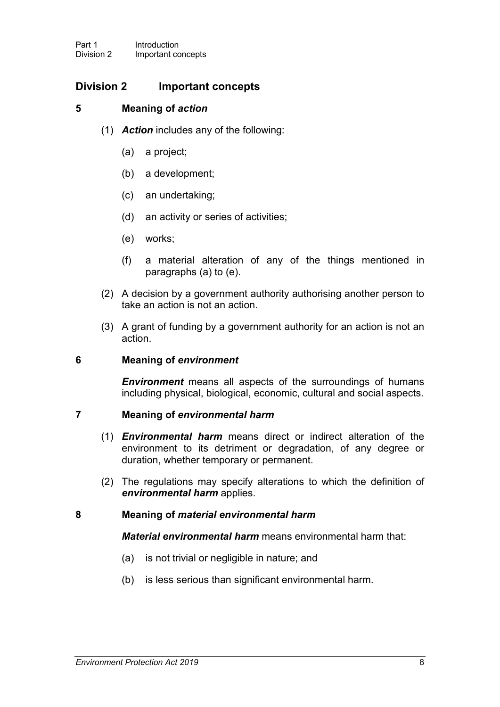### **Division 2 Important concepts**

### **5 Meaning of** *action*

- <span id="page-25-0"></span>(1) *Action* includes any of the following:
	- (a) a project;
	- (b) a development;
	- (c) an undertaking;
	- (d) an activity or series of activities;
	- (e) works;
	- (f) a material alteration of any of the things mentioned in paragraphs (a) to (e).
- (2) A decision by a government authority authorising another person to take an action is not an action.
- (3) A grant of funding by a government authority for an action is not an action.

### <span id="page-25-1"></span>**6 Meaning of** *environment*

*Environment* means all aspects of the surroundings of humans including physical, biological, economic, cultural and social aspects.

### <span id="page-25-2"></span>**7 Meaning of** *environmental harm*

- (1) *Environmental harm* means direct or indirect alteration of the environment to its detriment or degradation, of any degree or duration, whether temporary or permanent.
- (2) The regulations may specify alterations to which the definition of *environmental harm* applies.

### <span id="page-25-3"></span>**8 Meaning of** *material environmental harm*

*Material environmental harm* means environmental harm that:

- (a) is not trivial or negligible in nature; and
- (b) is less serious than significant environmental harm.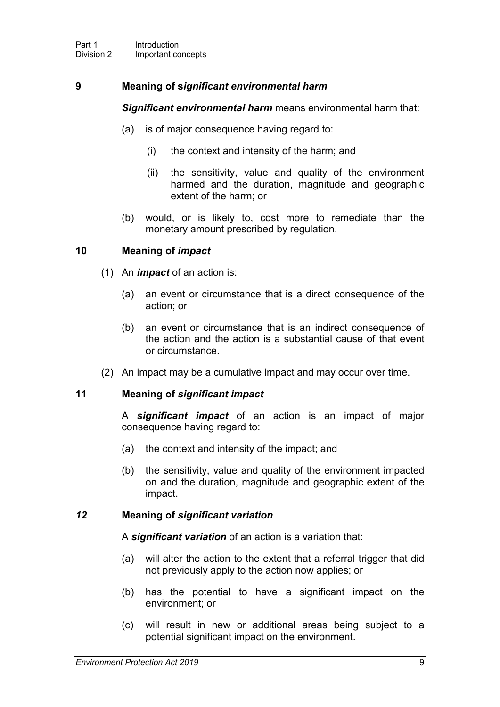### <span id="page-26-1"></span>**9 Meaning of s***ignificant environmental harm*

*Significant environmental harm* means environmental harm that:

- (a) is of major consequence having regard to:
	- (i) the context and intensity of the harm; and
	- (ii) the sensitivity, value and quality of the environment harmed and the duration, magnitude and geographic extent of the harm; or
- (b) would, or is likely to, cost more to remediate than the monetary amount prescribed by regulation.

### <span id="page-26-0"></span>**10 Meaning of** *impact*

- (1) An *impact* of an action is:
	- (a) an event or circumstance that is a direct consequence of the action; or
	- (b) an event or circumstance that is an indirect consequence of the action and the action is a substantial cause of that event or circumstance.
- (2) An impact may be a cumulative impact and may occur over time.

### <span id="page-26-2"></span>**11 Meaning of** *significant impact*

A *significant impact* of an action is an impact of major consequence having regard to:

- (a) the context and intensity of the impact; and
- (b) the sensitivity, value and quality of the environment impacted on and the duration, magnitude and geographic extent of the impact.

### <span id="page-26-3"></span>*12* **Meaning of** *significant variation*

A *significant variation* of an action is a variation that:

- (a) will alter the action to the extent that a referral trigger that did not previously apply to the action now applies; or
- (b) has the potential to have a significant impact on the environment; or
- (c) will result in new or additional areas being subject to a potential significant impact on the environment.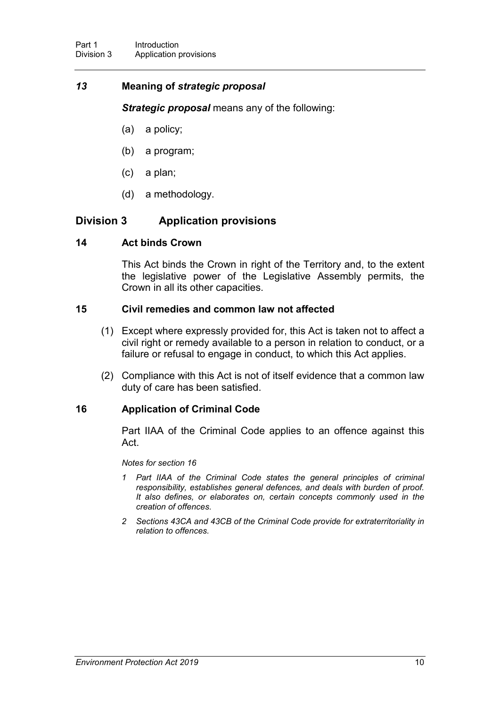### *13* **Meaning of** *strategic proposal*

*Strategic proposal* means any of the following:

- (a) a policy;
- (b) a program;
- (c) a plan;
- (d) a methodology.

### **Division 3 Application provisions**

### **14 Act binds Crown**

This Act binds the Crown in right of the Territory and, to the extent the legislative power of the Legislative Assembly permits, the Crown in all its other capacities.

### **15 Civil remedies and common law not affected**

- (1) Except where expressly provided for, this Act is taken not to affect a civil right or remedy available to a person in relation to conduct, or a failure or refusal to engage in conduct, to which this Act applies.
- (2) Compliance with this Act is not of itself evidence that a common law duty of care has been satisfied.

### <span id="page-27-0"></span>**16 Application of Criminal Code**

Part IIAA of the Criminal Code applies to an offence against this Act.

#### *Notes for section [16](#page-27-0)*

- *1 Part IIAA of the Criminal Code states the general principles of criminal responsibility, establishes general defences, and deals with burden of proof. It also defines, or elaborates on, certain concepts commonly used in the creation of offences.*
- *2 Sections 43CA and 43CB of the Criminal Code provide for extraterritoriality in relation to offences.*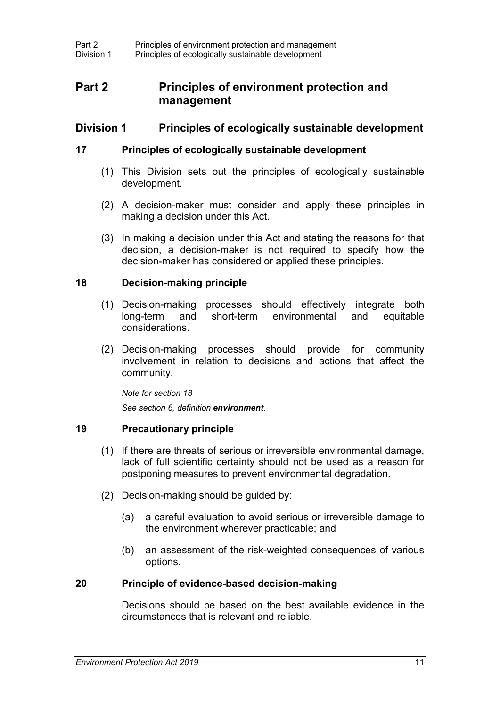## **Part 2 Principles of environment protection and management**

### **Division 1 Principles of ecologically sustainable development**

### **17 Principles of ecologically sustainable development**

- (1) This Division sets out the principles of ecologically sustainable development.
- (2) A decision-maker must consider and apply these principles in making a decision under this Act.
- (3) In making a decision under this Act and stating the reasons for that decision, a decision-maker is not required to specify how the decision-maker has considered or applied these principles.

### <span id="page-28-0"></span>**18 Decision-making principle**

- (1) Decision-making processes should effectively integrate both long-term and short-term environmental and equitable considerations.
- (2) Decision-making processes should provide for community involvement in relation to decisions and actions that affect the community.

*Note for section [18](#page-28-0)*

*See section 6, definition environment.*

### **19 Precautionary principle**

- (1) If there are threats of serious or irreversible environmental damage, lack of full scientific certainty should not be used as a reason for postponing measures to prevent environmental degradation.
- (2) Decision-making should be guided by:
	- (a) a careful evaluation to avoid serious or irreversible damage to the environment wherever practicable; and
	- (b) an assessment of the risk-weighted consequences of various options.

### **20 Principle of evidence-based decision-making**

Decisions should be based on the best available evidence in the circumstances that is relevant and reliable.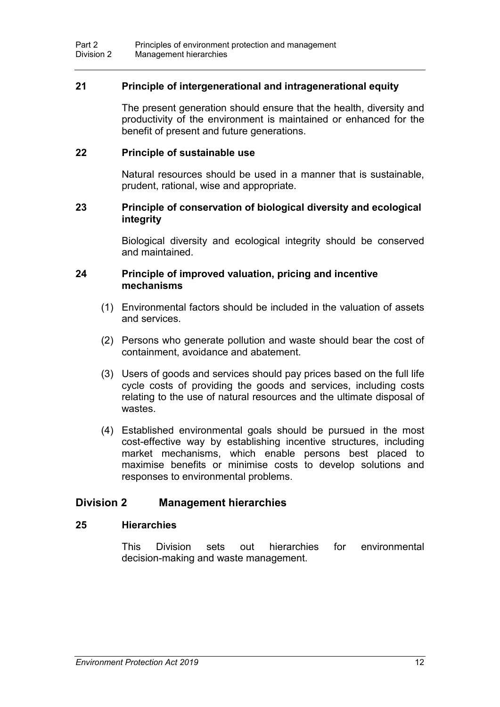### **21 Principle of intergenerational and intragenerational equity**

The present generation should ensure that the health, diversity and productivity of the environment is maintained or enhanced for the benefit of present and future generations.

#### **22 Principle of sustainable use**

Natural resources should be used in a manner that is sustainable, prudent, rational, wise and appropriate.

### **23 Principle of conservation of biological diversity and ecological integrity**

Biological diversity and ecological integrity should be conserved and maintained.

#### **24 Principle of improved valuation, pricing and incentive mechanisms**

- (1) Environmental factors should be included in the valuation of assets and services.
- (2) Persons who generate pollution and waste should bear the cost of containment, avoidance and abatement.
- (3) Users of goods and services should pay prices based on the full life cycle costs of providing the goods and services, including costs relating to the use of natural resources and the ultimate disposal of wastes.
- (4) Established environmental goals should be pursued in the most cost-effective way by establishing incentive structures, including market mechanisms, which enable persons best placed to maximise benefits or minimise costs to develop solutions and responses to environmental problems.

### **Division 2 Management hierarchies**

### **25 Hierarchies**

This Division sets out hierarchies for environmental decision-making and waste management.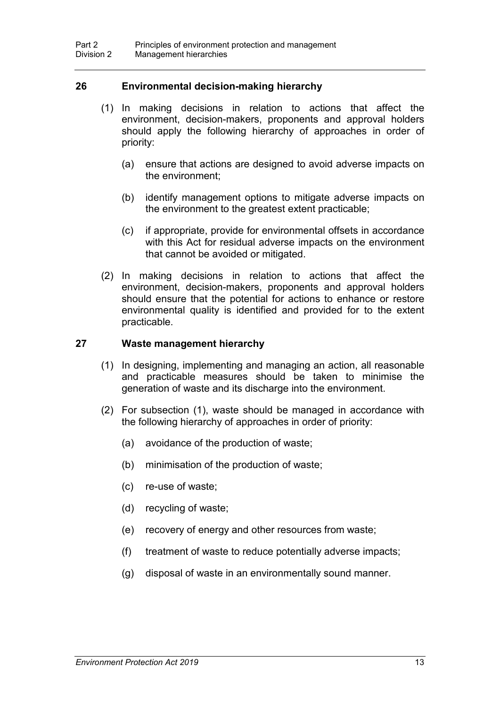### <span id="page-30-0"></span>**26 Environmental decision-making hierarchy**

- (1) In making decisions in relation to actions that affect the environment, decision-makers, proponents and approval holders should apply the following hierarchy of approaches in order of priority:
	- (a) ensure that actions are designed to avoid adverse impacts on the environment;
	- (b) identify management options to mitigate adverse impacts on the environment to the greatest extent practicable;
	- (c) if appropriate, provide for environmental offsets in accordance with this Act for residual adverse impacts on the environment that cannot be avoided or mitigated.
- (2) In making decisions in relation to actions that affect the environment, decision-makers, proponents and approval holders should ensure that the potential for actions to enhance or restore environmental quality is identified and provided for to the extent practicable.

#### <span id="page-30-1"></span>**27 Waste management hierarchy**

- (1) In designing, implementing and managing an action, all reasonable and practicable measures should be taken to minimise the generation of waste and its discharge into the environment.
- (2) For subsection (1), waste should be managed in accordance with the following hierarchy of approaches in order of priority:
	- (a) avoidance of the production of waste;
	- (b) minimisation of the production of waste;
	- (c) re-use of waste;
	- (d) recycling of waste;
	- (e) recovery of energy and other resources from waste;
	- (f) treatment of waste to reduce potentially adverse impacts;
	- (g) disposal of waste in an environmentally sound manner.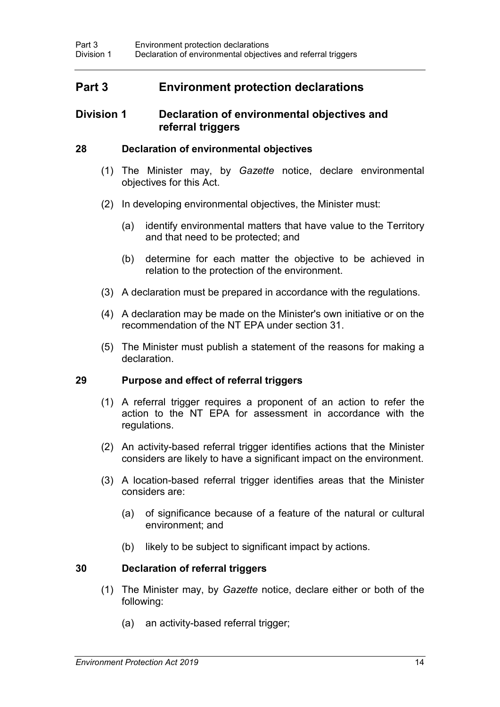## **Part 3 Environment protection declarations**

### **Division 1 Declaration of environmental objectives and referral triggers**

### **28 Declaration of environmental objectives**

- <span id="page-31-0"></span>(1) The Minister may, by *Gazette* notice, declare environmental objectives for this Act.
- (2) In developing environmental objectives, the Minister must:
	- (a) identify environmental matters that have value to the Territory and that need to be protected; and
	- (b) determine for each matter the objective to be achieved in relation to the protection of the environment.
- (3) A declaration must be prepared in accordance with the regulations.
- (4) A declaration may be made on the Minister's own initiative or on the recommendation of the NT EPA under section [31.](#page-32-0)
- (5) The Minister must publish a statement of the reasons for making a declaration.

### **29 Purpose and effect of referral triggers**

- (1) A referral trigger requires a proponent of an action to refer the action to the NT EPA for assessment in accordance with the regulations.
- (2) An activity-based referral trigger identifies actions that the Minister considers are likely to have a significant impact on the environment.
- (3) A location-based referral trigger identifies areas that the Minister considers are:
	- (a) of significance because of a feature of the natural or cultural environment; and
	- (b) likely to be subject to significant impact by actions.

### <span id="page-31-1"></span>**30 Declaration of referral triggers**

- (1) The Minister may, by *Gazette* notice, declare either or both of the following:
	- (a) an activity-based referral trigger;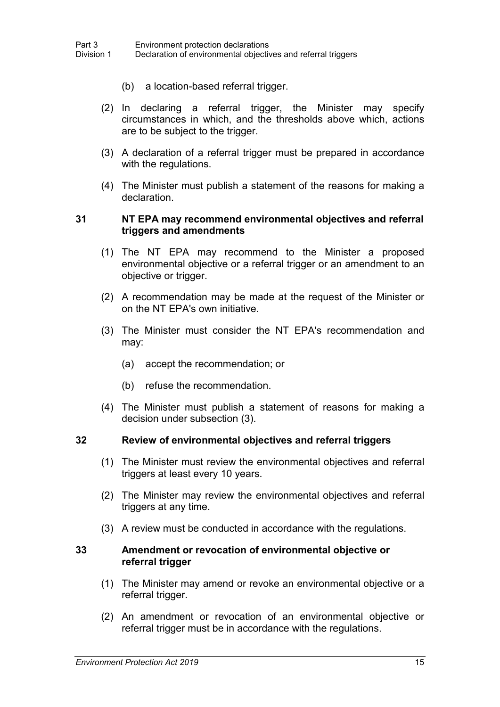- (b) a location-based referral trigger.
- (2) In declaring a referral trigger, the Minister may specify circumstances in which, and the thresholds above which, actions are to be subject to the trigger.
- (3) A declaration of a referral trigger must be prepared in accordance with the regulations.
- (4) The Minister must publish a statement of the reasons for making a declaration.

#### <span id="page-32-0"></span>**31 NT EPA may recommend environmental objectives and referral triggers and amendments**

- (1) The NT EPA may recommend to the Minister a proposed environmental objective or a referral trigger or an amendment to an objective or trigger.
- (2) A recommendation may be made at the request of the Minister or on the NT EPA's own initiative.
- (3) The Minister must consider the NT EPA's recommendation and may:
	- (a) accept the recommendation; or
	- (b) refuse the recommendation.
- (4) The Minister must publish a statement of reasons for making a decision under subsection (3).

#### **32 Review of environmental objectives and referral triggers**

- (1) The Minister must review the environmental objectives and referral triggers at least every 10 years.
- (2) The Minister may review the environmental objectives and referral triggers at any time.
- (3) A review must be conducted in accordance with the regulations.

#### **33 Amendment or revocation of environmental objective or referral trigger**

- (1) The Minister may amend or revoke an environmental objective or a referral trigger.
- (2) An amendment or revocation of an environmental objective or referral trigger must be in accordance with the regulations.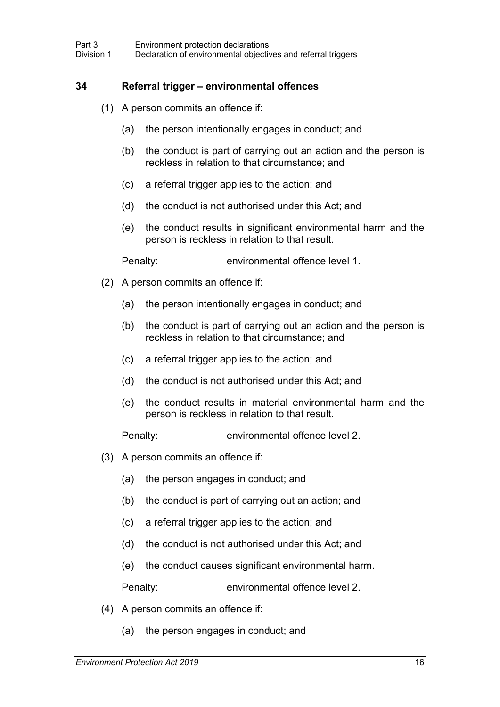#### **34 Referral trigger – environmental offences**

- (1) A person commits an offence if:
	- (a) the person intentionally engages in conduct; and
	- (b) the conduct is part of carrying out an action and the person is reckless in relation to that circumstance; and
	- (c) a referral trigger applies to the action; and
	- (d) the conduct is not authorised under this Act; and
	- (e) the conduct results in significant environmental harm and the person is reckless in relation to that result.

Penalty: environmental offence level 1.

- (2) A person commits an offence if:
	- (a) the person intentionally engages in conduct; and
	- (b) the conduct is part of carrying out an action and the person is reckless in relation to that circumstance; and
	- (c) a referral trigger applies to the action; and
	- (d) the conduct is not authorised under this Act; and
	- (e) the conduct results in material environmental harm and the person is reckless in relation to that result.

Penalty: environmental offence level 2.

- (3) A person commits an offence if:
	- (a) the person engages in conduct; and
	- (b) the conduct is part of carrying out an action; and
	- (c) a referral trigger applies to the action; and
	- (d) the conduct is not authorised under this Act; and
	- (e) the conduct causes significant environmental harm.

Penalty: environmental offence level 2.

- (4) A person commits an offence if:
	- (a) the person engages in conduct; and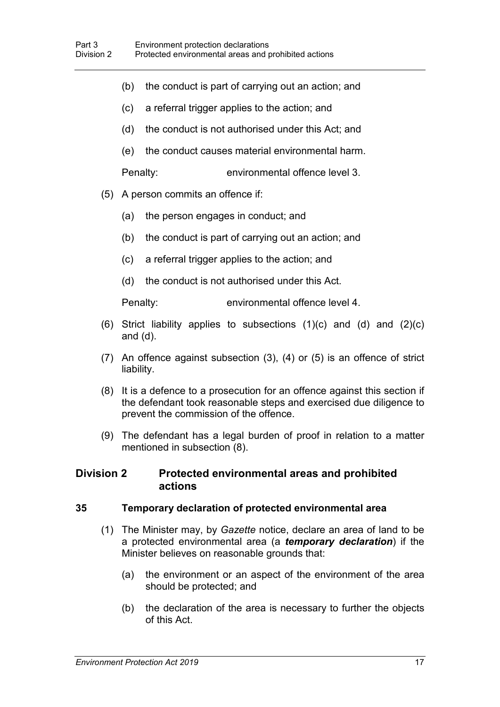- (b) the conduct is part of carrying out an action; and
- (c) a referral trigger applies to the action; and
- (d) the conduct is not authorised under this Act; and
- (e) the conduct causes material environmental harm.

Penalty: environmental offence level 3.

- (5) A person commits an offence if:
	- (a) the person engages in conduct; and
	- (b) the conduct is part of carrying out an action; and
	- (c) a referral trigger applies to the action; and
	- (d) the conduct is not authorised under this Act.

Penalty: environmental offence level 4.

- (6) Strict liability applies to subsections  $(1)(c)$  and  $(d)$  and  $(2)(c)$ and (d).
- (7) An offence against subsection (3), (4) or (5) is an offence of strict liability.
- (8) It is a defence to a prosecution for an offence against this section if the defendant took reasonable steps and exercised due diligence to prevent the commission of the offence.
- (9) The defendant has a legal burden of proof in relation to a matter mentioned in subsection (8).

### **Division 2 Protected environmental areas and prohibited actions**

#### **35 Temporary declaration of protected environmental area**

- <span id="page-34-0"></span>(1) The Minister may, by *Gazette* notice, declare an area of land to be a protected environmental area (a *temporary declaration*) if the Minister believes on reasonable grounds that:
	- (a) the environment or an aspect of the environment of the area should be protected; and
	- (b) the declaration of the area is necessary to further the objects of this Act.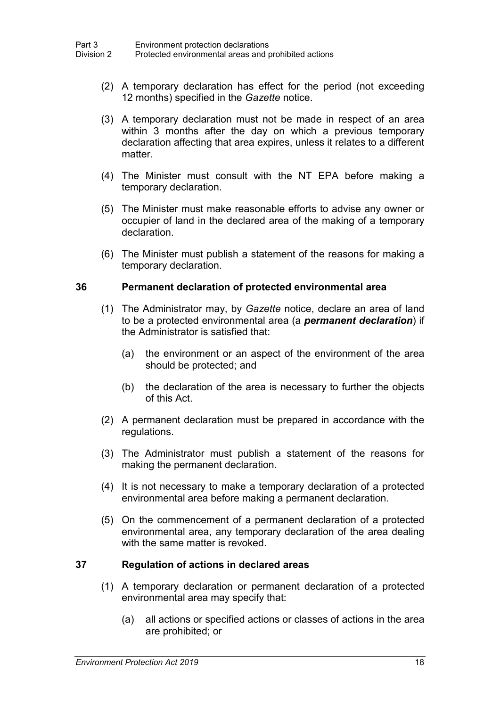- (2) A temporary declaration has effect for the period (not exceeding 12 months) specified in the *Gazette* notice.
- (3) A temporary declaration must not be made in respect of an area within 3 months after the day on which a previous temporary declaration affecting that area expires, unless it relates to a different matter.
- (4) The Minister must consult with the NT EPA before making a temporary declaration.
- (5) The Minister must make reasonable efforts to advise any owner or occupier of land in the declared area of the making of a temporary declaration.
- (6) The Minister must publish a statement of the reasons for making a temporary declaration.

### <span id="page-35-0"></span>**36 Permanent declaration of protected environmental area**

- (1) The Administrator may, by *Gazette* notice, declare an area of land to be a protected environmental area (a *permanent declaration*) if the Administrator is satisfied that:
	- (a) the environment or an aspect of the environment of the area should be protected; and
	- (b) the declaration of the area is necessary to further the objects of this Act.
- (2) A permanent declaration must be prepared in accordance with the regulations.
- (3) The Administrator must publish a statement of the reasons for making the permanent declaration.
- (4) It is not necessary to make a temporary declaration of a protected environmental area before making a permanent declaration.
- (5) On the commencement of a permanent declaration of a protected environmental area, any temporary declaration of the area dealing with the same matter is revoked.

### **37 Regulation of actions in declared areas**

- (1) A temporary declaration or permanent declaration of a protected environmental area may specify that:
	- (a) all actions or specified actions or classes of actions in the area are prohibited; or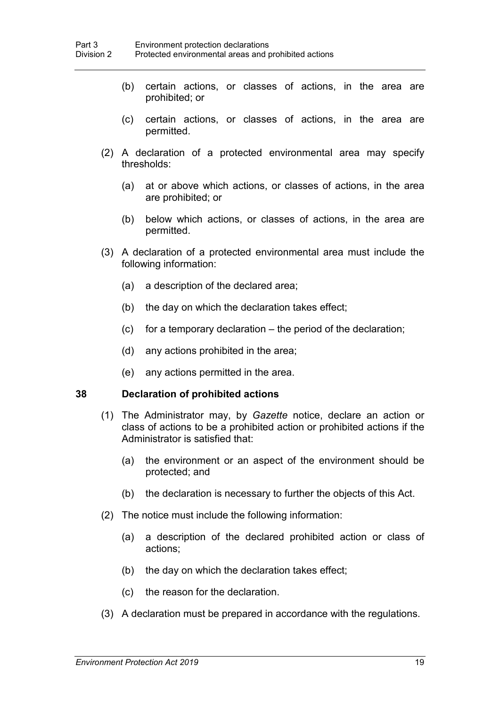- (b) certain actions, or classes of actions, in the area are prohibited; or
- (c) certain actions, or classes of actions, in the area are permitted.
- (2) A declaration of a protected environmental area may specify thresholds:
	- (a) at or above which actions, or classes of actions, in the area are prohibited; or
	- (b) below which actions, or classes of actions, in the area are permitted.
- (3) A declaration of a protected environmental area must include the following information:
	- (a) a description of the declared area;
	- (b) the day on which the declaration takes effect;
	- (c) for a temporary declaration the period of the declaration;
	- (d) any actions prohibited in the area;
	- (e) any actions permitted in the area.

#### **38 Declaration of prohibited actions**

- (1) The Administrator may, by *Gazette* notice, declare an action or class of actions to be a prohibited action or prohibited actions if the Administrator is satisfied that:
	- (a) the environment or an aspect of the environment should be protected; and
	- (b) the declaration is necessary to further the objects of this Act.
- (2) The notice must include the following information:
	- (a) a description of the declared prohibited action or class of actions;
	- (b) the day on which the declaration takes effect;
	- (c) the reason for the declaration.
- (3) A declaration must be prepared in accordance with the regulations.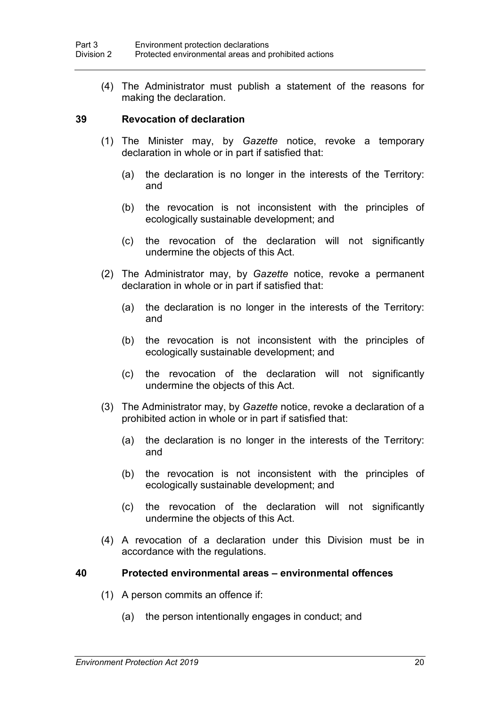(4) The Administrator must publish a statement of the reasons for making the declaration.

#### **39 Revocation of declaration**

- (1) The Minister may, by *Gazette* notice, revoke a temporary declaration in whole or in part if satisfied that:
	- (a) the declaration is no longer in the interests of the Territory: and
	- (b) the revocation is not inconsistent with the principles of ecologically sustainable development; and
	- (c) the revocation of the declaration will not significantly undermine the objects of this Act.
- (2) The Administrator may, by *Gazette* notice, revoke a permanent declaration in whole or in part if satisfied that:
	- (a) the declaration is no longer in the interests of the Territory: and
	- (b) the revocation is not inconsistent with the principles of ecologically sustainable development; and
	- (c) the revocation of the declaration will not significantly undermine the objects of this Act.
- (3) The Administrator may, by *Gazette* notice, revoke a declaration of a prohibited action in whole or in part if satisfied that:
	- (a) the declaration is no longer in the interests of the Territory: and
	- (b) the revocation is not inconsistent with the principles of ecologically sustainable development; and
	- (c) the revocation of the declaration will not significantly undermine the objects of this Act.
- (4) A revocation of a declaration under this Division must be in accordance with the regulations.

#### **40 Protected environmental areas – environmental offences**

- (1) A person commits an offence if:
	- (a) the person intentionally engages in conduct; and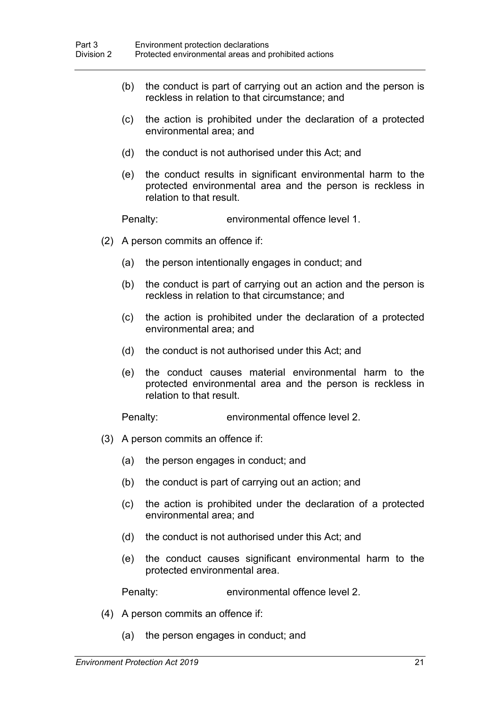- (b) the conduct is part of carrying out an action and the person is reckless in relation to that circumstance; and
- (c) the action is prohibited under the declaration of a protected environmental area; and
- (d) the conduct is not authorised under this Act; and
- (e) the conduct results in significant environmental harm to the protected environmental area and the person is reckless in relation to that result.

Penalty: environmental offence level 1.

- (2) A person commits an offence if:
	- (a) the person intentionally engages in conduct; and
	- (b) the conduct is part of carrying out an action and the person is reckless in relation to that circumstance; and
	- (c) the action is prohibited under the declaration of a protected environmental area; and
	- (d) the conduct is not authorised under this Act; and
	- (e) the conduct causes material environmental harm to the protected environmental area and the person is reckless in relation to that result.

Penalty: environmental offence level 2.

- (3) A person commits an offence if:
	- (a) the person engages in conduct; and
	- (b) the conduct is part of carrying out an action; and
	- (c) the action is prohibited under the declaration of a protected environmental area; and
	- (d) the conduct is not authorised under this Act; and
	- (e) the conduct causes significant environmental harm to the protected environmental area.

Penalty: environmental offence level 2.

- (4) A person commits an offence if:
	- (a) the person engages in conduct; and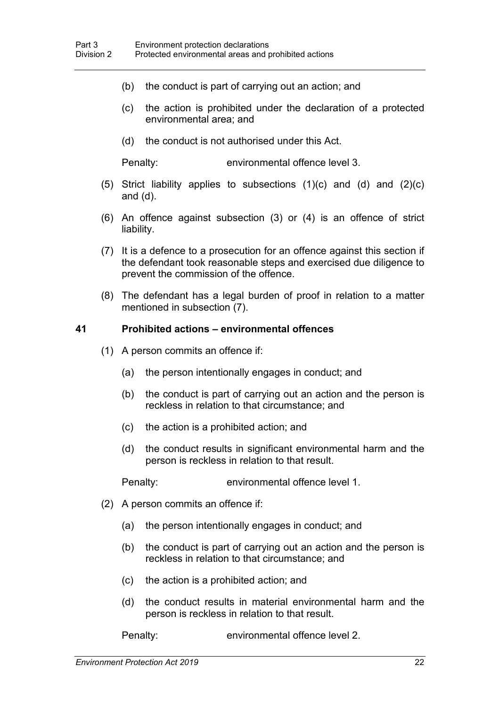- (b) the conduct is part of carrying out an action; and
- (c) the action is prohibited under the declaration of a protected environmental area; and
- (d) the conduct is not authorised under this Act.

Penalty: environmental offence level 3.

- (5) Strict liability applies to subsections  $(1)(c)$  and  $(d)$  and  $(2)(c)$ and (d).
- (6) An offence against subsection (3) or (4) is an offence of strict liability.
- (7) It is a defence to a prosecution for an offence against this section if the defendant took reasonable steps and exercised due diligence to prevent the commission of the offence.
- (8) The defendant has a legal burden of proof in relation to a matter mentioned in subsection (7).

#### **41 Prohibited actions – environmental offences**

- (1) A person commits an offence if:
	- (a) the person intentionally engages in conduct; and
	- (b) the conduct is part of carrying out an action and the person is reckless in relation to that circumstance; and
	- (c) the action is a prohibited action; and
	- (d) the conduct results in significant environmental harm and the person is reckless in relation to that result.

Penalty: environmental offence level 1.

- (2) A person commits an offence if:
	- (a) the person intentionally engages in conduct; and
	- (b) the conduct is part of carrying out an action and the person is reckless in relation to that circumstance; and
	- (c) the action is a prohibited action; and
	- (d) the conduct results in material environmental harm and the person is reckless in relation to that result.

Penalty: environmental offence level 2.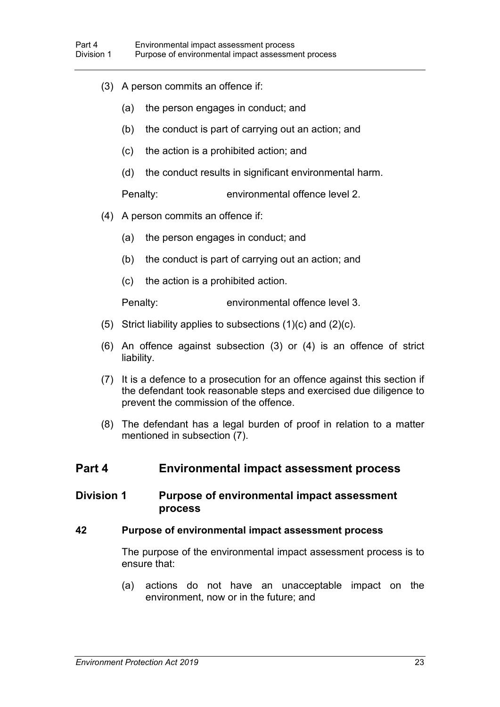- (3) A person commits an offence if:
	- (a) the person engages in conduct; and
	- (b) the conduct is part of carrying out an action; and
	- (c) the action is a prohibited action; and
	- (d) the conduct results in significant environmental harm.

Penalty: environmental offence level 2.

- (4) A person commits an offence if:
	- (a) the person engages in conduct; and
	- (b) the conduct is part of carrying out an action; and
	- (c) the action is a prohibited action.

Penalty: environmental offence level 3.

- (5) Strict liability applies to subsections  $(1)(c)$  and  $(2)(c)$ .
- (6) An offence against subsection (3) or (4) is an offence of strict liability.
- (7) It is a defence to a prosecution for an offence against this section if the defendant took reasonable steps and exercised due diligence to prevent the commission of the offence.
- (8) The defendant has a legal burden of proof in relation to a matter mentioned in subsection (7).

# **Part 4 Environmental impact assessment process**

## **Division 1 Purpose of environmental impact assessment process**

## **42 Purpose of environmental impact assessment process**

The purpose of the environmental impact assessment process is to ensure that:

(a) actions do not have an unacceptable impact on the environment, now or in the future; and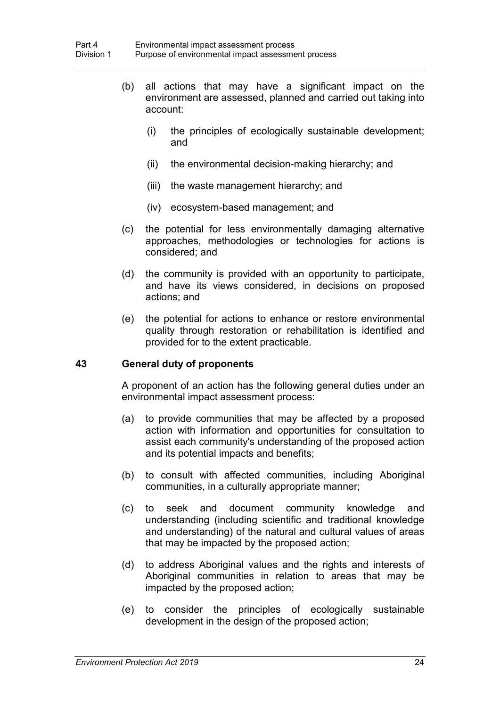- (b) all actions that may have a significant impact on the environment are assessed, planned and carried out taking into account:
	- (i) the principles of ecologically sustainable development; and
	- (ii) the environmental decision-making hierarchy; and
	- (iii) the waste management hierarchy; and
	- (iv) ecosystem-based management; and
- (c) the potential for less environmentally damaging alternative approaches, methodologies or technologies for actions is considered; and
- (d) the community is provided with an opportunity to participate, and have its views considered, in decisions on proposed actions; and
- (e) the potential for actions to enhance or restore environmental quality through restoration or rehabilitation is identified and provided for to the extent practicable.

## **43 General duty of proponents**

A proponent of an action has the following general duties under an environmental impact assessment process:

- (a) to provide communities that may be affected by a proposed action with information and opportunities for consultation to assist each community's understanding of the proposed action and its potential impacts and benefits;
- (b) to consult with affected communities, including Aboriginal communities, in a culturally appropriate manner;
- (c) to seek and document community knowledge and understanding (including scientific and traditional knowledge and understanding) of the natural and cultural values of areas that may be impacted by the proposed action;
- (d) to address Aboriginal values and the rights and interests of Aboriginal communities in relation to areas that may be impacted by the proposed action;
- (e) to consider the principles of ecologically sustainable development in the design of the proposed action;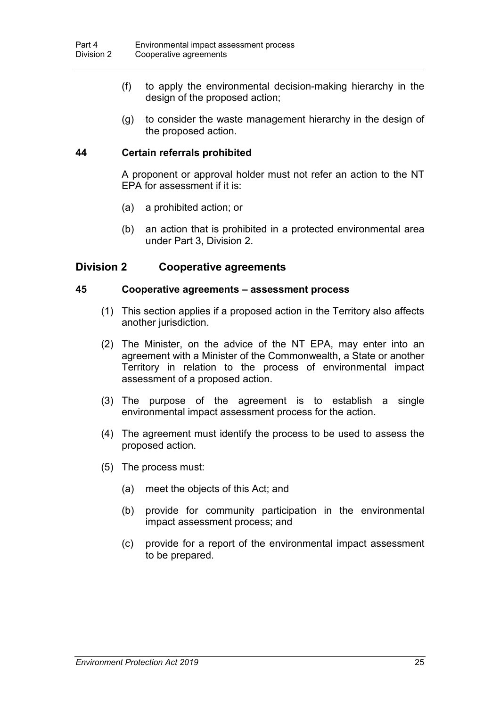- (f) to apply the environmental decision-making hierarchy in the design of the proposed action;
- (g) to consider the waste management hierarchy in the design of the proposed action.

# **44 Certain referrals prohibited**

A proponent or approval holder must not refer an action to the NT EPA for assessment if it is:

- (a) a prohibited action; or
- (b) an action that is prohibited in a protected environmental area under Part 3, Division 2.

## **Division 2 Cooperative agreements**

#### **45 Cooperative agreements – assessment process**

- (1) This section applies if a proposed action in the Territory also affects another jurisdiction.
- (2) The Minister, on the advice of the NT EPA, may enter into an agreement with a Minister of the Commonwealth, a State or another Territory in relation to the process of environmental impact assessment of a proposed action.
- (3) The purpose of the agreement is to establish a single environmental impact assessment process for the action.
- (4) The agreement must identify the process to be used to assess the proposed action.
- (5) The process must:
	- (a) meet the objects of this Act; and
	- (b) provide for community participation in the environmental impact assessment process; and
	- (c) provide for a report of the environmental impact assessment to be prepared.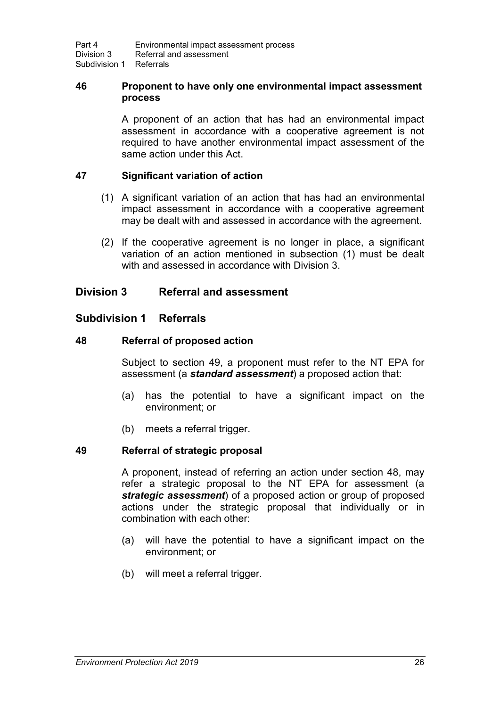## **46 Proponent to have only one environmental impact assessment process**

A proponent of an action that has had an environmental impact assessment in accordance with a cooperative agreement is not required to have another environmental impact assessment of the same action under this Act.

## **47 Significant variation of action**

- (1) A significant variation of an action that has had an environmental impact assessment in accordance with a cooperative agreement may be dealt with and assessed in accordance with the agreement.
- (2) If the cooperative agreement is no longer in place, a significant variation of an action mentioned in subsection (1) must be dealt with and assessed in accordance with Division 3

# **Division 3 Referral and assessment**

# **Subdivision 1 Referrals**

## <span id="page-43-1"></span>**48 Referral of proposed action**

Subject to section [49,](#page-43-0) a proponent must refer to the NT EPA for assessment (a *standard assessment*) a proposed action that:

- (a) has the potential to have a significant impact on the environment; or
- (b) meets a referral trigger.

## <span id="page-43-0"></span>**49 Referral of strategic proposal**

A proponent, instead of referring an action under section [48,](#page-43-1) may refer a strategic proposal to the NT EPA for assessment (a *strategic assessment*) of a proposed action or group of proposed actions under the strategic proposal that individually or in combination with each other:

- (a) will have the potential to have a significant impact on the environment; or
- (b) will meet a referral trigger.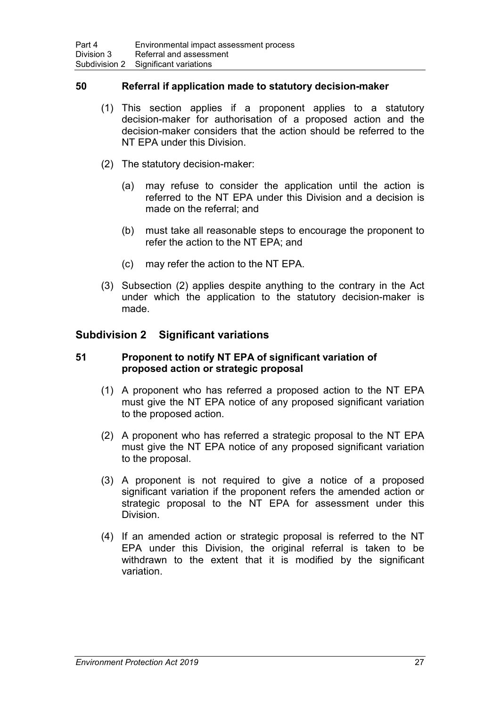## **50 Referral if application made to statutory decision-maker**

- (1) This section applies if a proponent applies to a statutory decision-maker for authorisation of a proposed action and the decision-maker considers that the action should be referred to the NT EPA under this Division.
- (2) The statutory decision-maker:
	- (a) may refuse to consider the application until the action is referred to the NT EPA under this Division and a decision is made on the referral; and
	- (b) must take all reasonable steps to encourage the proponent to refer the action to the NT EPA; and
	- (c) may refer the action to the NT EPA.
- (3) Subsection (2) applies despite anything to the contrary in the Act under which the application to the statutory decision-maker is made.

# **Subdivision 2 Significant variations**

#### <span id="page-44-0"></span>**51 Proponent to notify NT EPA of significant variation of proposed action or strategic proposal**

- (1) A proponent who has referred a proposed action to the NT EPA must give the NT EPA notice of any proposed significant variation to the proposed action.
- (2) A proponent who has referred a strategic proposal to the NT EPA must give the NT EPA notice of any proposed significant variation to the proposal.
- (3) A proponent is not required to give a notice of a proposed significant variation if the proponent refers the amended action or strategic proposal to the NT EPA for assessment under this Division.
- (4) If an amended action or strategic proposal is referred to the NT EPA under this Division, the original referral is taken to be withdrawn to the extent that it is modified by the significant variation.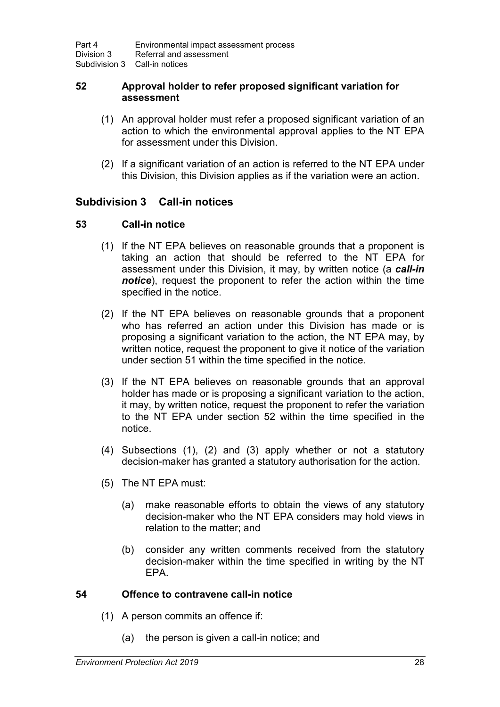## <span id="page-45-0"></span>**52 Approval holder to refer proposed significant variation for assessment**

- (1) An approval holder must refer a proposed significant variation of an action to which the environmental approval applies to the NT EPA for assessment under this Division.
- (2) If a significant variation of an action is referred to the NT EPA under this Division, this Division applies as if the variation were an action.

# **Subdivision 3 Call-in notices**

# **53 Call-in notice**

- (1) If the NT EPA believes on reasonable grounds that a proponent is taking an action that should be referred to the NT EPA for assessment under this Division, it may, by written notice (a *call-in notice*), request the proponent to refer the action within the time specified in the notice.
- (2) If the NT EPA believes on reasonable grounds that a proponent who has referred an action under this Division has made or is proposing a significant variation to the action, the NT EPA may, by written notice, request the proponent to give it notice of the variation under section [51](#page-44-0) within the time specified in the notice.
- (3) If the NT EPA believes on reasonable grounds that an approval holder has made or is proposing a significant variation to the action, it may, by written notice, request the proponent to refer the variation to the NT EPA under section [52](#page-45-0) within the time specified in the notice.
- (4) Subsections (1), (2) and (3) apply whether or not a statutory decision-maker has granted a statutory authorisation for the action.
- (5) The NT EPA must:
	- (a) make reasonable efforts to obtain the views of any statutory decision-maker who the NT EPA considers may hold views in relation to the matter; and
	- (b) consider any written comments received from the statutory decision-maker within the time specified in writing by the NT EPA.

## **54 Offence to contravene call-in notice**

- (1) A person commits an offence if:
	- (a) the person is given a call-in notice; and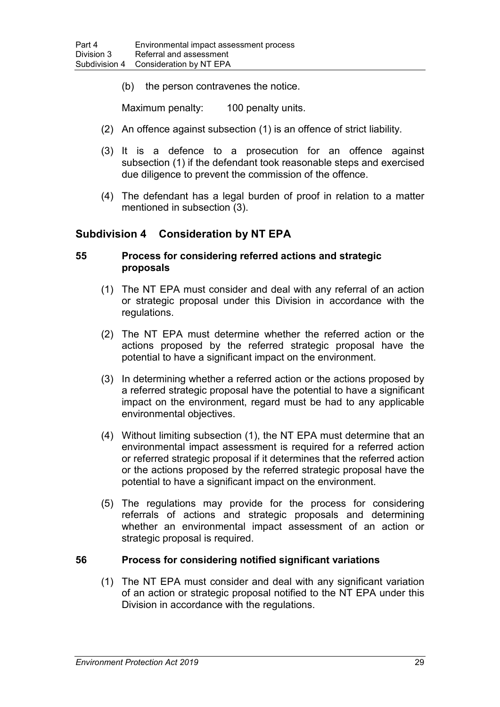(b) the person contravenes the notice.

Maximum penalty: 100 penalty units.

- (2) An offence against subsection (1) is an offence of strict liability.
- (3) It is a defence to a prosecution for an offence against subsection (1) if the defendant took reasonable steps and exercised due diligence to prevent the commission of the offence.
- (4) The defendant has a legal burden of proof in relation to a matter mentioned in subsection (3).

# **Subdivision 4 Consideration by NT EPA**

## <span id="page-46-0"></span>**55 Process for considering referred actions and strategic proposals**

- (1) The NT EPA must consider and deal with any referral of an action or strategic proposal under this Division in accordance with the regulations.
- (2) The NT EPA must determine whether the referred action or the actions proposed by the referred strategic proposal have the potential to have a significant impact on the environment.
- (3) In determining whether a referred action or the actions proposed by a referred strategic proposal have the potential to have a significant impact on the environment, regard must be had to any applicable environmental objectives.
- (4) Without limiting subsection (1), the NT EPA must determine that an environmental impact assessment is required for a referred action or referred strategic proposal if it determines that the referred action or the actions proposed by the referred strategic proposal have the potential to have a significant impact on the environment.
- (5) The regulations may provide for the process for considering referrals of actions and strategic proposals and determining whether an environmental impact assessment of an action or strategic proposal is required.

## **56 Process for considering notified significant variations**

(1) The NT EPA must consider and deal with any significant variation of an action or strategic proposal notified to the NT EPA under this Division in accordance with the regulations.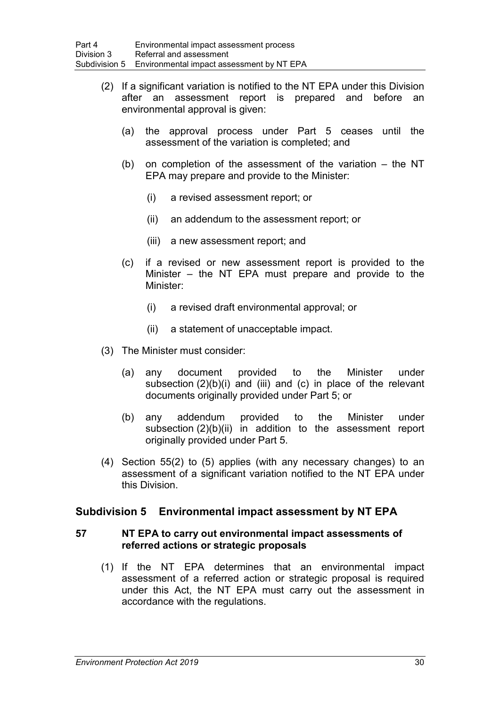- (2) If a significant variation is notified to the NT EPA under this Division after an assessment report is prepared and before an environmental approval is given:
	- (a) the approval process under Part 5 ceases until the assessment of the variation is completed; and
	- (b) on completion of the assessment of the variation the NT EPA may prepare and provide to the Minister:
		- (i) a revised assessment report; or
		- (ii) an addendum to the assessment report; or
		- (iii) a new assessment report; and
	- (c) if a revised or new assessment report is provided to the Minister – the NT EPA must prepare and provide to the Minister:
		- (i) a revised draft environmental approval; or
		- (ii) a statement of unacceptable impact.
- (3) The Minister must consider:
	- (a) any document provided to the Minister under subsection (2)(b)(i) and (iii) and (c) in place of the relevant documents originally provided under Part 5; or
	- (b) any addendum provided to the Minister under subsection (2)(b)(ii) in addition to the assessment report originally provided under Part 5.
- (4) Section [55\(](#page-46-0)2) to (5) applies (with any necessary changes) to an assessment of a significant variation notified to the NT EPA under this Division.

# **Subdivision 5 Environmental impact assessment by NT EPA**

## **57 NT EPA to carry out environmental impact assessments of referred actions or strategic proposals**

(1) If the NT EPA determines that an environmental impact assessment of a referred action or strategic proposal is required under this Act, the NT EPA must carry out the assessment in accordance with the regulations.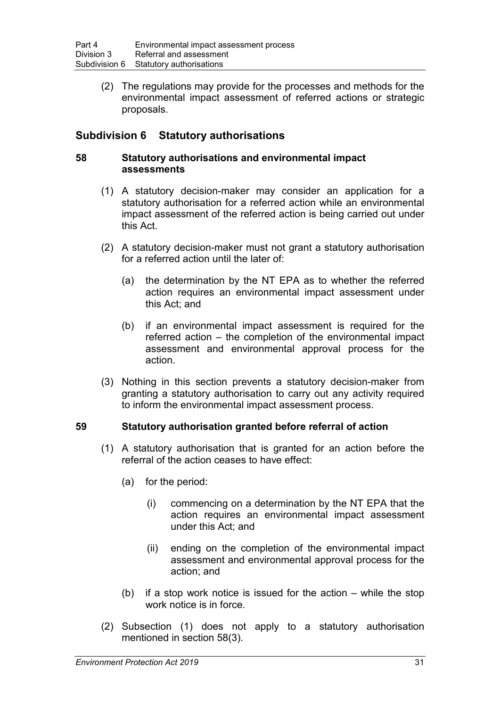(2) The regulations may provide for the processes and methods for the environmental impact assessment of referred actions or strategic proposals.

# **Subdivision 6 Statutory authorisations**

## <span id="page-48-0"></span>**58 Statutory authorisations and environmental impact assessments**

- (1) A statutory decision-maker may consider an application for a statutory authorisation for a referred action while an environmental impact assessment of the referred action is being carried out under this Act.
- (2) A statutory decision-maker must not grant a statutory authorisation for a referred action until the later of:
	- (a) the determination by the NT EPA as to whether the referred action requires an environmental impact assessment under this Act; and
	- (b) if an environmental impact assessment is required for the referred action – the completion of the environmental impact assessment and environmental approval process for the action.
- (3) Nothing in this section prevents a statutory decision-maker from granting a statutory authorisation to carry out any activity required to inform the environmental impact assessment process.

## **59 Statutory authorisation granted before referral of action**

- (1) A statutory authorisation that is granted for an action before the referral of the action ceases to have effect:
	- (a) for the period:
		- (i) commencing on a determination by the NT EPA that the action requires an environmental impact assessment under this Act; and
		- (ii) ending on the completion of the environmental impact assessment and environmental approval process for the action; and
	- (b) if a stop work notice is issued for the action while the stop work notice is in force.
- (2) Subsection (1) does not apply to a statutory authorisation mentioned in section [58\(](#page-48-0)3).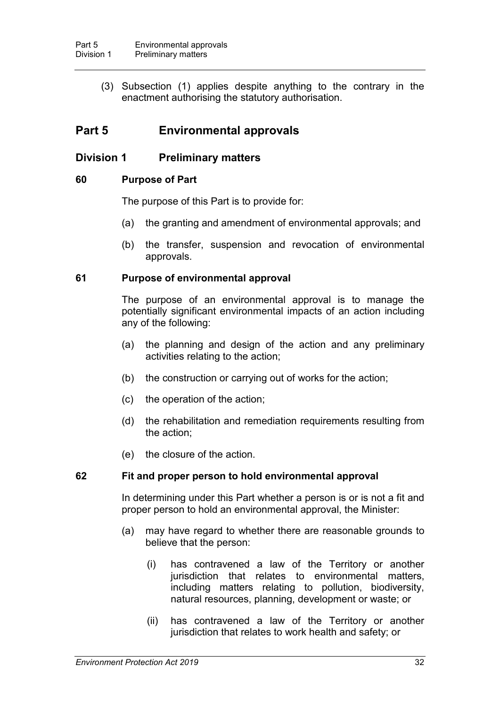(3) Subsection (1) applies despite anything to the contrary in the enactment authorising the statutory authorisation.

# **Part 5 Environmental approvals**

# **Division 1 Preliminary matters**

## **60 Purpose of Part**

The purpose of this Part is to provide for:

- (a) the granting and amendment of environmental approvals; and
- (b) the transfer, suspension and revocation of environmental approvals.

## **61 Purpose of environmental approval**

The purpose of an environmental approval is to manage the potentially significant environmental impacts of an action including any of the following:

- (a) the planning and design of the action and any preliminary activities relating to the action;
- (b) the construction or carrying out of works for the action;
- (c) the operation of the action;
- (d) the rehabilitation and remediation requirements resulting from the action;
- (e) the closure of the action.

## **62 Fit and proper person to hold environmental approval**

In determining under this Part whether a person is or is not a fit and proper person to hold an environmental approval, the Minister:

- (a) may have regard to whether there are reasonable grounds to believe that the person:
	- (i) has contravened a law of the Territory or another jurisdiction that relates to environmental matters, including matters relating to pollution, biodiversity, natural resources, planning, development or waste; or
	- (ii) has contravened a law of the Territory or another jurisdiction that relates to work health and safety; or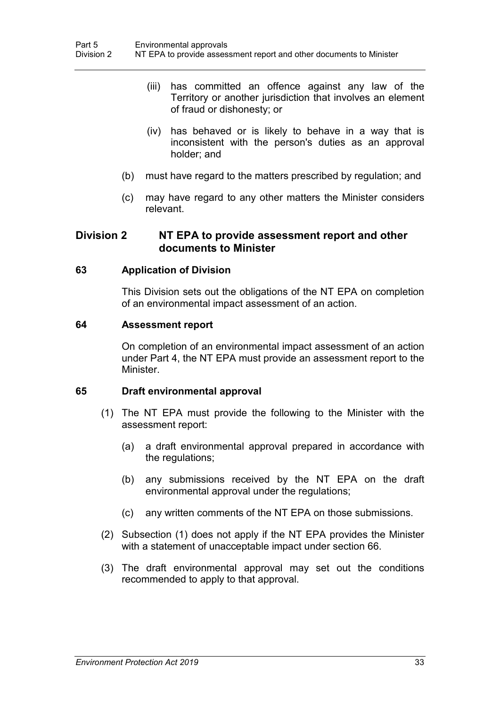- (iii) has committed an offence against any law of the Territory or another jurisdiction that involves an element of fraud or dishonesty; or
- (iv) has behaved or is likely to behave in a way that is inconsistent with the person's duties as an approval holder; and
- (b) must have regard to the matters prescribed by regulation; and
- (c) may have regard to any other matters the Minister considers relevant.

# **Division 2 NT EPA to provide assessment report and other documents to Minister**

## **63 Application of Division**

This Division sets out the obligations of the NT EPA on completion of an environmental impact assessment of an action.

#### **64 Assessment report**

On completion of an environmental impact assessment of an action under Part 4, the NT EPA must provide an assessment report to the **Minister** 

#### **65 Draft environmental approval**

- (1) The NT EPA must provide the following to the Minister with the assessment report:
	- (a) a draft environmental approval prepared in accordance with the regulations;
	- (b) any submissions received by the NT EPA on the draft environmental approval under the regulations;
	- (c) any written comments of the NT EPA on those submissions.
- (2) Subsection (1) does not apply if the NT EPA provides the Minister with a statement of unacceptable impact under section [66.](#page-51-0)
- (3) The draft environmental approval may set out the conditions recommended to apply to that approval.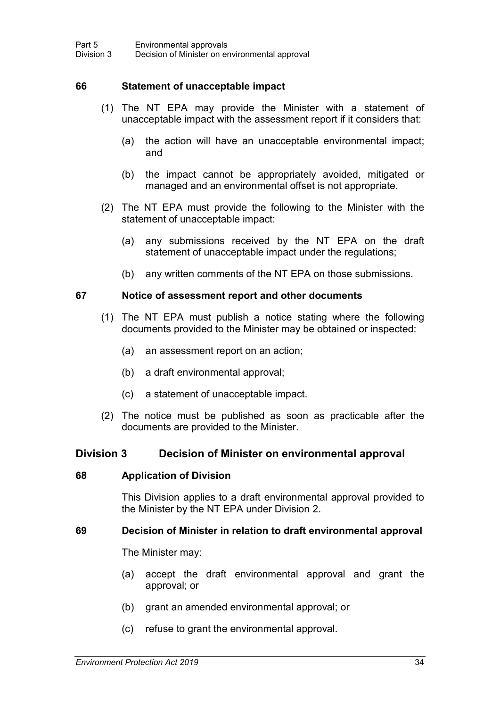#### <span id="page-51-0"></span>**66 Statement of unacceptable impact**

- (1) The NT EPA may provide the Minister with a statement of unacceptable impact with the assessment report if it considers that:
	- (a) the action will have an unacceptable environmental impact; and
	- (b) the impact cannot be appropriately avoided, mitigated or managed and an environmental offset is not appropriate.
- (2) The NT EPA must provide the following to the Minister with the statement of unacceptable impact:
	- (a) any submissions received by the NT EPA on the draft statement of unacceptable impact under the regulations;
	- (b) any written comments of the NT EPA on those submissions.

#### **67 Notice of assessment report and other documents**

- (1) The NT EPA must publish a notice stating where the following documents provided to the Minister may be obtained or inspected:
	- (a) an assessment report on an action;
	- (b) a draft environmental approval;
	- (c) a statement of unacceptable impact.
- (2) The notice must be published as soon as practicable after the documents are provided to the Minister.

## **Division 3 Decision of Minister on environmental approval**

#### **68 Application of Division**

This Division applies to a draft environmental approval provided to the Minister by the NT EPA under Division 2.

#### <span id="page-51-1"></span>**69 Decision of Minister in relation to draft environmental approval**

The Minister may:

- (a) accept the draft environmental approval and grant the approval; or
- (b) grant an amended environmental approval; or
- (c) refuse to grant the environmental approval.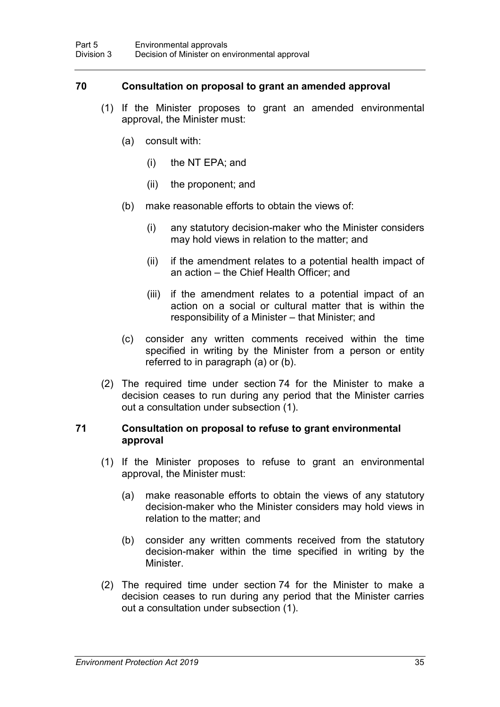## <span id="page-52-0"></span>**70 Consultation on proposal to grant an amended approval**

- (1) If the Minister proposes to grant an amended environmental approval, the Minister must:
	- (a) consult with:
		- (i) the NT EPA; and
		- (ii) the proponent; and
	- (b) make reasonable efforts to obtain the views of:
		- (i) any statutory decision-maker who the Minister considers may hold views in relation to the matter; and
		- (ii) if the amendment relates to a potential health impact of an action – the Chief Health Officer; and
		- (iii) if the amendment relates to a potential impact of an action on a social or cultural matter that is within the responsibility of a Minister – that Minister; and
	- (c) consider any written comments received within the time specified in writing by the Minister from a person or entity referred to in paragraph (a) or (b).
- (2) The required time under section [74](#page-54-0) for the Minister to make a decision ceases to run during any period that the Minister carries out a consultation under subsection (1).

#### **71 Consultation on proposal to refuse to grant environmental approval**

- (1) If the Minister proposes to refuse to grant an environmental approval, the Minister must:
	- (a) make reasonable efforts to obtain the views of any statutory decision-maker who the Minister considers may hold views in relation to the matter; and
	- (b) consider any written comments received from the statutory decision-maker within the time specified in writing by the **Minister**
- (2) The required time under section [74](#page-54-0) for the Minister to make a decision ceases to run during any period that the Minister carries out a consultation under subsection (1).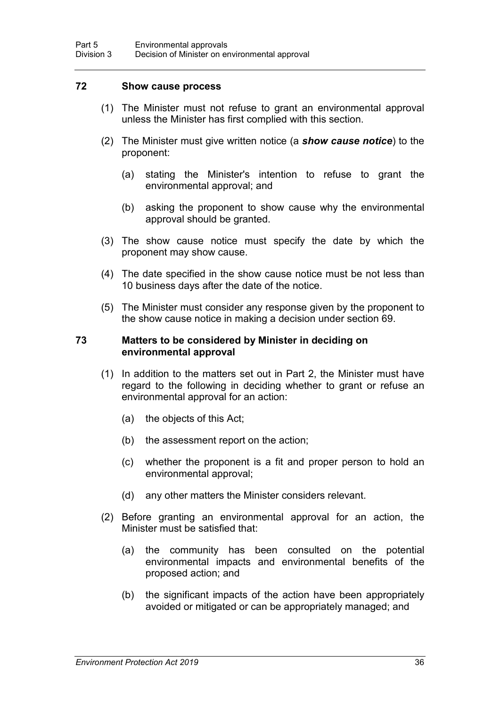#### **72 Show cause process**

- (1) The Minister must not refuse to grant an environmental approval unless the Minister has first complied with this section.
- (2) The Minister must give written notice (a *show cause notice*) to the proponent:
	- (a) stating the Minister's intention to refuse to grant the environmental approval; and
	- (b) asking the proponent to show cause why the environmental approval should be granted.
- (3) The show cause notice must specify the date by which the proponent may show cause.
- (4) The date specified in the show cause notice must be not less than 10 business days after the date of the notice.
- (5) The Minister must consider any response given by the proponent to the show cause notice in making a decision under section [69.](#page-51-1)

#### **73 Matters to be considered by Minister in deciding on environmental approval**

- (1) In addition to the matters set out in Part 2, the Minister must have regard to the following in deciding whether to grant or refuse an environmental approval for an action:
	- (a) the objects of this Act;
	- (b) the assessment report on the action;
	- (c) whether the proponent is a fit and proper person to hold an environmental approval;
	- (d) any other matters the Minister considers relevant.
- (2) Before granting an environmental approval for an action, the Minister must be satisfied that:
	- (a) the community has been consulted on the potential environmental impacts and environmental benefits of the proposed action; and
	- (b) the significant impacts of the action have been appropriately avoided or mitigated or can be appropriately managed; and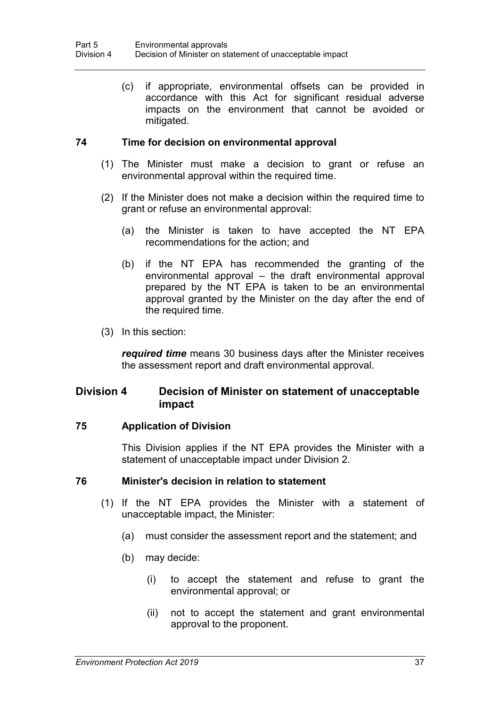(c) if appropriate, environmental offsets can be provided in accordance with this Act for significant residual adverse impacts on the environment that cannot be avoided or mitigated.

# <span id="page-54-0"></span>**74 Time for decision on environmental approval**

- (1) The Minister must make a decision to grant or refuse an environmental approval within the required time.
- (2) If the Minister does not make a decision within the required time to grant or refuse an environmental approval:
	- (a) the Minister is taken to have accepted the NT EPA recommendations for the action; and
	- (b) if the NT EPA has recommended the granting of the environmental approval – the draft environmental approval prepared by the NT EPA is taken to be an environmental approval granted by the Minister on the day after the end of the required time.
- (3) In this section:

*required time* means 30 business days after the Minister receives the assessment report and draft environmental approval.

# **Division 4 Decision of Minister on statement of unacceptable impact**

## **75 Application of Division**

This Division applies if the NT EPA provides the Minister with a statement of unacceptable impact under Division 2.

## <span id="page-54-1"></span>**76 Minister's decision in relation to statement**

- (1) If the NT EPA provides the Minister with a statement of unacceptable impact, the Minister:
	- (a) must consider the assessment report and the statement; and
	- (b) may decide:
		- (i) to accept the statement and refuse to grant the environmental approval; or
		- (ii) not to accept the statement and grant environmental approval to the proponent.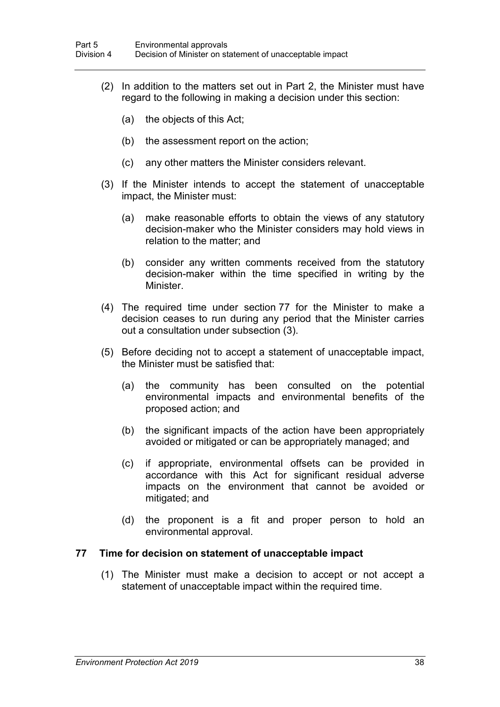- (2) In addition to the matters set out in Part 2, the Minister must have regard to the following in making a decision under this section:
	- (a) the objects of this Act;
	- (b) the assessment report on the action;
	- (c) any other matters the Minister considers relevant.
- (3) If the Minister intends to accept the statement of unacceptable impact, the Minister must:
	- (a) make reasonable efforts to obtain the views of any statutory decision-maker who the Minister considers may hold views in relation to the matter; and
	- (b) consider any written comments received from the statutory decision-maker within the time specified in writing by the **Minister**
- (4) The required time under section [77](#page-55-0) for the Minister to make a decision ceases to run during any period that the Minister carries out a consultation under subsection (3).
- (5) Before deciding not to accept a statement of unacceptable impact, the Minister must be satisfied that:
	- (a) the community has been consulted on the potential environmental impacts and environmental benefits of the proposed action; and
	- (b) the significant impacts of the action have been appropriately avoided or mitigated or can be appropriately managed; and
	- (c) if appropriate, environmental offsets can be provided in accordance with this Act for significant residual adverse impacts on the environment that cannot be avoided or mitigated; and
	- (d) the proponent is a fit and proper person to hold an environmental approval.

#### <span id="page-55-0"></span>**77 Time for decision on statement of unacceptable impact**

(1) The Minister must make a decision to accept or not accept a statement of unacceptable impact within the required time.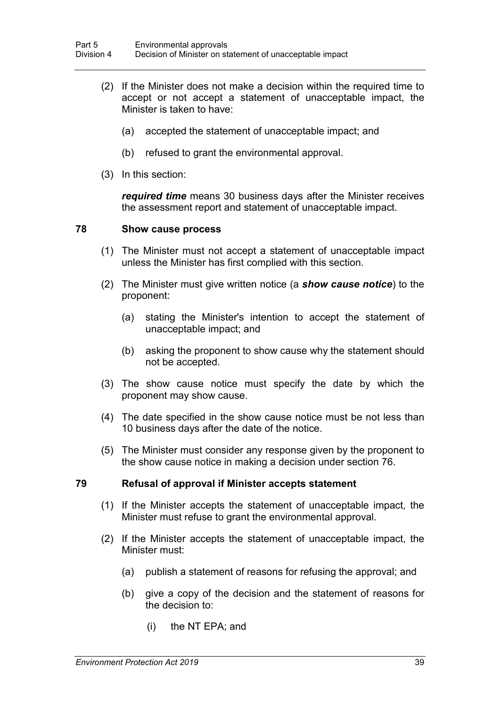- (2) If the Minister does not make a decision within the required time to accept or not accept a statement of unacceptable impact, the Minister is taken to have:
	- (a) accepted the statement of unacceptable impact; and
	- (b) refused to grant the environmental approval.
- (3) In this section:

*required time* means 30 business days after the Minister receives the assessment report and statement of unacceptable impact.

#### **78 Show cause process**

- (1) The Minister must not accept a statement of unacceptable impact unless the Minister has first complied with this section.
- (2) The Minister must give written notice (a *show cause notice*) to the proponent:
	- (a) stating the Minister's intention to accept the statement of unacceptable impact; and
	- (b) asking the proponent to show cause why the statement should not be accepted.
- (3) The show cause notice must specify the date by which the proponent may show cause.
- (4) The date specified in the show cause notice must be not less than 10 business days after the date of the notice.
- (5) The Minister must consider any response given by the proponent to the show cause notice in making a decision under section [76.](#page-54-1)

## **79 Refusal of approval if Minister accepts statement**

- (1) If the Minister accepts the statement of unacceptable impact, the Minister must refuse to grant the environmental approval.
- (2) If the Minister accepts the statement of unacceptable impact, the Minister must:
	- (a) publish a statement of reasons for refusing the approval; and
	- (b) give a copy of the decision and the statement of reasons for the decision to:
		- (i) the NT EPA; and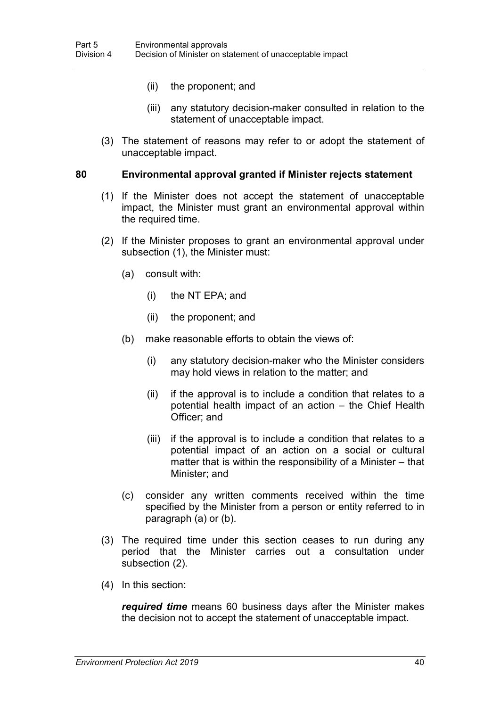- (ii) the proponent; and
- (iii) any statutory decision-maker consulted in relation to the statement of unacceptable impact.
- (3) The statement of reasons may refer to or adopt the statement of unacceptable impact.

#### <span id="page-57-0"></span>**80 Environmental approval granted if Minister rejects statement**

- (1) If the Minister does not accept the statement of unacceptable impact, the Minister must grant an environmental approval within the required time.
- (2) If the Minister proposes to grant an environmental approval under subsection (1), the Minister must:
	- (a) consult with:
		- (i) the NT EPA; and
		- (ii) the proponent; and
	- (b) make reasonable efforts to obtain the views of:
		- (i) any statutory decision-maker who the Minister considers may hold views in relation to the matter; and
		- (ii) if the approval is to include a condition that relates to a potential health impact of an action – the Chief Health Officer; and
		- (iii) if the approval is to include a condition that relates to a potential impact of an action on a social or cultural matter that is within the responsibility of a Minister – that Minister; and
	- (c) consider any written comments received within the time specified by the Minister from a person or entity referred to in paragraph (a) or (b).
- (3) The required time under this section ceases to run during any period that the Minister carries out a consultation under subsection (2).
- (4) In this section:

*required time* means 60 business days after the Minister makes the decision not to accept the statement of unacceptable impact.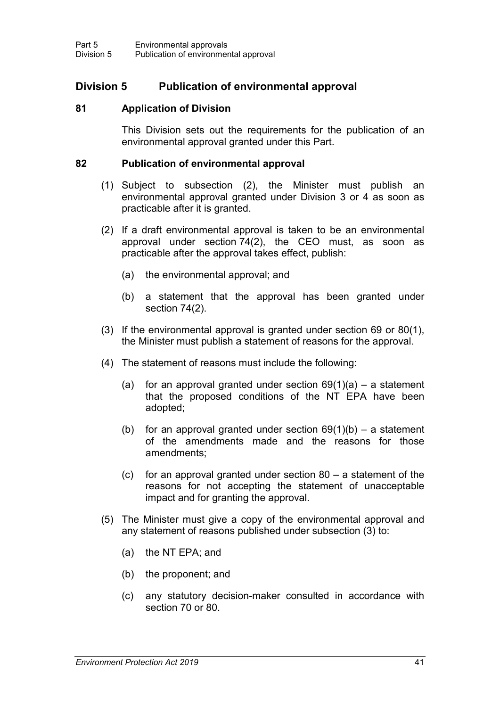# **Division 5 Publication of environmental approval**

#### **81 Application of Division**

This Division sets out the requirements for the publication of an environmental approval granted under this Part.

#### **82 Publication of environmental approval**

- (1) Subject to subsection (2), the Minister must publish an environmental approval granted under Division 3 or 4 as soon as practicable after it is granted.
- (2) If a draft environmental approval is taken to be an environmental approval under section [74\(](#page-54-0)2), the CEO must, as soon as practicable after the approval takes effect, publish:
	- (a) the environmental approval; and
	- (b) a statement that the approval has been granted under section [74\(](#page-54-0)2).
- (3) If the environmental approval is granted under section [69](#page-51-1) or [80\(](#page-57-0)1), the Minister must publish a statement of reasons for the approval.
- (4) The statement of reasons must include the following:
	- (a) for an approval granted under section  $69(1)(a) a$  statement that the proposed conditions of the NT EPA have been adopted;
	- (b) for an approval granted under section  $69(1)(b) a$  statement of the amendments made and the reasons for those amendments;
	- (c) for an approval granted under section  $80 a$  statement of the reasons for not accepting the statement of unacceptable impact and for granting the approval.
- (5) The Minister must give a copy of the environmental approval and any statement of reasons published under subsection (3) to:
	- (a) the NT EPA; and
	- (b) the proponent; and
	- (c) any statutory decision-maker consulted in accordance with section [70](#page-52-0) or [80.](#page-57-0)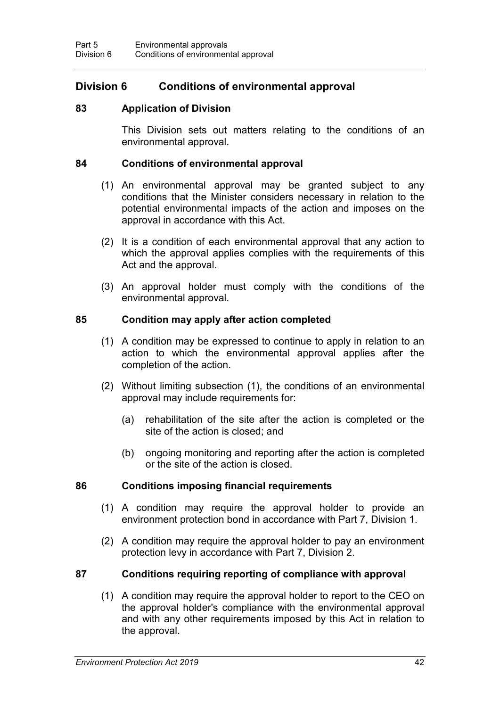# **Division 6 Conditions of environmental approval**

## **83 Application of Division**

This Division sets out matters relating to the conditions of an environmental approval.

#### <span id="page-59-0"></span>**84 Conditions of environmental approval**

- (1) An environmental approval may be granted subject to any conditions that the Minister considers necessary in relation to the potential environmental impacts of the action and imposes on the approval in accordance with this Act.
- (2) It is a condition of each environmental approval that any action to which the approval applies complies with the requirements of this Act and the approval.
- (3) An approval holder must comply with the conditions of the environmental approval.

#### **85 Condition may apply after action completed**

- (1) A condition may be expressed to continue to apply in relation to an action to which the environmental approval applies after the completion of the action.
- (2) Without limiting subsection (1), the conditions of an environmental approval may include requirements for:
	- (a) rehabilitation of the site after the action is completed or the site of the action is closed; and
	- (b) ongoing monitoring and reporting after the action is completed or the site of the action is closed.

## **86 Conditions imposing financial requirements**

- (1) A condition may require the approval holder to provide an environment protection bond in accordance with Part 7, Division 1.
- (2) A condition may require the approval holder to pay an environment protection levy in accordance with Part 7, Division 2.

# **87 Conditions requiring reporting of compliance with approval**

(1) A condition may require the approval holder to report to the CEO on the approval holder's compliance with the environmental approval and with any other requirements imposed by this Act in relation to the approval.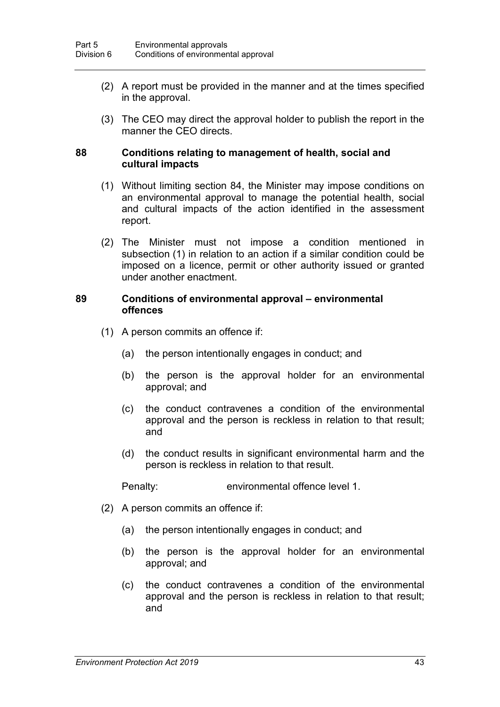- (2) A report must be provided in the manner and at the times specified in the approval.
- (3) The CEO may direct the approval holder to publish the report in the manner the CEO directs.

#### **88 Conditions relating to management of health, social and cultural impacts**

- (1) Without limiting section [84,](#page-59-0) the Minister may impose conditions on an environmental approval to manage the potential health, social and cultural impacts of the action identified in the assessment report.
- (2) The Minister must not impose a condition mentioned in subsection (1) in relation to an action if a similar condition could be imposed on a licence, permit or other authority issued or granted under another enactment.

#### **89 Conditions of environmental approval – environmental offences**

- (1) A person commits an offence if:
	- (a) the person intentionally engages in conduct; and
	- (b) the person is the approval holder for an environmental approval; and
	- (c) the conduct contravenes a condition of the environmental approval and the person is reckless in relation to that result; and
	- (d) the conduct results in significant environmental harm and the person is reckless in relation to that result.

Penalty: environmental offence level 1.

- (2) A person commits an offence if:
	- (a) the person intentionally engages in conduct; and
	- (b) the person is the approval holder for an environmental approval; and
	- (c) the conduct contravenes a condition of the environmental approval and the person is reckless in relation to that result; and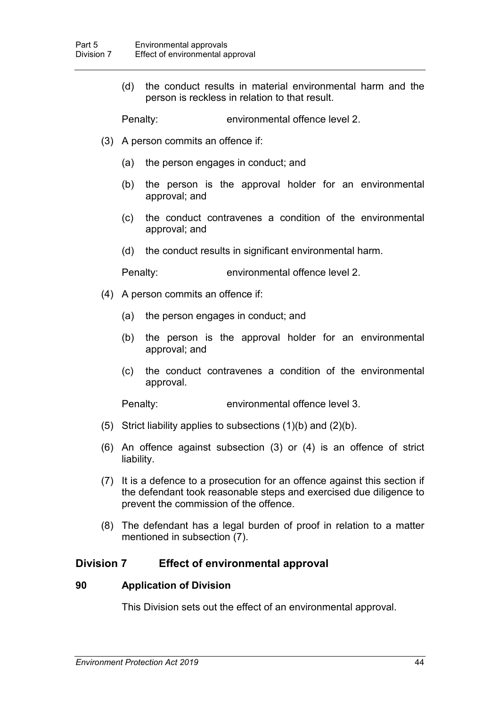(d) the conduct results in material environmental harm and the person is reckless in relation to that result.

Penalty: environmental offence level 2.

- (3) A person commits an offence if:
	- (a) the person engages in conduct; and
	- (b) the person is the approval holder for an environmental approval; and
	- (c) the conduct contravenes a condition of the environmental approval; and
	- (d) the conduct results in significant environmental harm.

Penalty: environmental offence level 2.

- (4) A person commits an offence if:
	- (a) the person engages in conduct; and
	- (b) the person is the approval holder for an environmental approval; and
	- (c) the conduct contravenes a condition of the environmental approval.

Penalty: environmental offence level 3.

- (5) Strict liability applies to subsections  $(1)(b)$  and  $(2)(b)$ .
- (6) An offence against subsection (3) or (4) is an offence of strict liability.
- (7) It is a defence to a prosecution for an offence against this section if the defendant took reasonable steps and exercised due diligence to prevent the commission of the offence.
- (8) The defendant has a legal burden of proof in relation to a matter mentioned in subsection (7).

# **Division 7 Effect of environmental approval**

## **90 Application of Division**

This Division sets out the effect of an environmental approval.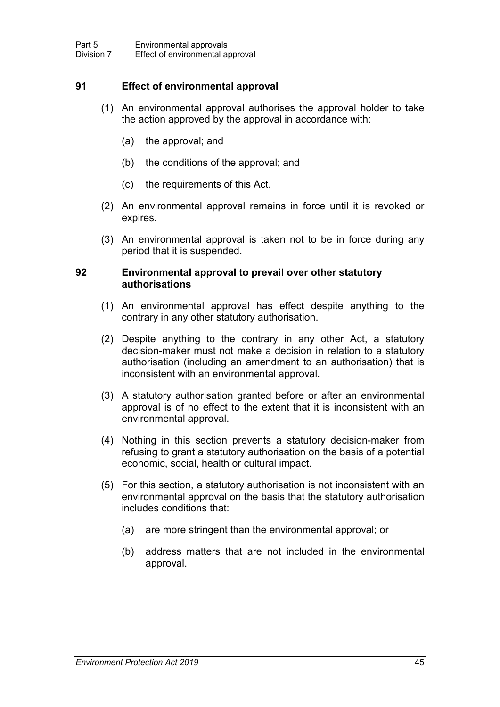## **91 Effect of environmental approval**

- (1) An environmental approval authorises the approval holder to take the action approved by the approval in accordance with:
	- (a) the approval; and
	- (b) the conditions of the approval; and
	- (c) the requirements of this Act.
- (2) An environmental approval remains in force until it is revoked or expires.
- (3) An environmental approval is taken not to be in force during any period that it is suspended.

## **92 Environmental approval to prevail over other statutory authorisations**

- (1) An environmental approval has effect despite anything to the contrary in any other statutory authorisation.
- (2) Despite anything to the contrary in any other Act, a statutory decision-maker must not make a decision in relation to a statutory authorisation (including an amendment to an authorisation) that is inconsistent with an environmental approval.
- (3) A statutory authorisation granted before or after an environmental approval is of no effect to the extent that it is inconsistent with an environmental approval.
- (4) Nothing in this section prevents a statutory decision-maker from refusing to grant a statutory authorisation on the basis of a potential economic, social, health or cultural impact.
- (5) For this section, a statutory authorisation is not inconsistent with an environmental approval on the basis that the statutory authorisation includes conditions that:
	- (a) are more stringent than the environmental approval; or
	- (b) address matters that are not included in the environmental approval.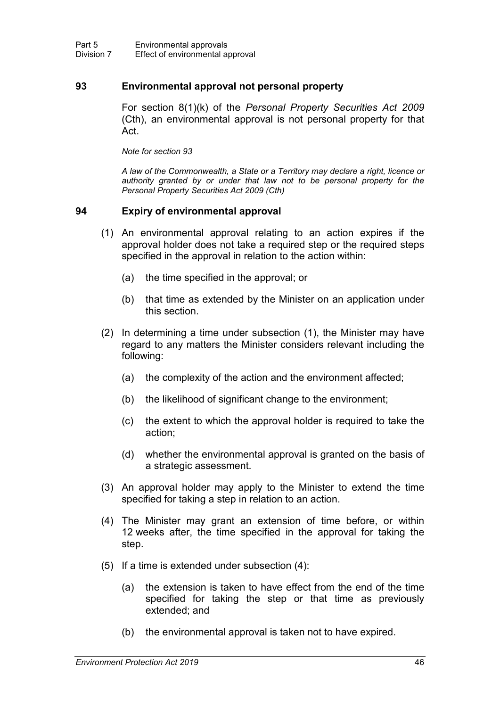#### <span id="page-63-0"></span>**93 Environmental approval not personal property**

For section 8(1)(k) of the *Personal Property Securities Act 2009*  (Cth), an environmental approval is not personal property for that Act.

*Note for section [93](#page-63-0)*

*A law of the Commonwealth, a State or a Territory may declare a right, licence or authority granted by or under that law not to be personal property for the Personal Property Securities Act 2009 (Cth)*

#### **94 Expiry of environmental approval**

- (1) An environmental approval relating to an action expires if the approval holder does not take a required step or the required steps specified in the approval in relation to the action within:
	- (a) the time specified in the approval; or
	- (b) that time as extended by the Minister on an application under this section.
- (2) In determining a time under subsection (1), the Minister may have regard to any matters the Minister considers relevant including the following:
	- (a) the complexity of the action and the environment affected;
	- (b) the likelihood of significant change to the environment;
	- (c) the extent to which the approval holder is required to take the action;
	- (d) whether the environmental approval is granted on the basis of a strategic assessment.
- (3) An approval holder may apply to the Minister to extend the time specified for taking a step in relation to an action.
- (4) The Minister may grant an extension of time before, or within 12 weeks after, the time specified in the approval for taking the step.
- (5) If a time is extended under subsection (4):
	- (a) the extension is taken to have effect from the end of the time specified for taking the step or that time as previously extended; and
	- (b) the environmental approval is taken not to have expired.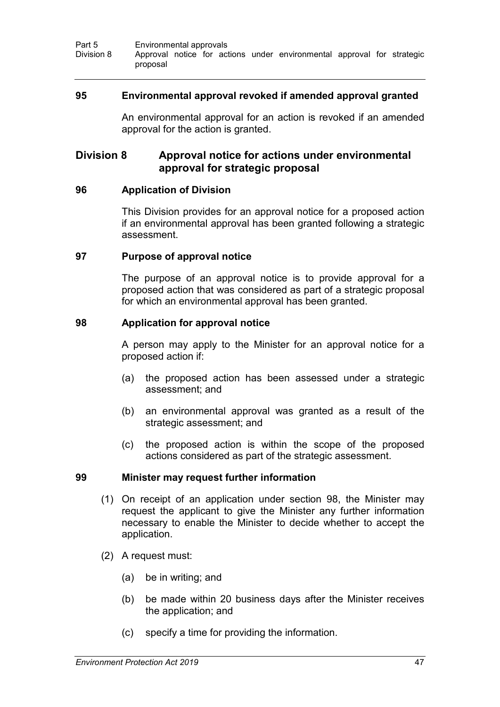#### **95 Environmental approval revoked if amended approval granted**

An environmental approval for an action is revoked if an amended approval for the action is granted.

# **Division 8 Approval notice for actions under environmental approval for strategic proposal**

#### **96 Application of Division**

This Division provides for an approval notice for a proposed action if an environmental approval has been granted following a strategic assessment.

#### **97 Purpose of approval notice**

The purpose of an approval notice is to provide approval for a proposed action that was considered as part of a strategic proposal for which an environmental approval has been granted.

#### <span id="page-64-0"></span>**98 Application for approval notice**

A person may apply to the Minister for an approval notice for a proposed action if:

- (a) the proposed action has been assessed under a strategic assessment; and
- (b) an environmental approval was granted as a result of the strategic assessment; and
- (c) the proposed action is within the scope of the proposed actions considered as part of the strategic assessment.

#### **99 Minister may request further information**

- (1) On receipt of an application under section [98,](#page-64-0) the Minister may request the applicant to give the Minister any further information necessary to enable the Minister to decide whether to accept the application.
- (2) A request must:
	- (a) be in writing; and
	- (b) be made within 20 business days after the Minister receives the application; and
	- (c) specify a time for providing the information.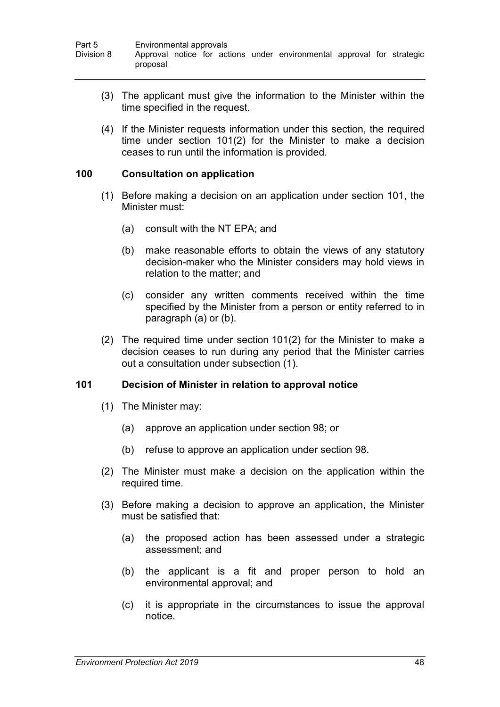- (3) The applicant must give the information to the Minister within the time specified in the request.
- (4) If the Minister requests information under this section, the required time under section [101\(](#page-65-0)2) for the Minister to make a decision ceases to run until the information is provided.

#### <span id="page-65-1"></span>**100 Consultation on application**

- (1) Before making a decision on an application under section [101,](#page-65-0) the Minister must:
	- (a) consult with the NT EPA; and
	- (b) make reasonable efforts to obtain the views of any statutory decision-maker who the Minister considers may hold views in relation to the matter; and
	- (c) consider any written comments received within the time specified by the Minister from a person or entity referred to in paragraph (a) or (b).
- (2) The required time under section [101\(](#page-65-0)2) for the Minister to make a decision ceases to run during any period that the Minister carries out a consultation under subsection (1).

## <span id="page-65-0"></span>**101 Decision of Minister in relation to approval notice**

- (1) The Minister may:
	- (a) approve an application under section [98;](#page-64-0) or
	- (b) refuse to approve an application under section [98.](#page-64-0)
- (2) The Minister must make a decision on the application within the required time.
- (3) Before making a decision to approve an application, the Minister must be satisfied that:
	- (a) the proposed action has been assessed under a strategic assessment; and
	- (b) the applicant is a fit and proper person to hold an environmental approval; and
	- (c) it is appropriate in the circumstances to issue the approval notice.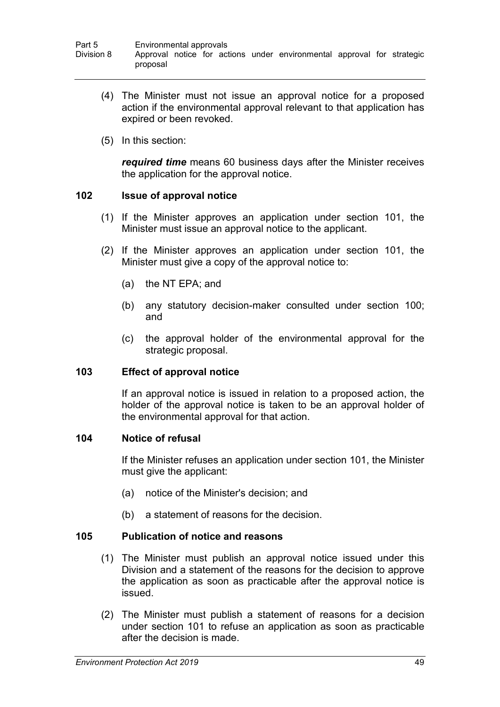- (4) The Minister must not issue an approval notice for a proposed action if the environmental approval relevant to that application has expired or been revoked.
- (5) In this section:

*required time* means 60 business days after the Minister receives the application for the approval notice.

# **102 Issue of approval notice**

- (1) If the Minister approves an application under section [101,](#page-65-0) the Minister must issue an approval notice to the applicant.
- (2) If the Minister approves an application under section [101,](#page-65-0) the Minister must give a copy of the approval notice to:
	- (a) the NT EPA; and
	- (b) any statutory decision-maker consulted under section [100;](#page-65-1) and
	- (c) the approval holder of the environmental approval for the strategic proposal.

## **103 Effect of approval notice**

If an approval notice is issued in relation to a proposed action, the holder of the approval notice is taken to be an approval holder of the environmental approval for that action.

## **104 Notice of refusal**

If the Minister refuses an application under section [101,](#page-65-0) the Minister must give the applicant:

- (a) notice of the Minister's decision; and
- (b) a statement of reasons for the decision.

## **105 Publication of notice and reasons**

- (1) The Minister must publish an approval notice issued under this Division and a statement of the reasons for the decision to approve the application as soon as practicable after the approval notice is issued.
- (2) The Minister must publish a statement of reasons for a decision under section [101](#page-65-0) to refuse an application as soon as practicable after the decision is made.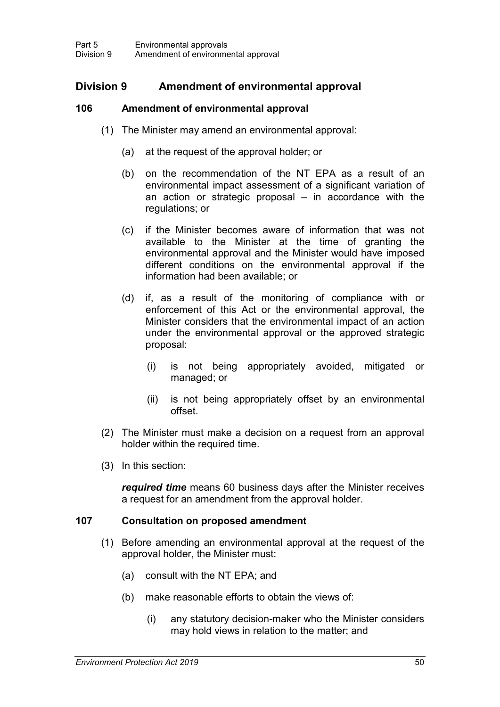# **Division 9 Amendment of environmental approval**

# **106 Amendment of environmental approval**

- <span id="page-67-0"></span>(1) The Minister may amend an environmental approval:
	- (a) at the request of the approval holder; or
	- (b) on the recommendation of the NT EPA as a result of an environmental impact assessment of a significant variation of an action or strategic proposal  $-$  in accordance with the regulations; or
	- (c) if the Minister becomes aware of information that was not available to the Minister at the time of granting the environmental approval and the Minister would have imposed different conditions on the environmental approval if the information had been available; or
	- (d) if, as a result of the monitoring of compliance with or enforcement of this Act or the environmental approval, the Minister considers that the environmental impact of an action under the environmental approval or the approved strategic proposal:
		- (i) is not being appropriately avoided, mitigated or managed; or
		- (ii) is not being appropriately offset by an environmental offset.
- (2) The Minister must make a decision on a request from an approval holder within the required time.
- (3) In this section:

*required time* means 60 business days after the Minister receives a request for an amendment from the approval holder.

## **107 Consultation on proposed amendment**

- (1) Before amending an environmental approval at the request of the approval holder, the Minister must:
	- (a) consult with the NT EPA; and
	- (b) make reasonable efforts to obtain the views of:
		- (i) any statutory decision-maker who the Minister considers may hold views in relation to the matter; and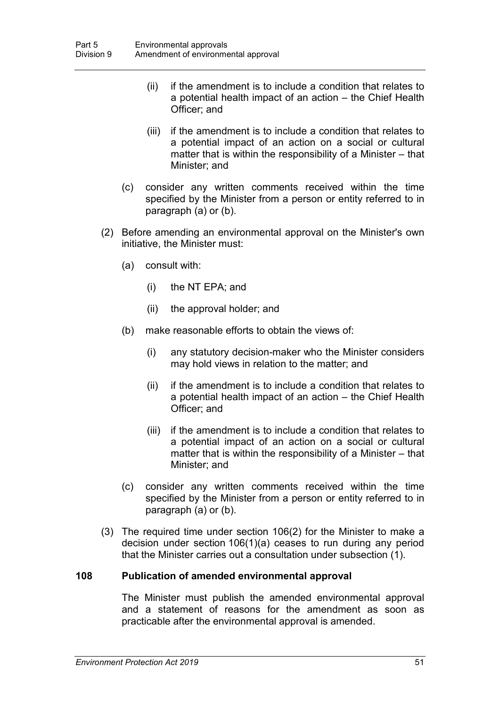- (ii) if the amendment is to include a condition that relates to a potential health impact of an action – the Chief Health Officer; and
- (iii) if the amendment is to include a condition that relates to a potential impact of an action on a social or cultural matter that is within the responsibility of a Minister – that Minister; and
- (c) consider any written comments received within the time specified by the Minister from a person or entity referred to in paragraph (a) or (b).
- (2) Before amending an environmental approval on the Minister's own initiative, the Minister must:
	- (a) consult with:
		- (i) the NT EPA; and
		- (ii) the approval holder; and
	- (b) make reasonable efforts to obtain the views of:
		- (i) any statutory decision-maker who the Minister considers may hold views in relation to the matter; and
		- (ii) if the amendment is to include a condition that relates to a potential health impact of an action – the Chief Health Officer; and
		- (iii) if the amendment is to include a condition that relates to a potential impact of an action on a social or cultural matter that is within the responsibility of a Minister – that Minister; and
	- (c) consider any written comments received within the time specified by the Minister from a person or entity referred to in paragraph (a) or (b).
- (3) The required time under section 106(2) for the Minister to make a decision under section [106\(](#page-67-0)1)(a) ceases to run during any period that the Minister carries out a consultation under subsection (1).

## **108 Publication of amended environmental approval**

The Minister must publish the amended environmental approval and a statement of reasons for the amendment as soon as practicable after the environmental approval is amended.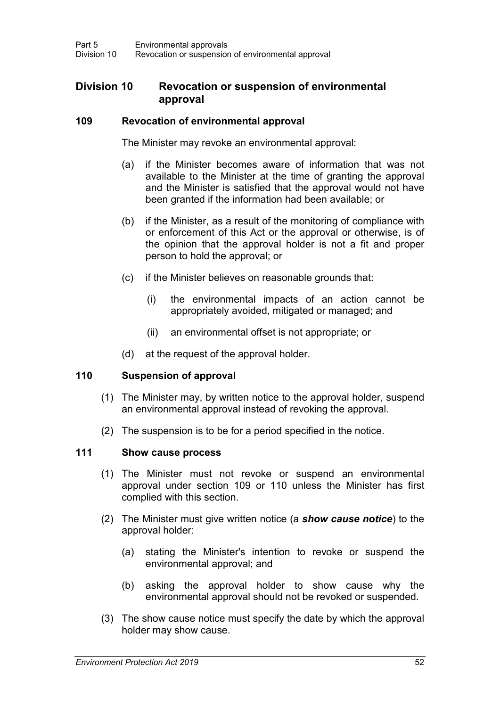# **Division 10 Revocation or suspension of environmental approval**

#### **109 Revocation of environmental approval**

<span id="page-69-0"></span>The Minister may revoke an environmental approval:

- (a) if the Minister becomes aware of information that was not available to the Minister at the time of granting the approval and the Minister is satisfied that the approval would not have been granted if the information had been available; or
- (b) if the Minister, as a result of the monitoring of compliance with or enforcement of this Act or the approval or otherwise, is of the opinion that the approval holder is not a fit and proper person to hold the approval; or
- (c) if the Minister believes on reasonable grounds that:
	- (i) the environmental impacts of an action cannot be appropriately avoided, mitigated or managed; and
	- (ii) an environmental offset is not appropriate; or
- (d) at the request of the approval holder.

## <span id="page-69-1"></span>**110 Suspension of approval**

- (1) The Minister may, by written notice to the approval holder, suspend an environmental approval instead of revoking the approval.
- (2) The suspension is to be for a period specified in the notice.

## <span id="page-69-2"></span>**111 Show cause process**

- (1) The Minister must not revoke or suspend an environmental approval under section [109](#page-69-0) or [110](#page-69-1) unless the Minister has first complied with this section.
- (2) The Minister must give written notice (a *show cause notice*) to the approval holder:
	- (a) stating the Minister's intention to revoke or suspend the environmental approval; and
	- (b) asking the approval holder to show cause why the environmental approval should not be revoked or suspended.
- (3) The show cause notice must specify the date by which the approval holder may show cause.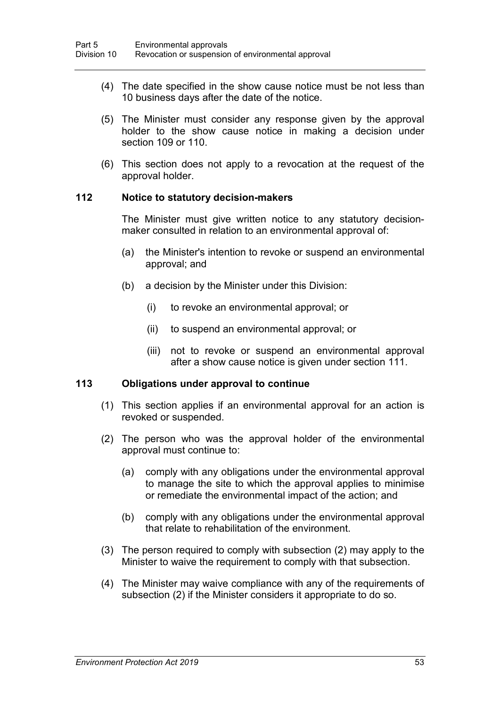- (4) The date specified in the show cause notice must be not less than 10 business days after the date of the notice.
- (5) The Minister must consider any response given by the approval holder to the show cause notice in making a decision under section [109](#page-69-0) or [110.](#page-69-1)
- (6) This section does not apply to a revocation at the request of the approval holder.

#### **112 Notice to statutory decision-makers**

The Minister must give written notice to any statutory decisionmaker consulted in relation to an environmental approval of:

- (a) the Minister's intention to revoke or suspend an environmental approval; and
- (b) a decision by the Minister under this Division:
	- (i) to revoke an environmental approval; or
	- (ii) to suspend an environmental approval; or
	- (iii) not to revoke or suspend an environmental approval after a show cause notice is given under section [111.](#page-69-2)

#### **113 Obligations under approval to continue**

- (1) This section applies if an environmental approval for an action is revoked or suspended.
- (2) The person who was the approval holder of the environmental approval must continue to:
	- (a) comply with any obligations under the environmental approval to manage the site to which the approval applies to minimise or remediate the environmental impact of the action; and
	- (b) comply with any obligations under the environmental approval that relate to rehabilitation of the environment.
- (3) The person required to comply with subsection (2) may apply to the Minister to waive the requirement to comply with that subsection.
- (4) The Minister may waive compliance with any of the requirements of subsection (2) if the Minister considers it appropriate to do so.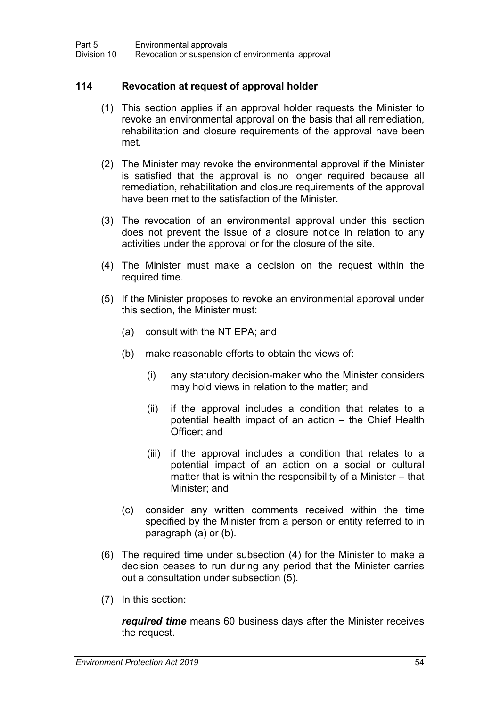## **114 Revocation at request of approval holder**

- (1) This section applies if an approval holder requests the Minister to revoke an environmental approval on the basis that all remediation, rehabilitation and closure requirements of the approval have been met.
- (2) The Minister may revoke the environmental approval if the Minister is satisfied that the approval is no longer required because all remediation, rehabilitation and closure requirements of the approval have been met to the satisfaction of the Minister.
- (3) The revocation of an environmental approval under this section does not prevent the issue of a closure notice in relation to any activities under the approval or for the closure of the site.
- (4) The Minister must make a decision on the request within the required time.
- (5) If the Minister proposes to revoke an environmental approval under this section, the Minister must:
	- (a) consult with the NT EPA; and
	- (b) make reasonable efforts to obtain the views of:
		- (i) any statutory decision-maker who the Minister considers may hold views in relation to the matter; and
		- (ii) if the approval includes a condition that relates to a potential health impact of an action – the Chief Health Officer; and
		- (iii) if the approval includes a condition that relates to a potential impact of an action on a social or cultural matter that is within the responsibility of a Minister – that Minister; and
	- (c) consider any written comments received within the time specified by the Minister from a person or entity referred to in paragraph (a) or (b).
- (6) The required time under subsection (4) for the Minister to make a decision ceases to run during any period that the Minister carries out a consultation under subsection (5).
- (7) In this section:

*required time* means 60 business days after the Minister receives the request.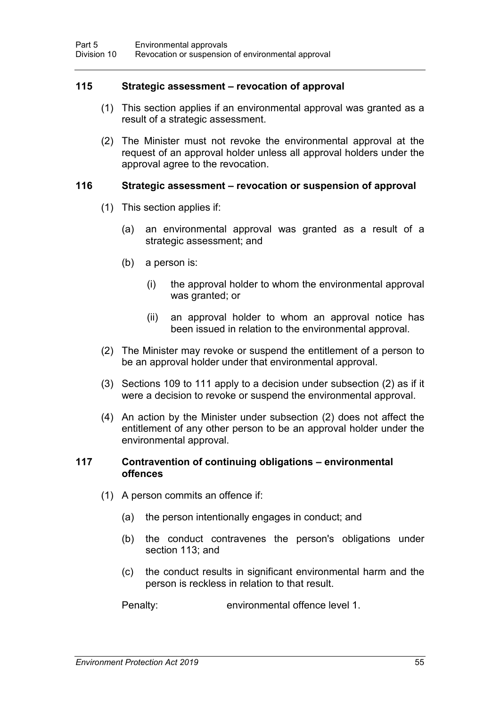#### **115 Strategic assessment – revocation of approval**

- (1) This section applies if an environmental approval was granted as a result of a strategic assessment.
- (2) The Minister must not revoke the environmental approval at the request of an approval holder unless all approval holders under the approval agree to the revocation.

### **116 Strategic assessment – revocation or suspension of approval**

- (1) This section applies if:
	- (a) an environmental approval was granted as a result of a strategic assessment; and
	- (b) a person is:
		- (i) the approval holder to whom the environmental approval was granted; or
		- (ii) an approval holder to whom an approval notice has been issued in relation to the environmental approval.
- (2) The Minister may revoke or suspend the entitlement of a person to be an approval holder under that environmental approval.
- (3) Sections [109](#page-69-0) to [111](#page-69-1) apply to a decision under subsection (2) as if it were a decision to revoke or suspend the environmental approval.
- (4) An action by the Minister under subsection (2) does not affect the entitlement of any other person to be an approval holder under the environmental approval.

#### **117 Contravention of continuing obligations – environmental offences**

- (1) A person commits an offence if:
	- (a) the person intentionally engages in conduct; and
	- (b) the conduct contravenes the person's obligations under section [113;](#page-70-0) and
	- (c) the conduct results in significant environmental harm and the person is reckless in relation to that result.

Penalty: environmental offence level 1.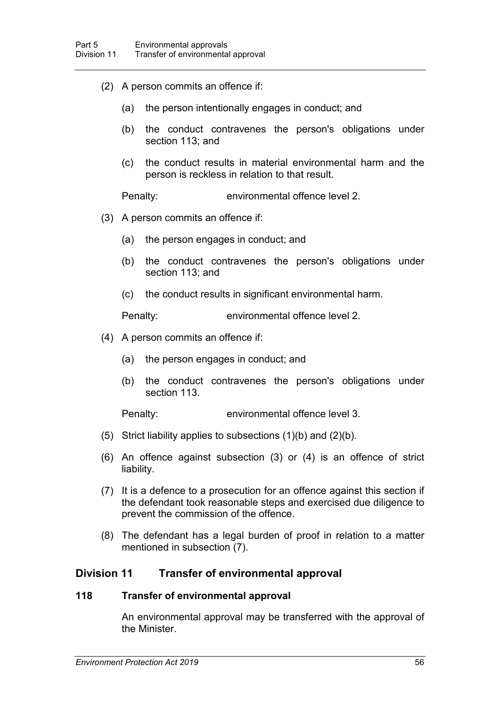- (2) A person commits an offence if:
	- (a) the person intentionally engages in conduct; and
	- (b) the conduct contravenes the person's obligations under section [113;](#page-70-0) and
	- (c) the conduct results in material environmental harm and the person is reckless in relation to that result.

Penalty: environmental offence level 2.

- (3) A person commits an offence if:
	- (a) the person engages in conduct; and
	- (b) the conduct contravenes the person's obligations under section [113;](#page-70-0) and
	- (c) the conduct results in significant environmental harm.

Penalty: environmental offence level 2.

- (4) A person commits an offence if:
	- (a) the person engages in conduct; and
	- (b) the conduct contravenes the person's obligations under section [113.](#page-70-0)

Penalty: environmental offence level 3.

- (5) Strict liability applies to subsections  $(1)(b)$  and  $(2)(b)$ .
- (6) An offence against subsection (3) or (4) is an offence of strict liability.
- (7) It is a defence to a prosecution for an offence against this section if the defendant took reasonable steps and exercised due diligence to prevent the commission of the offence.
- (8) The defendant has a legal burden of proof in relation to a matter mentioned in subsection (7).

### **Division 11 Transfer of environmental approval**

#### **118 Transfer of environmental approval**

An environmental approval may be transferred with the approval of the Minister.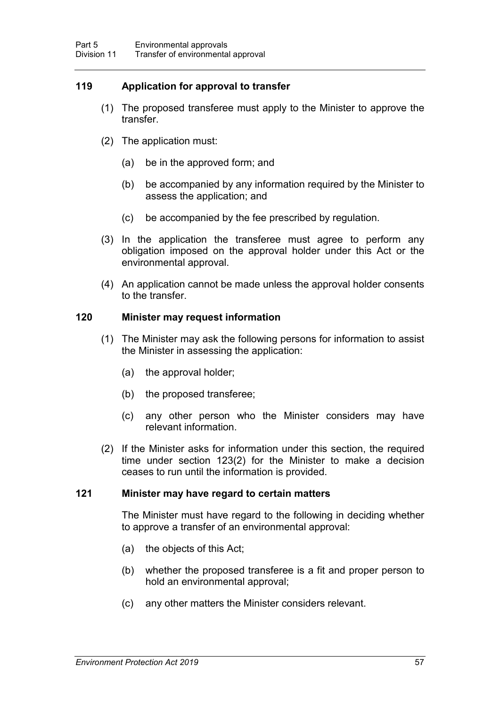## **119 Application for approval to transfer**

- (1) The proposed transferee must apply to the Minister to approve the transfer.
- (2) The application must:
	- (a) be in the approved form; and
	- (b) be accompanied by any information required by the Minister to assess the application; and
	- (c) be accompanied by the fee prescribed by regulation.
- (3) In the application the transferee must agree to perform any obligation imposed on the approval holder under this Act or the environmental approval.
- (4) An application cannot be made unless the approval holder consents to the transfer.

### **120 Minister may request information**

- (1) The Minister may ask the following persons for information to assist the Minister in assessing the application:
	- (a) the approval holder;
	- (b) the proposed transferee;
	- (c) any other person who the Minister considers may have relevant information.
- (2) If the Minister asks for information under this section, the required time under section [123\(](#page-75-0)2) for the Minister to make a decision ceases to run until the information is provided.

#### **121 Minister may have regard to certain matters**

The Minister must have regard to the following in deciding whether to approve a transfer of an environmental approval:

- (a) the objects of this Act;
- (b) whether the proposed transferee is a fit and proper person to hold an environmental approval;
- (c) any other matters the Minister considers relevant.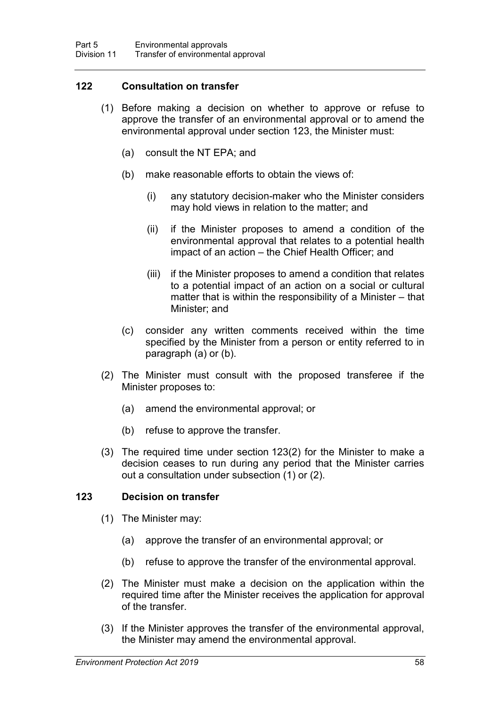### **122 Consultation on transfer**

- (1) Before making a decision on whether to approve or refuse to approve the transfer of an environmental approval or to amend the environmental approval under section [123,](#page-75-0) the Minister must:
	- (a) consult the NT EPA; and
	- (b) make reasonable efforts to obtain the views of:
		- (i) any statutory decision-maker who the Minister considers may hold views in relation to the matter; and
		- (ii) if the Minister proposes to amend a condition of the environmental approval that relates to a potential health impact of an action – the Chief Health Officer; and
		- (iii) if the Minister proposes to amend a condition that relates to a potential impact of an action on a social or cultural matter that is within the responsibility of a Minister – that Minister; and
	- (c) consider any written comments received within the time specified by the Minister from a person or entity referred to in paragraph (a) or (b).
- (2) The Minister must consult with the proposed transferee if the Minister proposes to:
	- (a) amend the environmental approval; or
	- (b) refuse to approve the transfer.
- (3) The required time under section [123\(](#page-75-0)2) for the Minister to make a decision ceases to run during any period that the Minister carries out a consultation under subsection (1) or (2).

### <span id="page-75-0"></span>**123 Decision on transfer**

- (1) The Minister may:
	- (a) approve the transfer of an environmental approval; or
	- (b) refuse to approve the transfer of the environmental approval.
- (2) The Minister must make a decision on the application within the required time after the Minister receives the application for approval of the transfer.
- (3) If the Minister approves the transfer of the environmental approval, the Minister may amend the environmental approval.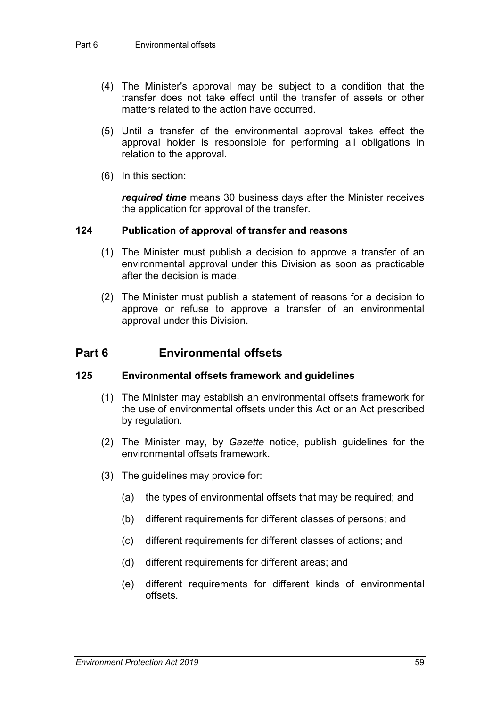- (4) The Minister's approval may be subject to a condition that the transfer does not take effect until the transfer of assets or other matters related to the action have occurred.
- (5) Until a transfer of the environmental approval takes effect the approval holder is responsible for performing all obligations in relation to the approval.
- (6) In this section:

*required time* means 30 business days after the Minister receives the application for approval of the transfer.

#### **124 Publication of approval of transfer and reasons**

- (1) The Minister must publish a decision to approve a transfer of an environmental approval under this Division as soon as practicable after the decision is made.
- (2) The Minister must publish a statement of reasons for a decision to approve or refuse to approve a transfer of an environmental approval under this Division.

# **Part 6 Environmental offsets**

### **125 Environmental offsets framework and guidelines**

- (1) The Minister may establish an environmental offsets framework for the use of environmental offsets under this Act or an Act prescribed by regulation.
- (2) The Minister may, by *Gazette* notice, publish guidelines for the environmental offsets framework.
- (3) The guidelines may provide for:
	- (a) the types of environmental offsets that may be required; and
	- (b) different requirements for different classes of persons; and
	- (c) different requirements for different classes of actions; and
	- (d) different requirements for different areas; and
	- (e) different requirements for different kinds of environmental offsets.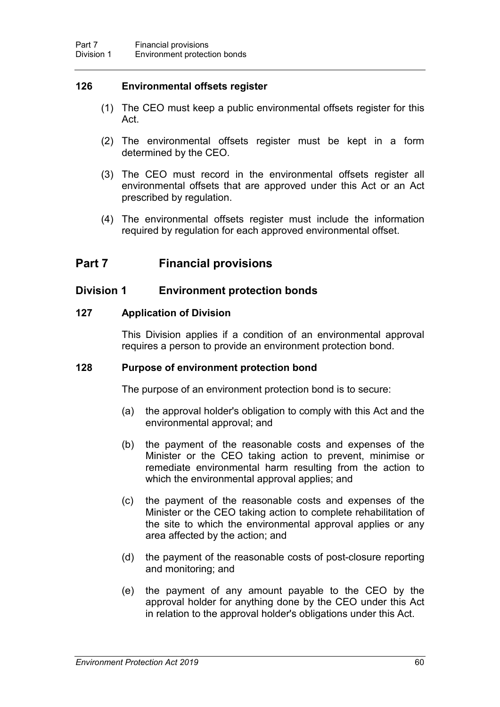### **126 Environmental offsets register**

- (1) The CEO must keep a public environmental offsets register for this Act.
- (2) The environmental offsets register must be kept in a form determined by the CEO.
- (3) The CEO must record in the environmental offsets register all environmental offsets that are approved under this Act or an Act prescribed by regulation.
- (4) The environmental offsets register must include the information required by regulation for each approved environmental offset.

# **Part 7 Financial provisions**

## **Division 1 Environment protection bonds**

### **127 Application of Division**

This Division applies if a condition of an environmental approval requires a person to provide an environment protection bond.

### <span id="page-77-0"></span>**128 Purpose of environment protection bond**

The purpose of an environment protection bond is to secure:

- (a) the approval holder's obligation to comply with this Act and the environmental approval; and
- (b) the payment of the reasonable costs and expenses of the Minister or the CEO taking action to prevent, minimise or remediate environmental harm resulting from the action to which the environmental approval applies; and
- (c) the payment of the reasonable costs and expenses of the Minister or the CEO taking action to complete rehabilitation of the site to which the environmental approval applies or any area affected by the action; and
- (d) the payment of the reasonable costs of post-closure reporting and monitoring; and
- (e) the payment of any amount payable to the CEO by the approval holder for anything done by the CEO under this Act in relation to the approval holder's obligations under this Act.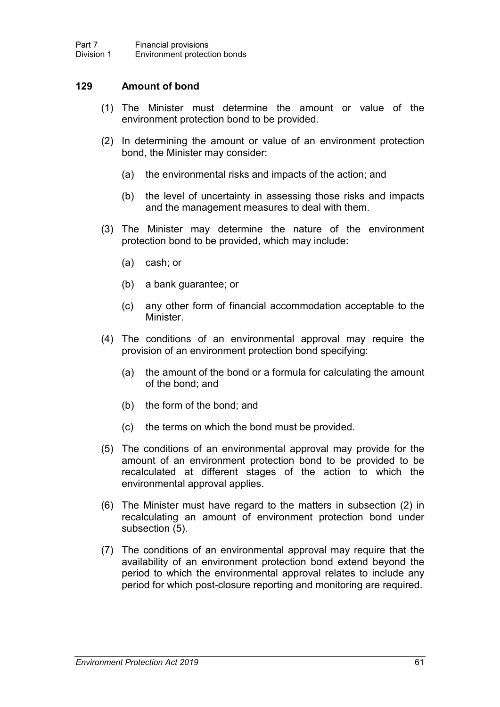### **129 Amount of bond**

- (1) The Minister must determine the amount or value of the environment protection bond to be provided.
- (2) In determining the amount or value of an environment protection bond, the Minister may consider:
	- (a) the environmental risks and impacts of the action; and
	- (b) the level of uncertainty in assessing those risks and impacts and the management measures to deal with them.
- (3) The Minister may determine the nature of the environment protection bond to be provided, which may include:
	- (a) cash; or
	- (b) a bank guarantee; or
	- (c) any other form of financial accommodation acceptable to the Minister.
- (4) The conditions of an environmental approval may require the provision of an environment protection bond specifying:
	- (a) the amount of the bond or a formula for calculating the amount of the bond; and
	- (b) the form of the bond; and
	- (c) the terms on which the bond must be provided.
- (5) The conditions of an environmental approval may provide for the amount of an environment protection bond to be provided to be recalculated at different stages of the action to which the environmental approval applies.
- (6) The Minister must have regard to the matters in subsection (2) in recalculating an amount of environment protection bond under subsection (5).
- (7) The conditions of an environmental approval may require that the availability of an environment protection bond extend beyond the period to which the environmental approval relates to include any period for which post-closure reporting and monitoring are required.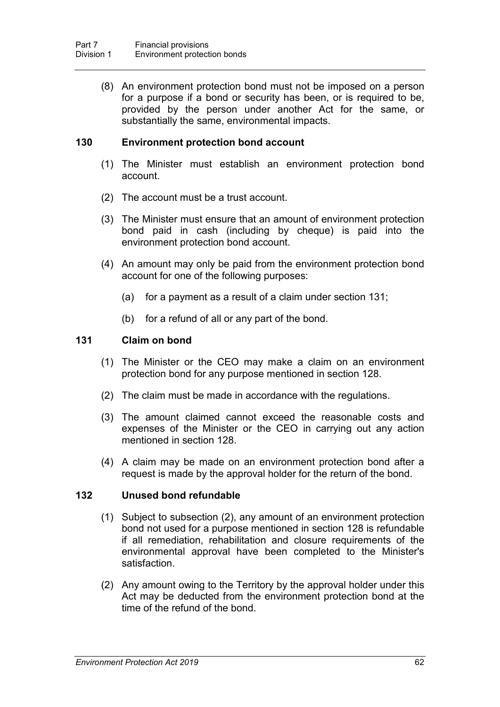(8) An environment protection bond must not be imposed on a person for a purpose if a bond or security has been, or is required to be, provided by the person under another Act for the same, or substantially the same, environmental impacts.

### **130 Environment protection bond account**

- (1) The Minister must establish an environment protection bond account.
- (2) The account must be a trust account.
- (3) The Minister must ensure that an amount of environment protection bond paid in cash (including by cheque) is paid into the environment protection bond account.
- (4) An amount may only be paid from the environment protection bond account for one of the following purposes:
	- (a) for a payment as a result of a claim under section [131;](#page-79-0)
	- (b) for a refund of all or any part of the bond.

#### <span id="page-79-0"></span>**131 Claim on bond**

- (1) The Minister or the CEO may make a claim on an environment protection bond for any purpose mentioned in section [128.](#page-77-0)
- (2) The claim must be made in accordance with the regulations.
- (3) The amount claimed cannot exceed the reasonable costs and expenses of the Minister or the CEO in carrying out any action mentioned in section [128.](#page-77-0)
- (4) A claim may be made on an environment protection bond after a request is made by the approval holder for the return of the bond.

#### **132 Unused bond refundable**

- (1) Subject to subsection (2), any amount of an environment protection bond not used for a purpose mentioned in section [128](#page-77-0) is refundable if all remediation, rehabilitation and closure requirements of the environmental approval have been completed to the Minister's satisfaction.
- (2) Any amount owing to the Territory by the approval holder under this Act may be deducted from the environment protection bond at the time of the refund of the bond.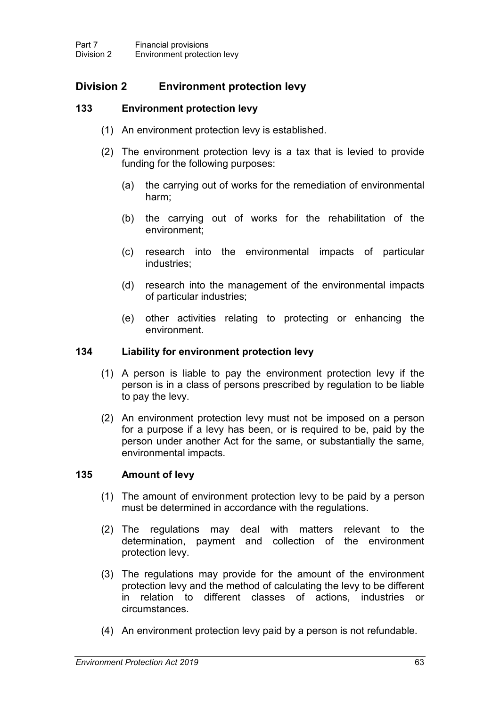# **Division 2 Environment protection levy**

## **133 Environment protection levy**

- (1) An environment protection levy is established.
- (2) The environment protection levy is a tax that is levied to provide funding for the following purposes:
	- (a) the carrying out of works for the remediation of environmental harm;
	- (b) the carrying out of works for the rehabilitation of the environment;
	- (c) research into the environmental impacts of particular industries;
	- (d) research into the management of the environmental impacts of particular industries;
	- (e) other activities relating to protecting or enhancing the environment.

#### **134 Liability for environment protection levy**

- (1) A person is liable to pay the environment protection levy if the person is in a class of persons prescribed by regulation to be liable to pay the levy.
- (2) An environment protection levy must not be imposed on a person for a purpose if a levy has been, or is required to be, paid by the person under another Act for the same, or substantially the same, environmental impacts.

### **135 Amount of levy**

- (1) The amount of environment protection levy to be paid by a person must be determined in accordance with the regulations.
- (2) The regulations may deal with matters relevant to the determination, payment and collection of the environment protection levy.
- (3) The regulations may provide for the amount of the environment protection levy and the method of calculating the levy to be different in relation to different classes of actions, industries or circumstances.
- (4) An environment protection levy paid by a person is not refundable.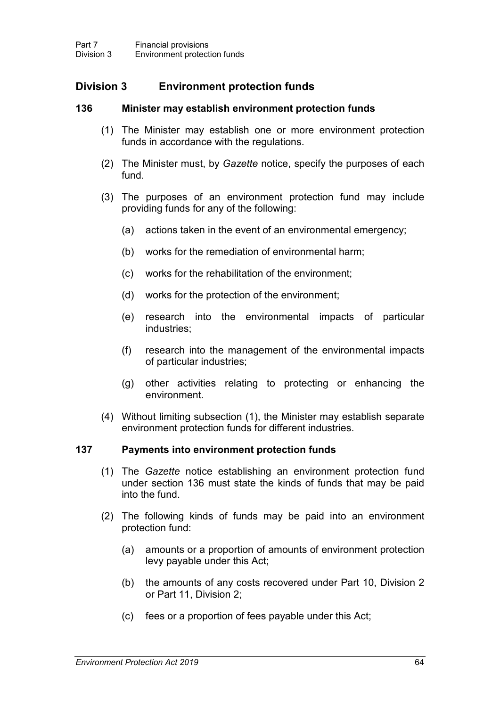# **Division 3 Environment protection funds**

### **136 Minister may establish environment protection funds**

- <span id="page-81-0"></span>(1) The Minister may establish one or more environment protection funds in accordance with the regulations.
- (2) The Minister must, by *Gazette* notice, specify the purposes of each fund.
- (3) The purposes of an environment protection fund may include providing funds for any of the following:
	- (a) actions taken in the event of an environmental emergency;
	- (b) works for the remediation of environmental harm;
	- (c) works for the rehabilitation of the environment;
	- (d) works for the protection of the environment;
	- (e) research into the environmental impacts of particular industries;
	- (f) research into the management of the environmental impacts of particular industries;
	- (g) other activities relating to protecting or enhancing the environment.
- (4) Without limiting subsection (1), the Minister may establish separate environment protection funds for different industries.

### **137 Payments into environment protection funds**

- (1) The *Gazette* notice establishing an environment protection fund under section [136](#page-81-0) must state the kinds of funds that may be paid into the fund.
- (2) The following kinds of funds may be paid into an environment protection fund:
	- (a) amounts or a proportion of amounts of environment protection levy payable under this Act;
	- (b) the amounts of any costs recovered under Part 10, Division 2 or Part 11, Division 2;
	- (c) fees or a proportion of fees payable under this Act;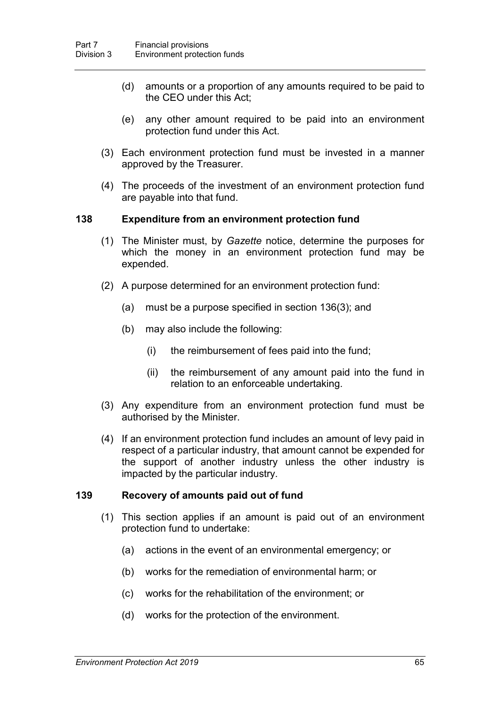- (d) amounts or a proportion of any amounts required to be paid to the CEO under this Act;
- (e) any other amount required to be paid into an environment protection fund under this Act.
- (3) Each environment protection fund must be invested in a manner approved by the Treasurer.
- (4) The proceeds of the investment of an environment protection fund are payable into that fund.

#### **138 Expenditure from an environment protection fund**

- (1) The Minister must, by *Gazette* notice, determine the purposes for which the money in an environment protection fund may be expended.
- (2) A purpose determined for an environment protection fund:
	- (a) must be a purpose specified in section [136\(](#page-81-0)3); and
	- (b) may also include the following:
		- (i) the reimbursement of fees paid into the fund;
		- (ii) the reimbursement of any amount paid into the fund in relation to an enforceable undertaking.
- (3) Any expenditure from an environment protection fund must be authorised by the Minister.
- (4) If an environment protection fund includes an amount of levy paid in respect of a particular industry, that amount cannot be expended for the support of another industry unless the other industry is impacted by the particular industry.

#### **139 Recovery of amounts paid out of fund**

- (1) This section applies if an amount is paid out of an environment protection fund to undertake:
	- (a) actions in the event of an environmental emergency; or
	- (b) works for the remediation of environmental harm; or
	- (c) works for the rehabilitation of the environment; or
	- (d) works for the protection of the environment.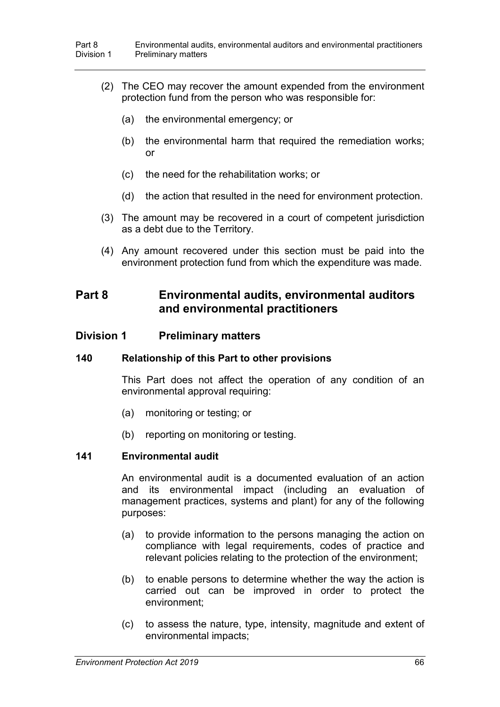- (2) The CEO may recover the amount expended from the environment protection fund from the person who was responsible for:
	- (a) the environmental emergency; or
	- (b) the environmental harm that required the remediation works; or
	- (c) the need for the rehabilitation works; or
	- (d) the action that resulted in the need for environment protection.
- (3) The amount may be recovered in a court of competent jurisdiction as a debt due to the Territory.
- (4) Any amount recovered under this section must be paid into the environment protection fund from which the expenditure was made.

# **Part 8 Environmental audits, environmental auditors and environmental practitioners**

### **Division 1 Preliminary matters**

#### **140 Relationship of this Part to other provisions**

This Part does not affect the operation of any condition of an environmental approval requiring:

- (a) monitoring or testing; or
- (b) reporting on monitoring or testing.

#### **141 Environmental audit**

An environmental audit is a documented evaluation of an action and its environmental impact (including an evaluation of management practices, systems and plant) for any of the following purposes:

- (a) to provide information to the persons managing the action on compliance with legal requirements, codes of practice and relevant policies relating to the protection of the environment;
- (b) to enable persons to determine whether the way the action is carried out can be improved in order to protect the environment;
- (c) to assess the nature, type, intensity, magnitude and extent of environmental impacts;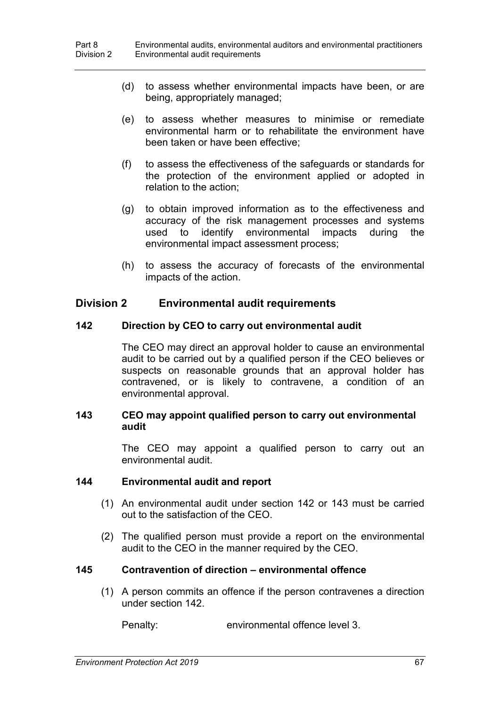- (d) to assess whether environmental impacts have been, or are being, appropriately managed;
- (e) to assess whether measures to minimise or remediate environmental harm or to rehabilitate the environment have been taken or have been effective;
- (f) to assess the effectiveness of the safeguards or standards for the protection of the environment applied or adopted in relation to the action;
- (g) to obtain improved information as to the effectiveness and accuracy of the risk management processes and systems used to identify environmental impacts during the environmental impact assessment process;
- (h) to assess the accuracy of forecasts of the environmental impacts of the action.

## **Division 2 Environmental audit requirements**

#### **142 Direction by CEO to carry out environmental audit**

<span id="page-84-0"></span>The CEO may direct an approval holder to cause an environmental audit to be carried out by a qualified person if the CEO believes or suspects on reasonable grounds that an approval holder has contravened, or is likely to contravene, a condition of an environmental approval.

### <span id="page-84-1"></span>**143 CEO may appoint qualified person to carry out environmental audit**

The CEO may appoint a qualified person to carry out an environmental audit.

#### **144 Environmental audit and report**

- (1) An environmental audit under section [142](#page-84-0) or [143](#page-84-1) must be carried out to the satisfaction of the CEO.
- (2) The qualified person must provide a report on the environmental audit to the CEO in the manner required by the CEO.

### **145 Contravention of direction – environmental offence**

(1) A person commits an offence if the person contravenes a direction under section [142.](#page-84-0)

Penalty: environmental offence level 3.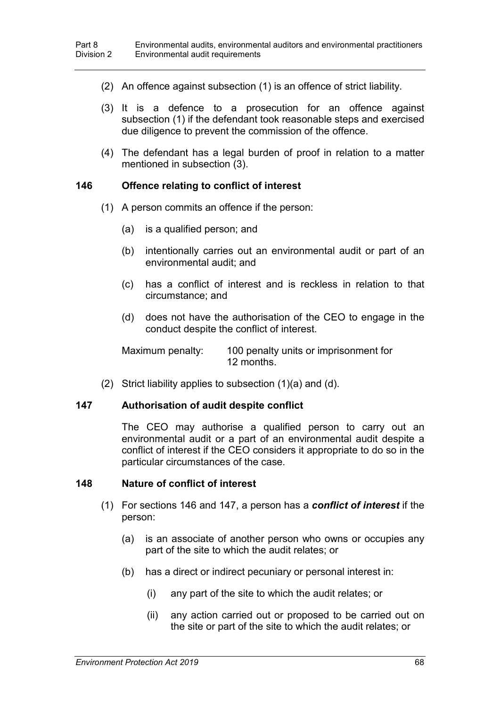- (2) An offence against subsection (1) is an offence of strict liability.
- (3) It is a defence to a prosecution for an offence against subsection (1) if the defendant took reasonable steps and exercised due diligence to prevent the commission of the offence.
- (4) The defendant has a legal burden of proof in relation to a matter mentioned in subsection (3).

#### <span id="page-85-0"></span>**146 Offence relating to conflict of interest**

- (1) A person commits an offence if the person:
	- (a) is a qualified person; and
	- (b) intentionally carries out an environmental audit or part of an environmental audit; and
	- (c) has a conflict of interest and is reckless in relation to that circumstance; and
	- (d) does not have the authorisation of the CEO to engage in the conduct despite the conflict of interest.

Maximum penalty: 100 penalty units or imprisonment for 12 months.

(2) Strict liability applies to subsection (1)(a) and (d).

#### <span id="page-85-1"></span>**147 Authorisation of audit despite conflict**

The CEO may authorise a qualified person to carry out an environmental audit or a part of an environmental audit despite a conflict of interest if the CEO considers it appropriate to do so in the particular circumstances of the case.

#### **148 Nature of conflict of interest**

- (1) For sections [146](#page-85-0) and [147,](#page-85-1) a person has a *conflict of interest* if the person:
	- (a) is an associate of another person who owns or occupies any part of the site to which the audit relates; or
	- (b) has a direct or indirect pecuniary or personal interest in:
		- (i) any part of the site to which the audit relates; or
		- (ii) any action carried out or proposed to be carried out on the site or part of the site to which the audit relates; or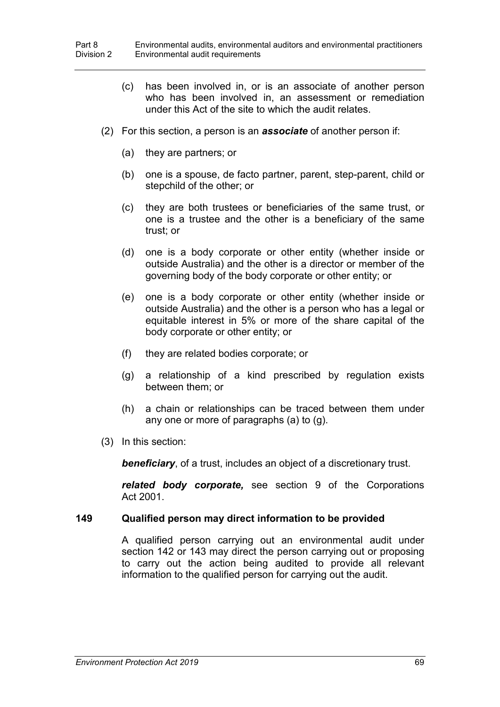- (c) has been involved in, or is an associate of another person who has been involved in, an assessment or remediation under this Act of the site to which the audit relates.
- (2) For this section, a person is an *associate* of another person if:
	- (a) they are partners; or
	- (b) one is a spouse, de facto partner, parent, step-parent, child or stepchild of the other; or
	- (c) they are both trustees or beneficiaries of the same trust, or one is a trustee and the other is a beneficiary of the same trust; or
	- (d) one is a body corporate or other entity (whether inside or outside Australia) and the other is a director or member of the governing body of the body corporate or other entity; or
	- (e) one is a body corporate or other entity (whether inside or outside Australia) and the other is a person who has a legal or equitable interest in 5% or more of the share capital of the body corporate or other entity; or
	- (f) they are related bodies corporate; or
	- (g) a relationship of a kind prescribed by regulation exists between them; or
	- (h) a chain or relationships can be traced between them under any one or more of paragraphs (a) to (g).
- (3) In this section:

**beneficiary**, of a trust, includes an object of a discretionary trust.

*related body corporate,* see section 9 of the Corporations Act 2001.

#### <span id="page-86-0"></span>**149 Qualified person may direct information to be provided**

A qualified person carrying out an environmental audit under section [142](#page-84-0) or [143](#page-84-1) may direct the person carrying out or proposing to carry out the action being audited to provide all relevant information to the qualified person for carrying out the audit.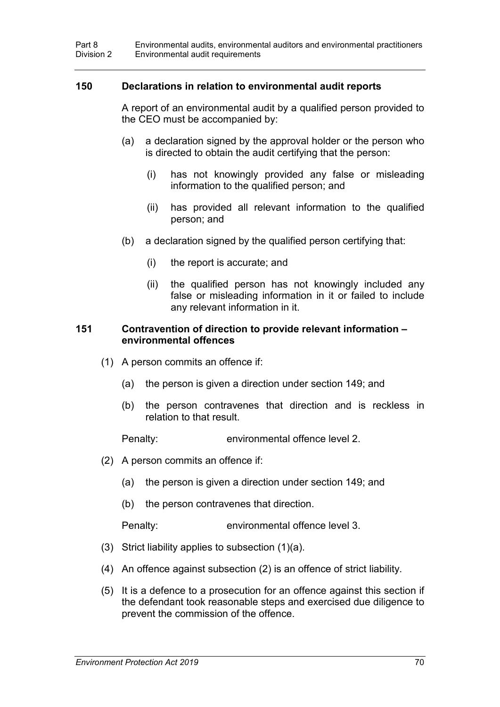#### <span id="page-87-0"></span>**150 Declarations in relation to environmental audit reports**

A report of an environmental audit by a qualified person provided to the CEO must be accompanied by:

- (a) a declaration signed by the approval holder or the person who is directed to obtain the audit certifying that the person:
	- (i) has not knowingly provided any false or misleading information to the qualified person; and
	- (ii) has provided all relevant information to the qualified person; and
- (b) a declaration signed by the qualified person certifying that:
	- (i) the report is accurate; and
	- (ii) the qualified person has not knowingly included any false or misleading information in it or failed to include any relevant information in it.

#### **151 Contravention of direction to provide relevant information – environmental offences**

- (1) A person commits an offence if:
	- (a) the person is given a direction under section [149;](#page-86-0) and
	- (b) the person contravenes that direction and is reckless in relation to that result.

Penalty: environmental offence level 2.

- (2) A person commits an offence if:
	- (a) the person is given a direction under section [149;](#page-86-0) and
	- (b) the person contravenes that direction.

Penalty: environmental offence level 3.

- (3) Strict liability applies to subsection (1)(a).
- (4) An offence against subsection (2) is an offence of strict liability.
- (5) It is a defence to a prosecution for an offence against this section if the defendant took reasonable steps and exercised due diligence to prevent the commission of the offence.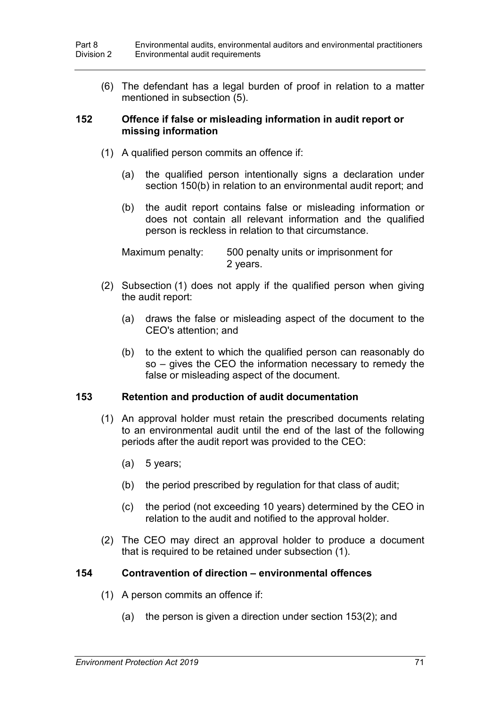(6) The defendant has a legal burden of proof in relation to a matter mentioned in subsection (5).

#### **152 Offence if false or misleading information in audit report or missing information**

- (1) A qualified person commits an offence if:
	- (a) the qualified person intentionally signs a declaration under section [150\(](#page-87-0)b) in relation to an environmental audit report; and
	- (b) the audit report contains false or misleading information or does not contain all relevant information and the qualified person is reckless in relation to that circumstance.

Maximum penalty: 500 penalty units or imprisonment for 2 years.

- (2) Subsection (1) does not apply if the qualified person when giving the audit report:
	- (a) draws the false or misleading aspect of the document to the CEO's attention; and
	- (b) to the extent to which the qualified person can reasonably do so – gives the CEO the information necessary to remedy the false or misleading aspect of the document.

### <span id="page-88-0"></span>**153 Retention and production of audit documentation**

- (1) An approval holder must retain the prescribed documents relating to an environmental audit until the end of the last of the following periods after the audit report was provided to the CEO:
	- (a) 5 years;
	- (b) the period prescribed by regulation for that class of audit;
	- (c) the period (not exceeding 10 years) determined by the CEO in relation to the audit and notified to the approval holder.
- (2) The CEO may direct an approval holder to produce a document that is required to be retained under subsection (1).

### **154 Contravention of direction – environmental offences**

- (1) A person commits an offence if:
	- (a) the person is given a direction under section [153\(](#page-88-0)2); and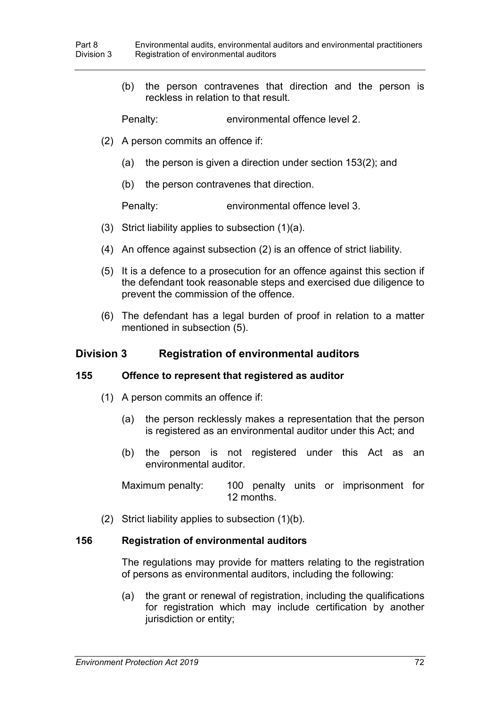(b) the person contravenes that direction and the person is reckless in relation to that result.

Penalty: environmental offence level 2.

- (2) A person commits an offence if:
	- (a) the person is given a direction under section [153\(](#page-88-0)2); and
	- (b) the person contravenes that direction.

Penalty: environmental offence level 3.

- (3) Strict liability applies to subsection (1)(a).
- (4) An offence against subsection (2) is an offence of strict liability.
- (5) It is a defence to a prosecution for an offence against this section if the defendant took reasonable steps and exercised due diligence to prevent the commission of the offence.
- (6) The defendant has a legal burden of proof in relation to a matter mentioned in subsection (5).

# **Division 3 Registration of environmental auditors**

### **155 Offence to represent that registered as auditor**

- (1) A person commits an offence if:
	- (a) the person recklessly makes a representation that the person is registered as an environmental auditor under this Act; and
	- (b) the person is not registered under this Act as an environmental auditor.

Maximum penalty: 100 penalty units or imprisonment for 12 months.

(2) Strict liability applies to subsection (1)(b).

### **156 Registration of environmental auditors**

The regulations may provide for matters relating to the registration of persons as environmental auditors, including the following:

(a) the grant or renewal of registration, including the qualifications for registration which may include certification by another jurisdiction or entity;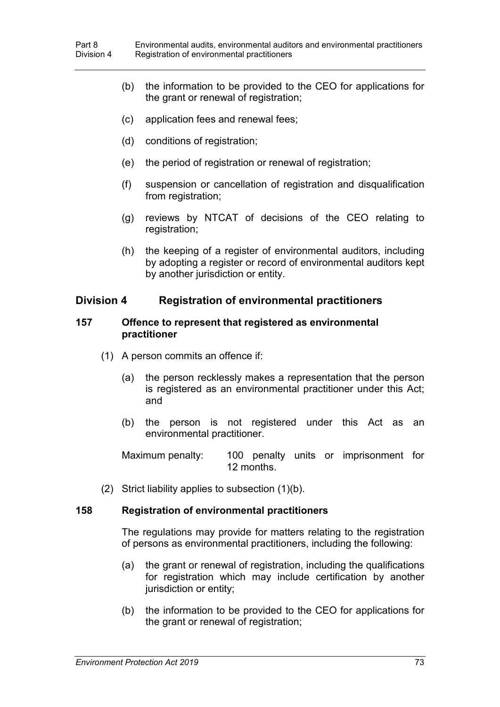- (b) the information to be provided to the CEO for applications for the grant or renewal of registration;
- (c) application fees and renewal fees;
- (d) conditions of registration;
- (e) the period of registration or renewal of registration;
- (f) suspension or cancellation of registration and disqualification from registration;
- (g) reviews by NTCAT of decisions of the CEO relating to registration;
- (h) the keeping of a register of environmental auditors, including by adopting a register or record of environmental auditors kept by another jurisdiction or entity.

### **Division 4 Registration of environmental practitioners**

#### **157 Offence to represent that registered as environmental practitioner**

- (1) A person commits an offence if:
	- (a) the person recklessly makes a representation that the person is registered as an environmental practitioner under this Act; and
	- (b) the person is not registered under this Act as an environmental practitioner.

Maximum penalty: 100 penalty units or imprisonment for 12 months.

(2) Strict liability applies to subsection (1)(b).

### **158 Registration of environmental practitioners**

The regulations may provide for matters relating to the registration of persons as environmental practitioners, including the following:

- (a) the grant or renewal of registration, including the qualifications for registration which may include certification by another jurisdiction or entity:
- (b) the information to be provided to the CEO for applications for the grant or renewal of registration;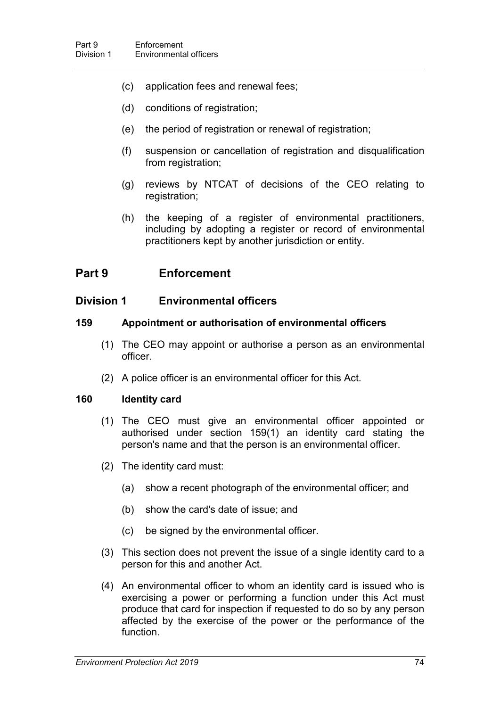- (c) application fees and renewal fees;
- (d) conditions of registration;
- (e) the period of registration or renewal of registration;
- (f) suspension or cancellation of registration and disqualification from registration;
- (g) reviews by NTCAT of decisions of the CEO relating to registration;
- (h) the keeping of a register of environmental practitioners, including by adopting a register or record of environmental practitioners kept by another jurisdiction or entity.

# **Part 9 Enforcement**

### **Division 1 Environmental officers**

#### **159 Appointment or authorisation of environmental officers**

- <span id="page-91-0"></span>(1) The CEO may appoint or authorise a person as an environmental officer.
- (2) A police officer is an environmental officer for this Act.

#### **160 Identity card**

- (1) The CEO must give an environmental officer appointed or authorised under section [159\(](#page-91-0)1) an identity card stating the person's name and that the person is an environmental officer.
- (2) The identity card must:
	- (a) show a recent photograph of the environmental officer; and
	- (b) show the card's date of issue; and
	- (c) be signed by the environmental officer.
- (3) This section does not prevent the issue of a single identity card to a person for this and another Act.
- (4) An environmental officer to whom an identity card is issued who is exercising a power or performing a function under this Act must produce that card for inspection if requested to do so by any person affected by the exercise of the power or the performance of the function.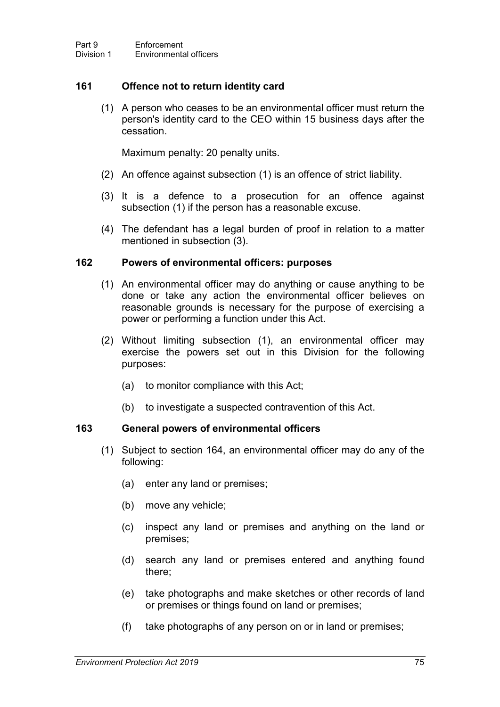### **161 Offence not to return identity card**

(1) A person who ceases to be an environmental officer must return the person's identity card to the CEO within 15 business days after the cessation.

Maximum penalty: 20 penalty units.

- (2) An offence against subsection (1) is an offence of strict liability.
- (3) It is a defence to a prosecution for an offence against subsection (1) if the person has a reasonable excuse.
- (4) The defendant has a legal burden of proof in relation to a matter mentioned in subsection (3).

#### **162 Powers of environmental officers: purposes**

- (1) An environmental officer may do anything or cause anything to be done or take any action the environmental officer believes on reasonable grounds is necessary for the purpose of exercising a power or performing a function under this Act.
- (2) Without limiting subsection (1), an environmental officer may exercise the powers set out in this Division for the following purposes:
	- (a) to monitor compliance with this Act;
	- (b) to investigate a suspected contravention of this Act.

### <span id="page-92-0"></span>**163 General powers of environmental officers**

- (1) Subject to section [164,](#page-94-0) an environmental officer may do any of the following:
	- (a) enter any land or premises;
	- (b) move any vehicle;
	- (c) inspect any land or premises and anything on the land or premises;
	- (d) search any land or premises entered and anything found there;
	- (e) take photographs and make sketches or other records of land or premises or things found on land or premises;
	- (f) take photographs of any person on or in land or premises;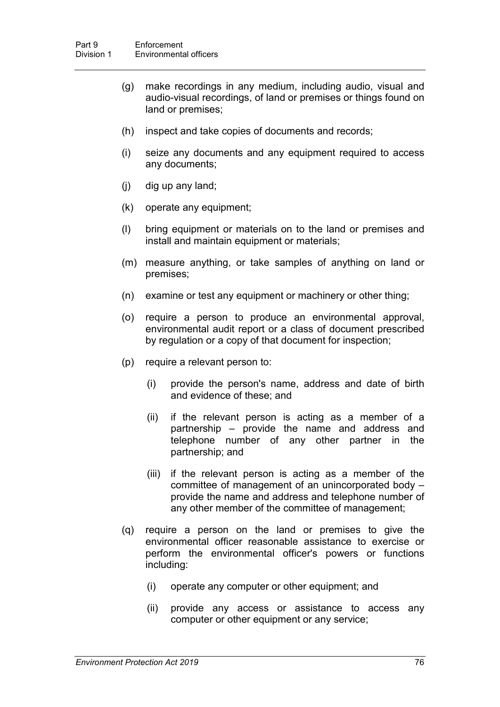- (g) make recordings in any medium, including audio, visual and audio-visual recordings, of land or premises or things found on land or premises;
- (h) inspect and take copies of documents and records;
- (i) seize any documents and any equipment required to access any documents;
- (j) dig up any land;
- (k) operate any equipment;
- (l) bring equipment or materials on to the land or premises and install and maintain equipment or materials;
- (m) measure anything, or take samples of anything on land or premises;
- (n) examine or test any equipment or machinery or other thing;
- (o) require a person to produce an environmental approval, environmental audit report or a class of document prescribed by regulation or a copy of that document for inspection;
- (p) require a relevant person to:
	- (i) provide the person's name, address and date of birth and evidence of these; and
	- (ii) if the relevant person is acting as a member of a partnership – provide the name and address and telephone number of any other partner in the partnership; and
	- (iii) if the relevant person is acting as a member of the committee of management of an unincorporated body – provide the name and address and telephone number of any other member of the committee of management;
- (q) require a person on the land or premises to give the environmental officer reasonable assistance to exercise or perform the environmental officer's powers or functions including:
	- (i) operate any computer or other equipment; and
	- (ii) provide any access or assistance to access any computer or other equipment or any service;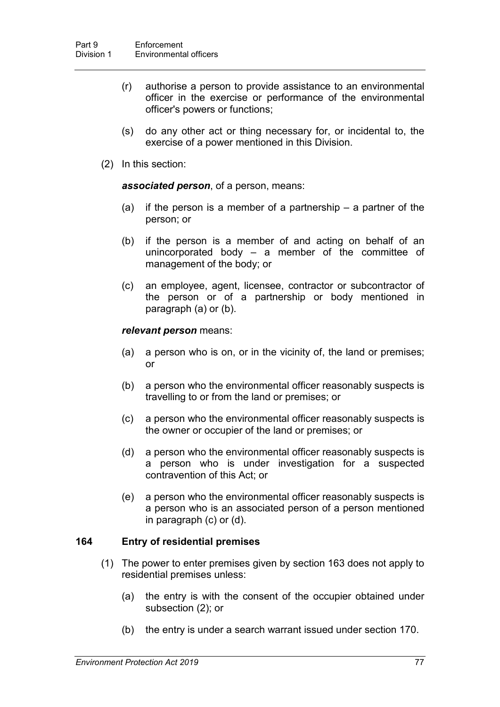- (r) authorise a person to provide assistance to an environmental officer in the exercise or performance of the environmental officer's powers or functions;
- (s) do any other act or thing necessary for, or incidental to, the exercise of a power mentioned in this Division.
- (2) In this section:

*associated person*, of a person, means:

- (a) if the person is a member of a partnership a partner of the person; or
- (b) if the person is a member of and acting on behalf of an unincorporated body – a member of the committee of management of the body; or
- (c) an employee, agent, licensee, contractor or subcontractor of the person or of a partnership or body mentioned in paragraph (a) or (b).

#### *relevant person* means:

- (a) a person who is on, or in the vicinity of, the land or premises; or
- (b) a person who the environmental officer reasonably suspects is travelling to or from the land or premises; or
- (c) a person who the environmental officer reasonably suspects is the owner or occupier of the land or premises; or
- (d) a person who the environmental officer reasonably suspects is a person who is under investigation for a suspected contravention of this Act; or
- (e) a person who the environmental officer reasonably suspects is a person who is an associated person of a person mentioned in paragraph (c) or (d).

### <span id="page-94-0"></span>**164 Entry of residential premises**

- (1) The power to enter premises given by section [163](#page-92-0) does not apply to residential premises unless:
	- (a) the entry is with the consent of the occupier obtained under subsection (2); or
	- (b) the entry is under a search warrant issued under section [170.](#page-97-0)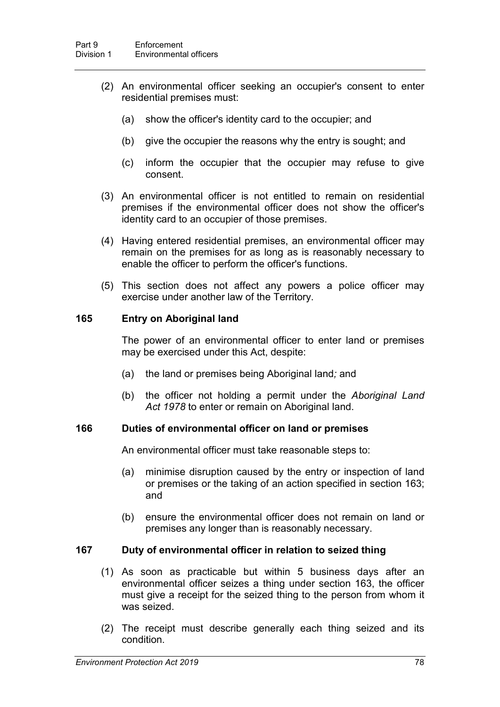- (2) An environmental officer seeking an occupier's consent to enter residential premises must:
	- (a) show the officer's identity card to the occupier; and
	- (b) give the occupier the reasons why the entry is sought; and
	- (c) inform the occupier that the occupier may refuse to give consent.
- (3) An environmental officer is not entitled to remain on residential premises if the environmental officer does not show the officer's identity card to an occupier of those premises.
- (4) Having entered residential premises, an environmental officer may remain on the premises for as long as is reasonably necessary to enable the officer to perform the officer's functions.
- (5) This section does not affect any powers a police officer may exercise under another law of the Territory.

#### **165 Entry on Aboriginal land**

The power of an environmental officer to enter land or premises may be exercised under this Act, despite:

- (a) the land or premises being Aboriginal land*;* and
- (b) the officer not holding a permit under the *Aboriginal Land Act 1978* to enter or remain on Aboriginal land.

#### **166 Duties of environmental officer on land or premises**

An environmental officer must take reasonable steps to:

- (a) minimise disruption caused by the entry or inspection of land or premises or the taking of an action specified in section [163;](#page-92-0) and
- (b) ensure the environmental officer does not remain on land or premises any longer than is reasonably necessary.

### <span id="page-95-0"></span>**167 Duty of environmental officer in relation to seized thing**

- (1) As soon as practicable but within 5 business days after an environmental officer seizes a thing under section [163,](#page-92-0) the officer must give a receipt for the seized thing to the person from whom it was seized.
- (2) The receipt must describe generally each thing seized and its condition.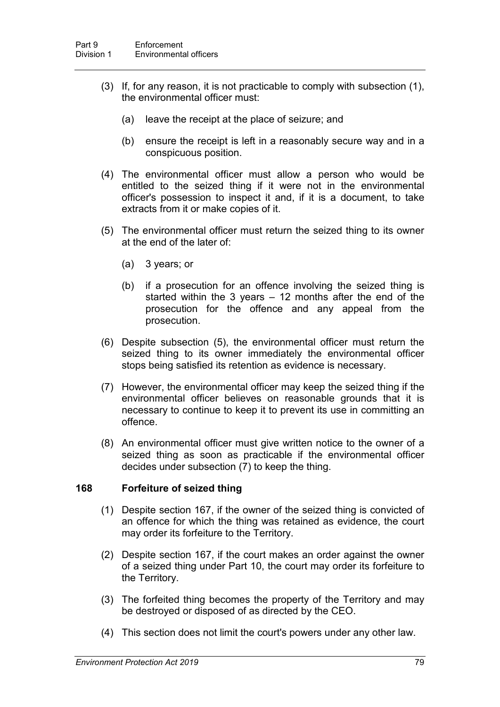- (3) If, for any reason, it is not practicable to comply with subsection (1), the environmental officer must:
	- (a) leave the receipt at the place of seizure; and
	- (b) ensure the receipt is left in a reasonably secure way and in a conspicuous position.
- (4) The environmental officer must allow a person who would be entitled to the seized thing if it were not in the environmental officer's possession to inspect it and, if it is a document, to take extracts from it or make copies of it.
- (5) The environmental officer must return the seized thing to its owner at the end of the later of:
	- (a) 3 years; or
	- (b) if a prosecution for an offence involving the seized thing is started within the 3 years  $-12$  months after the end of the prosecution for the offence and any appeal from the prosecution.
- (6) Despite subsection (5), the environmental officer must return the seized thing to its owner immediately the environmental officer stops being satisfied its retention as evidence is necessary.
- (7) However, the environmental officer may keep the seized thing if the environmental officer believes on reasonable grounds that it is necessary to continue to keep it to prevent its use in committing an offence.
- (8) An environmental officer must give written notice to the owner of a seized thing as soon as practicable if the environmental officer decides under subsection (7) to keep the thing.

#### **168 Forfeiture of seized thing**

- (1) Despite section [167,](#page-95-0) if the owner of the seized thing is convicted of an offence for which the thing was retained as evidence, the court may order its forfeiture to the Territory.
- (2) Despite section [167,](#page-95-0) if the court makes an order against the owner of a seized thing under Part 10, the court may order its forfeiture to the Territory.
- (3) The forfeited thing becomes the property of the Territory and may be destroyed or disposed of as directed by the CEO.
- (4) This section does not limit the court's powers under any other law.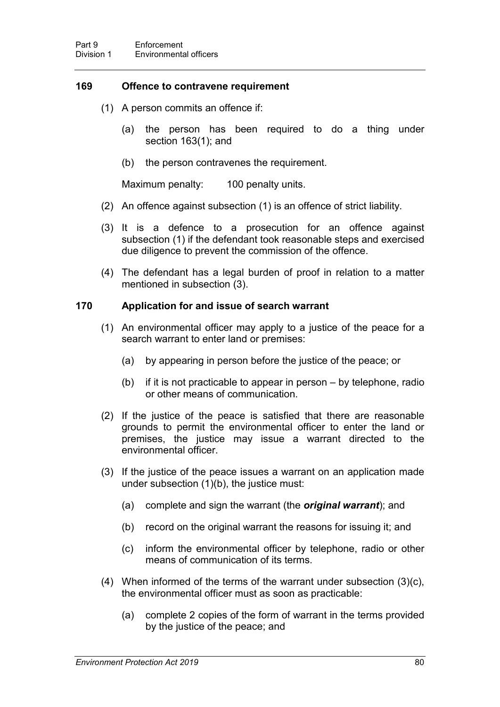### **169 Offence to contravene requirement**

- (1) A person commits an offence if:
	- (a) the person has been required to do a thing under section [163\(](#page-92-0)1); and
	- (b) the person contravenes the requirement.

Maximum penalty: 100 penalty units.

- (2) An offence against subsection (1) is an offence of strict liability.
- (3) It is a defence to a prosecution for an offence against subsection (1) if the defendant took reasonable steps and exercised due diligence to prevent the commission of the offence.
- (4) The defendant has a legal burden of proof in relation to a matter mentioned in subsection (3).

### <span id="page-97-0"></span>**170 Application for and issue of search warrant**

- (1) An environmental officer may apply to a justice of the peace for a search warrant to enter land or premises:
	- (a) by appearing in person before the justice of the peace; or
	- (b) if it is not practicable to appear in person by telephone, radio or other means of communication.
- (2) If the justice of the peace is satisfied that there are reasonable grounds to permit the environmental officer to enter the land or premises, the justice may issue a warrant directed to the environmental officer.
- (3) If the justice of the peace issues a warrant on an application made under subsection (1)(b), the justice must:
	- (a) complete and sign the warrant (the *original warrant*); and
	- (b) record on the original warrant the reasons for issuing it; and
	- (c) inform the environmental officer by telephone, radio or other means of communication of its terms.
- (4) When informed of the terms of the warrant under subsection (3)(c), the environmental officer must as soon as practicable:
	- (a) complete 2 copies of the form of warrant in the terms provided by the justice of the peace; and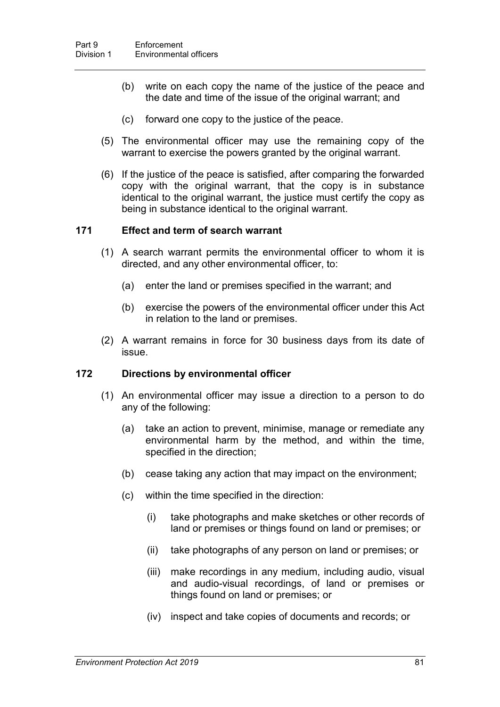- (b) write on each copy the name of the justice of the peace and the date and time of the issue of the original warrant; and
- (c) forward one copy to the justice of the peace.
- (5) The environmental officer may use the remaining copy of the warrant to exercise the powers granted by the original warrant.
- (6) If the justice of the peace is satisfied, after comparing the forwarded copy with the original warrant, that the copy is in substance identical to the original warrant, the justice must certify the copy as being in substance identical to the original warrant.

#### **171 Effect and term of search warrant**

- (1) A search warrant permits the environmental officer to whom it is directed, and any other environmental officer, to:
	- (a) enter the land or premises specified in the warrant; and
	- (b) exercise the powers of the environmental officer under this Act in relation to the land or premises.
- (2) A warrant remains in force for 30 business days from its date of issue.

### <span id="page-98-0"></span>**172 Directions by environmental officer**

- (1) An environmental officer may issue a direction to a person to do any of the following:
	- (a) take an action to prevent, minimise, manage or remediate any environmental harm by the method, and within the time, specified in the direction;
	- (b) cease taking any action that may impact on the environment;
	- (c) within the time specified in the direction:
		- (i) take photographs and make sketches or other records of land or premises or things found on land or premises; or
		- (ii) take photographs of any person on land or premises; or
		- (iii) make recordings in any medium, including audio, visual and audio-visual recordings, of land or premises or things found on land or premises; or
		- (iv) inspect and take copies of documents and records; or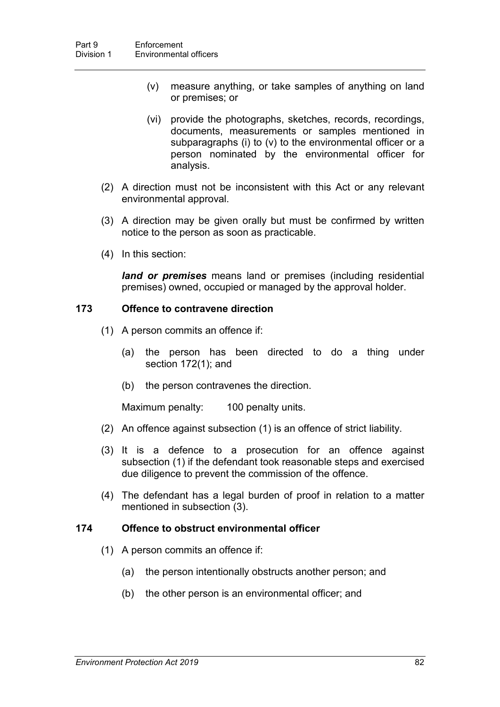- (v) measure anything, or take samples of anything on land or premises; or
- (vi) provide the photographs, sketches, records, recordings, documents, measurements or samples mentioned in subparagraphs (i) to (v) to the environmental officer or a person nominated by the environmental officer for analysis.
- (2) A direction must not be inconsistent with this Act or any relevant environmental approval.
- (3) A direction may be given orally but must be confirmed by written notice to the person as soon as practicable.
- (4) In this section:

*land or premises* means land or premises (including residential premises) owned, occupied or managed by the approval holder.

### **173 Offence to contravene direction**

- (1) A person commits an offence if:
	- (a) the person has been directed to do a thing under section [172\(](#page-98-0)1); and
	- (b) the person contravenes the direction.

Maximum penalty: 100 penalty units.

- (2) An offence against subsection (1) is an offence of strict liability.
- (3) It is a defence to a prosecution for an offence against subsection (1) if the defendant took reasonable steps and exercised due diligence to prevent the commission of the offence.
- (4) The defendant has a legal burden of proof in relation to a matter mentioned in subsection (3).

#### **174 Offence to obstruct environmental officer**

- (1) A person commits an offence if:
	- (a) the person intentionally obstructs another person; and
	- (b) the other person is an environmental officer; and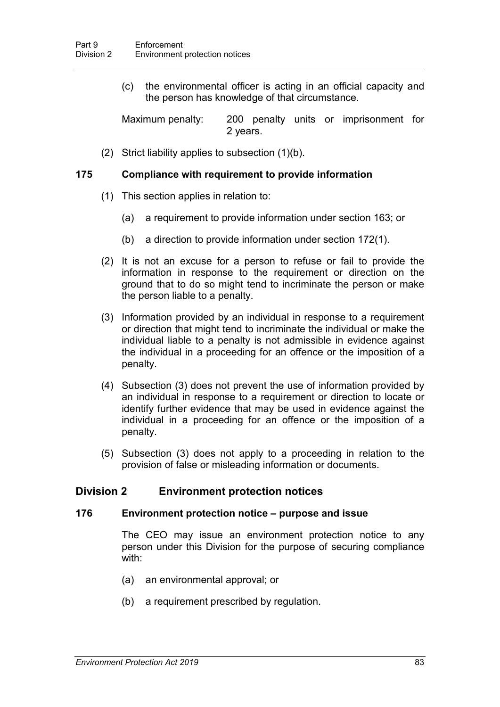(c) the environmental officer is acting in an official capacity and the person has knowledge of that circumstance.

Maximum penalty: 200 penalty units or imprisonment for 2 years.

(2) Strict liability applies to subsection (1)(b).

### **175 Compliance with requirement to provide information**

- (1) This section applies in relation to:
	- (a) a requirement to provide information under section [163;](#page-92-0) or
	- (b) a direction to provide information under section [172\(](#page-98-0)1).
- (2) It is not an excuse for a person to refuse or fail to provide the information in response to the requirement or direction on the ground that to do so might tend to incriminate the person or make the person liable to a penalty.
- (3) Information provided by an individual in response to a requirement or direction that might tend to incriminate the individual or make the individual liable to a penalty is not admissible in evidence against the individual in a proceeding for an offence or the imposition of a penalty.
- (4) Subsection (3) does not prevent the use of information provided by an individual in response to a requirement or direction to locate or identify further evidence that may be used in evidence against the individual in a proceeding for an offence or the imposition of a penalty.
- (5) Subsection (3) does not apply to a proceeding in relation to the provision of false or misleading information or documents.

## **Division 2 Environment protection notices**

### **176 Environment protection notice – purpose and issue**

The CEO may issue an environment protection notice to any person under this Division for the purpose of securing compliance with:

- (a) an environmental approval; or
- (b) a requirement prescribed by regulation.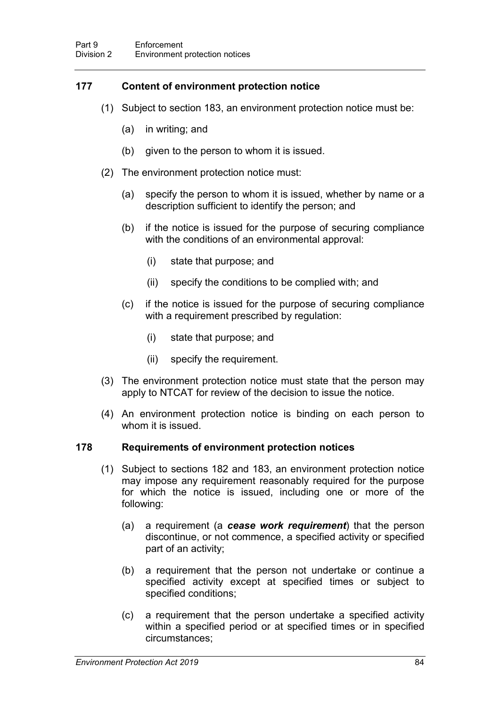# **177 Content of environment protection notice**

- (1) Subject to section [183,](#page-105-0) an environment protection notice must be:
	- (a) in writing; and
	- (b) given to the person to whom it is issued.
- (2) The environment protection notice must:
	- (a) specify the person to whom it is issued, whether by name or a description sufficient to identify the person; and
	- (b) if the notice is issued for the purpose of securing compliance with the conditions of an environmental approval:
		- (i) state that purpose; and
		- (ii) specify the conditions to be complied with; and
	- (c) if the notice is issued for the purpose of securing compliance with a requirement prescribed by regulation:
		- (i) state that purpose; and
		- (ii) specify the requirement.
- (3) The environment protection notice must state that the person may apply to NTCAT for review of the decision to issue the notice.
- (4) An environment protection notice is binding on each person to whom it is issued.

### <span id="page-101-0"></span>**178 Requirements of environment protection notices**

- (1) Subject to sections [182](#page-104-0) and [183,](#page-105-0) an environment protection notice may impose any requirement reasonably required for the purpose for which the notice is issued, including one or more of the following:
	- (a) a requirement (a *cease work requirement*) that the person discontinue, or not commence, a specified activity or specified part of an activity;
	- (b) a requirement that the person not undertake or continue a specified activity except at specified times or subject to specified conditions;
	- (c) a requirement that the person undertake a specified activity within a specified period or at specified times or in specified circumstances;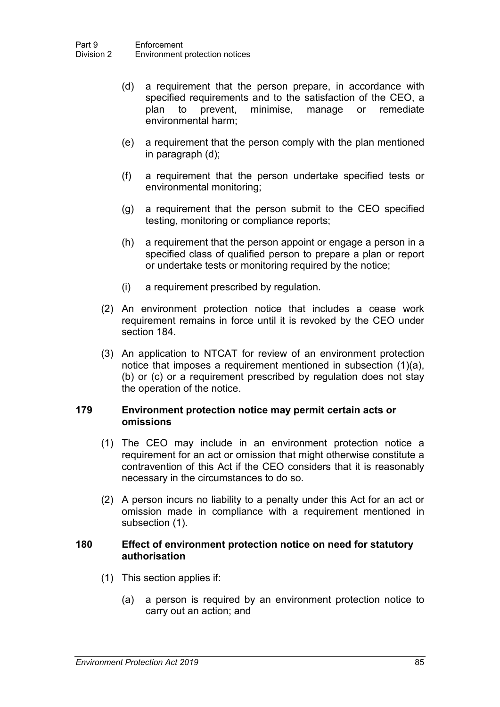- (d) a requirement that the person prepare, in accordance with specified requirements and to the satisfaction of the CEO, a plan to prevent, minimise, manage or remediate environmental harm;
- (e) a requirement that the person comply with the plan mentioned in paragraph (d);
- (f) a requirement that the person undertake specified tests or environmental monitoring;
- (g) a requirement that the person submit to the CEO specified testing, monitoring or compliance reports;
- (h) a requirement that the person appoint or engage a person in a specified class of qualified person to prepare a plan or report or undertake tests or monitoring required by the notice;
- (i) a requirement prescribed by regulation.
- (2) An environment protection notice that includes a cease work requirement remains in force until it is revoked by the CEO under section [184.](#page-105-1)
- (3) An application to NTCAT for review of an environment protection notice that imposes a requirement mentioned in subsection (1)(a), (b) or (c) or a requirement prescribed by regulation does not stay the operation of the notice.

#### **179 Environment protection notice may permit certain acts or omissions**

- (1) The CEO may include in an environment protection notice a requirement for an act or omission that might otherwise constitute a contravention of this Act if the CEO considers that it is reasonably necessary in the circumstances to do so.
- (2) A person incurs no liability to a penalty under this Act for an act or omission made in compliance with a requirement mentioned in subsection (1).

#### <span id="page-102-0"></span>**180 Effect of environment protection notice on need for statutory authorisation**

- (1) This section applies if:
	- (a) a person is required by an environment protection notice to carry out an action; and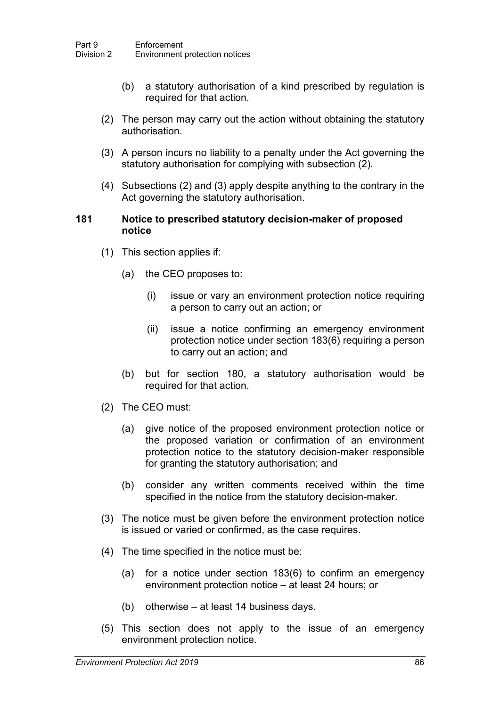- (b) a statutory authorisation of a kind prescribed by regulation is required for that action.
- (2) The person may carry out the action without obtaining the statutory authorisation.
- (3) A person incurs no liability to a penalty under the Act governing the statutory authorisation for complying with subsection (2).
- (4) Subsections (2) and (3) apply despite anything to the contrary in the Act governing the statutory authorisation.

#### **181 Notice to prescribed statutory decision-maker of proposed notice**

- (1) This section applies if:
	- (a) the CEO proposes to:
		- (i) issue or vary an environment protection notice requiring a person to carry out an action; or
		- (ii) issue a notice confirming an emergency environment protection notice under section 183(6) requiring a person to carry out an action; and
	- (b) but for section [180,](#page-102-0) a statutory authorisation would be required for that action.
- (2) The CEO must:
	- (a) give notice of the proposed environment protection notice or the proposed variation or confirmation of an environment protection notice to the statutory decision-maker responsible for granting the statutory authorisation; and
	- (b) consider any written comments received within the time specified in the notice from the statutory decision-maker.
- (3) The notice must be given before the environment protection notice is issued or varied or confirmed, as the case requires.
- (4) The time specified in the notice must be:
	- (a) for a notice under section [183\(](#page-105-0)6) to confirm an emergency environment protection notice – at least 24 hours; or
	- (b) otherwise at least 14 business days.
- (5) This section does not apply to the issue of an emergency environment protection notice.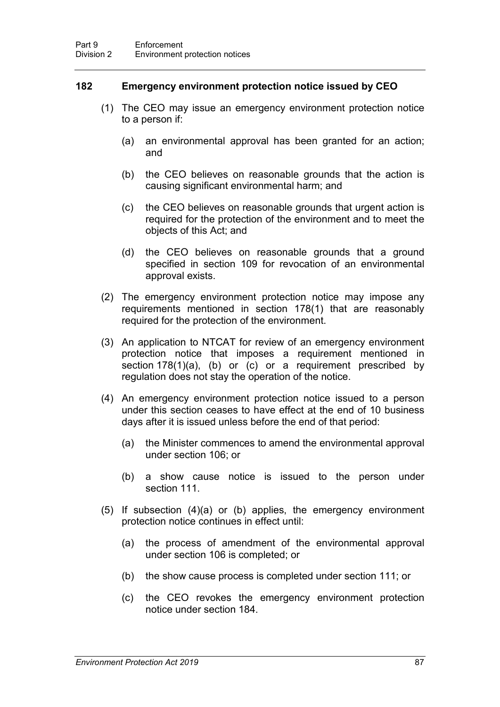### <span id="page-104-0"></span>**182 Emergency environment protection notice issued by CEO**

- (1) The CEO may issue an emergency environment protection notice to a person if:
	- (a) an environmental approval has been granted for an action; and
	- (b) the CEO believes on reasonable grounds that the action is causing significant environmental harm; and
	- (c) the CEO believes on reasonable grounds that urgent action is required for the protection of the environment and to meet the objects of this Act; and
	- (d) the CEO believes on reasonable grounds that a ground specified in section [109](#page-69-0) for revocation of an environmental approval exists.
- (2) The emergency environment protection notice may impose any requirements mentioned in section [178\(](#page-101-0)1) that are reasonably required for the protection of the environment.
- (3) An application to NTCAT for review of an emergency environment protection notice that imposes a requirement mentioned in section [178\(](#page-101-0)1)(a), (b) or (c) or a requirement prescribed by regulation does not stay the operation of the notice.
- (4) An emergency environment protection notice issued to a person under this section ceases to have effect at the end of 10 business days after it is issued unless before the end of that period:
	- (a) the Minister commences to amend the environmental approval under section [106;](#page-67-0) or
	- (b) a show cause notice is issued to the person under section [111.](#page-69-1)
- (5) If subsection (4)(a) or (b) applies, the emergency environment protection notice continues in effect until:
	- (a) the process of amendment of the environmental approval under section [106](#page-67-0) is completed; or
	- (b) the show cause process is completed under section [111;](#page-69-1) or
	- (c) the CEO revokes the emergency environment protection notice under section [184.](#page-105-1)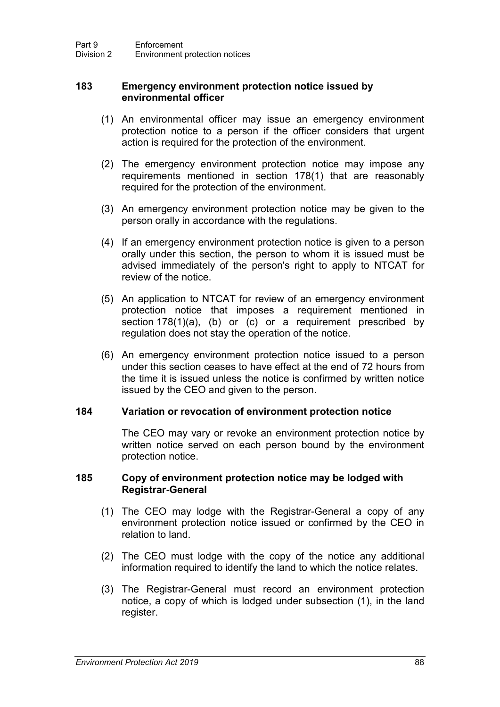#### <span id="page-105-0"></span>**183 Emergency environment protection notice issued by environmental officer**

- (1) An environmental officer may issue an emergency environment protection notice to a person if the officer considers that urgent action is required for the protection of the environment.
- (2) The emergency environment protection notice may impose any requirements mentioned in section [178\(](#page-101-0)1) that are reasonably required for the protection of the environment.
- (3) An emergency environment protection notice may be given to the person orally in accordance with the regulations.
- (4) If an emergency environment protection notice is given to a person orally under this section, the person to whom it is issued must be advised immediately of the person's right to apply to NTCAT for review of the notice.
- (5) An application to NTCAT for review of an emergency environment protection notice that imposes a requirement mentioned in section [178\(](#page-101-0)1)(a), (b) or (c) or a requirement prescribed by regulation does not stay the operation of the notice.
- (6) An emergency environment protection notice issued to a person under this section ceases to have effect at the end of 72 hours from the time it is issued unless the notice is confirmed by written notice issued by the CEO and given to the person.

### <span id="page-105-1"></span>**184 Variation or revocation of environment protection notice**

The CEO may vary or revoke an environment protection notice by written notice served on each person bound by the environment protection notice.

#### <span id="page-105-2"></span>**185 Copy of environment protection notice may be lodged with Registrar-General**

- (1) The CEO may lodge with the Registrar-General a copy of any environment protection notice issued or confirmed by the CEO in relation to land.
- (2) The CEO must lodge with the copy of the notice any additional information required to identify the land to which the notice relates.
- (3) The Registrar-General must record an environment protection notice, a copy of which is lodged under subsection (1), in the land register.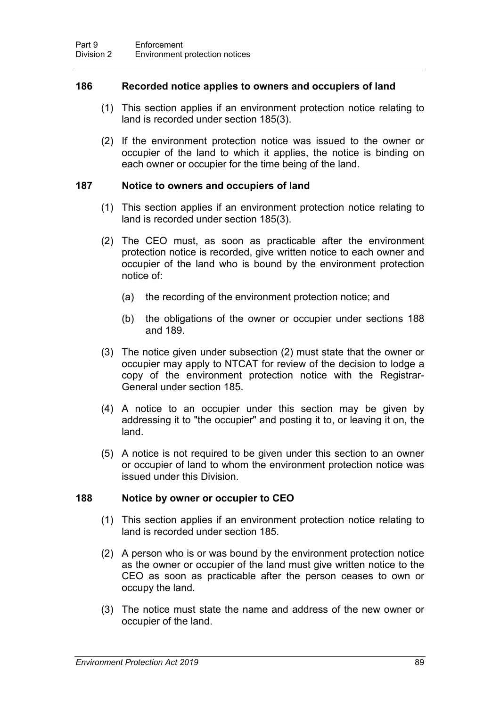### **186 Recorded notice applies to owners and occupiers of land**

- (1) This section applies if an environment protection notice relating to land is recorded under section [185\(](#page-105-2)3).
- (2) If the environment protection notice was issued to the owner or occupier of the land to which it applies, the notice is binding on each owner or occupier for the time being of the land.

#### **187 Notice to owners and occupiers of land**

- (1) This section applies if an environment protection notice relating to land is recorded under section [185\(](#page-105-2)3).
- (2) The CEO must, as soon as practicable after the environment protection notice is recorded, give written notice to each owner and occupier of the land who is bound by the environment protection notice of:
	- (a) the recording of the environment protection notice; and
	- (b) the obligations of the owner or occupier under sections [188](#page-106-0) and [189.](#page-107-0)
- (3) The notice given under subsection (2) must state that the owner or occupier may apply to NTCAT for review of the decision to lodge a copy of the environment protection notice with the Registrar-General under section [185.](#page-105-2)
- (4) A notice to an occupier under this section may be given by addressing it to "the occupier" and posting it to, or leaving it on, the land.
- (5) A notice is not required to be given under this section to an owner or occupier of land to whom the environment protection notice was issued under this Division.

### <span id="page-106-0"></span>**188 Notice by owner or occupier to CEO**

- (1) This section applies if an environment protection notice relating to land is recorded under section [185.](#page-105-2)
- (2) A person who is or was bound by the environment protection notice as the owner or occupier of the land must give written notice to the CEO as soon as practicable after the person ceases to own or occupy the land.
- (3) The notice must state the name and address of the new owner or occupier of the land.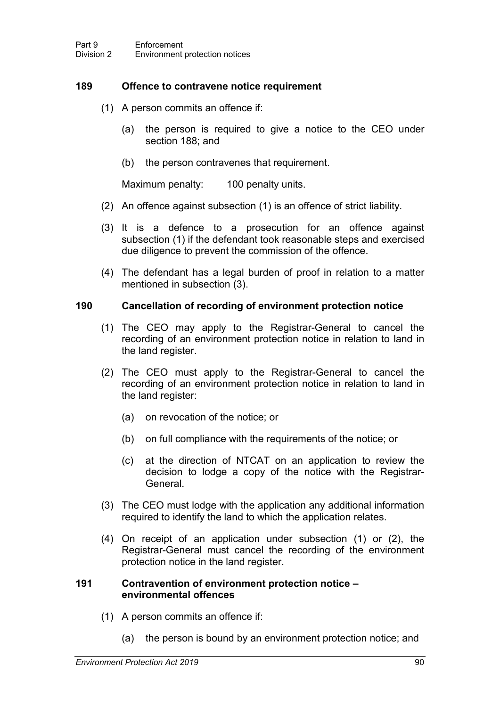### <span id="page-107-0"></span>**189 Offence to contravene notice requirement**

- (1) A person commits an offence if:
	- (a) the person is required to give a notice to the CEO under section [188;](#page-106-0) and
	- (b) the person contravenes that requirement.

Maximum penalty: 100 penalty units.

- (2) An offence against subsection (1) is an offence of strict liability.
- (3) It is a defence to a prosecution for an offence against subsection (1) if the defendant took reasonable steps and exercised due diligence to prevent the commission of the offence.
- (4) The defendant has a legal burden of proof in relation to a matter mentioned in subsection (3).

### **190 Cancellation of recording of environment protection notice**

- (1) The CEO may apply to the Registrar-General to cancel the recording of an environment protection notice in relation to land in the land register.
- (2) The CEO must apply to the Registrar-General to cancel the recording of an environment protection notice in relation to land in the land register:
	- (a) on revocation of the notice; or
	- (b) on full compliance with the requirements of the notice; or
	- (c) at the direction of NTCAT on an application to review the decision to lodge a copy of the notice with the Registrar-**General**
- (3) The CEO must lodge with the application any additional information required to identify the land to which the application relates.
- (4) On receipt of an application under subsection (1) or (2), the Registrar-General must cancel the recording of the environment protection notice in the land register.

### **191 Contravention of environment protection notice – environmental offences**

- (1) A person commits an offence if:
	- (a) the person is bound by an environment protection notice; and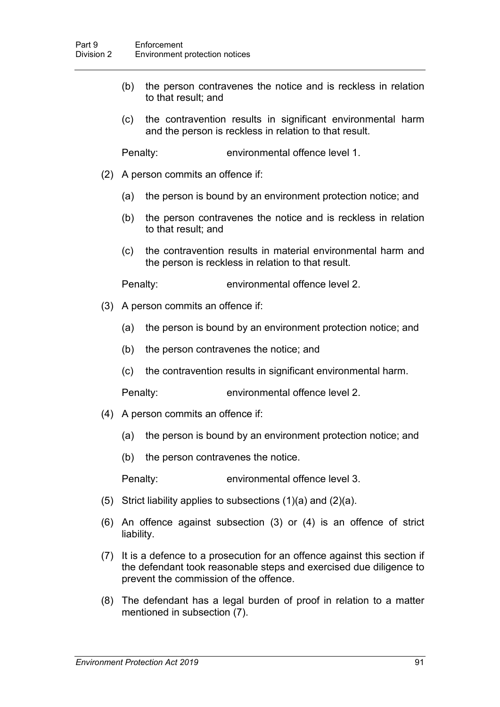- (b) the person contravenes the notice and is reckless in relation to that result; and
- (c) the contravention results in significant environmental harm and the person is reckless in relation to that result.

Penalty: environmental offence level 1.

- (2) A person commits an offence if:
	- (a) the person is bound by an environment protection notice; and
	- (b) the person contravenes the notice and is reckless in relation to that result; and
	- (c) the contravention results in material environmental harm and the person is reckless in relation to that result.

Penalty: environmental offence level 2.

- (3) A person commits an offence if:
	- (a) the person is bound by an environment protection notice; and
	- (b) the person contravenes the notice; and
	- (c) the contravention results in significant environmental harm.

Penalty: environmental offence level 2.

- (4) A person commits an offence if:
	- (a) the person is bound by an environment protection notice; and
	- (b) the person contravenes the notice.

Penalty: environmental offence level 3.

- (5) Strict liability applies to subsections (1)(a) and (2)(a).
- (6) An offence against subsection (3) or (4) is an offence of strict liability.
- (7) It is a defence to a prosecution for an offence against this section if the defendant took reasonable steps and exercised due diligence to prevent the commission of the offence.
- (8) The defendant has a legal burden of proof in relation to a matter mentioned in subsection (7).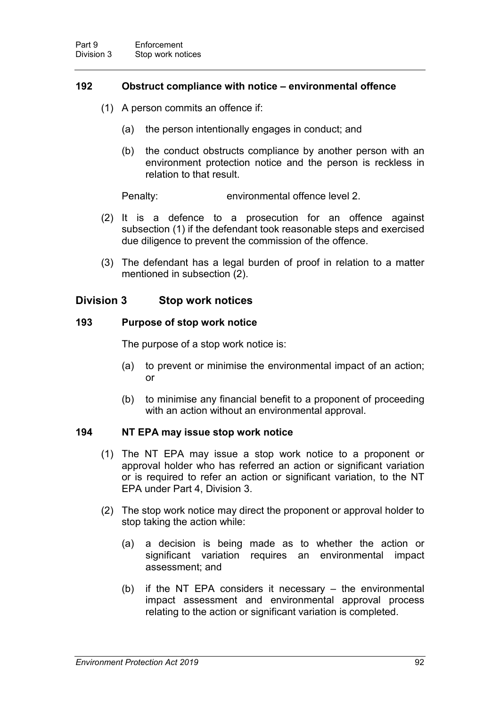### **192 Obstruct compliance with notice – environmental offence**

- (1) A person commits an offence if:
	- (a) the person intentionally engages in conduct; and
	- (b) the conduct obstructs compliance by another person with an environment protection notice and the person is reckless in relation to that result.

Penalty: environmental offence level 2.

- (2) It is a defence to a prosecution for an offence against subsection (1) if the defendant took reasonable steps and exercised due diligence to prevent the commission of the offence.
- (3) The defendant has a legal burden of proof in relation to a matter mentioned in subsection (2).

## **Division 3 Stop work notices**

#### **193 Purpose of stop work notice**

The purpose of a stop work notice is:

- (a) to prevent or minimise the environmental impact of an action; or
- (b) to minimise any financial benefit to a proponent of proceeding with an action without an environmental approval.

### **194 NT EPA may issue stop work notice**

- (1) The NT EPA may issue a stop work notice to a proponent or approval holder who has referred an action or significant variation or is required to refer an action or significant variation, to the NT EPA under Part 4, Division 3.
- (2) The stop work notice may direct the proponent or approval holder to stop taking the action while:
	- (a) a decision is being made as to whether the action or significant variation requires an environmental impact assessment; and
	- (b) if the NT EPA considers it necessary the environmental impact assessment and environmental approval process relating to the action or significant variation is completed.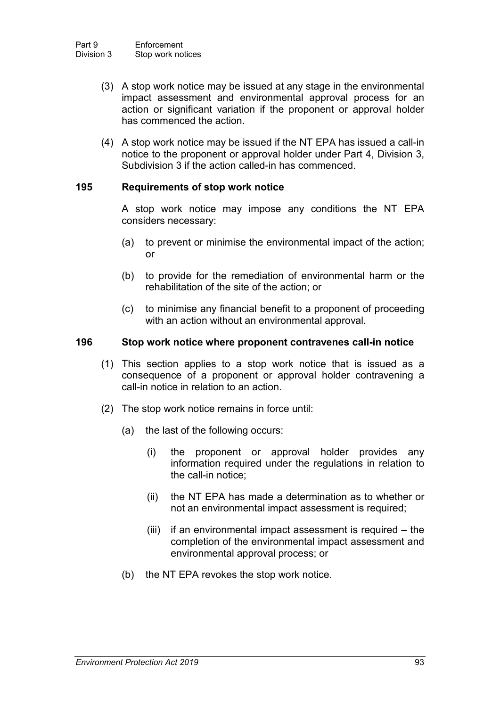- (3) A stop work notice may be issued at any stage in the environmental impact assessment and environmental approval process for an action or significant variation if the proponent or approval holder has commenced the action.
- (4) A stop work notice may be issued if the NT EPA has issued a call-in notice to the proponent or approval holder under Part 4, Division 3, Subdivision 3 if the action called-in has commenced.

### **195 Requirements of stop work notice**

A stop work notice may impose any conditions the NT EPA considers necessary:

- (a) to prevent or minimise the environmental impact of the action; or
- (b) to provide for the remediation of environmental harm or the rehabilitation of the site of the action; or
- (c) to minimise any financial benefit to a proponent of proceeding with an action without an environmental approval.

#### **196 Stop work notice where proponent contravenes call-in notice**

- (1) This section applies to a stop work notice that is issued as a consequence of a proponent or approval holder contravening a call-in notice in relation to an action.
- (2) The stop work notice remains in force until:
	- (a) the last of the following occurs:
		- (i) the proponent or approval holder provides any information required under the regulations in relation to the call-in notice;
		- (ii) the NT EPA has made a determination as to whether or not an environmental impact assessment is required;
		- (iii) if an environmental impact assessment is required the completion of the environmental impact assessment and environmental approval process; or
	- (b) the NT EPA revokes the stop work notice.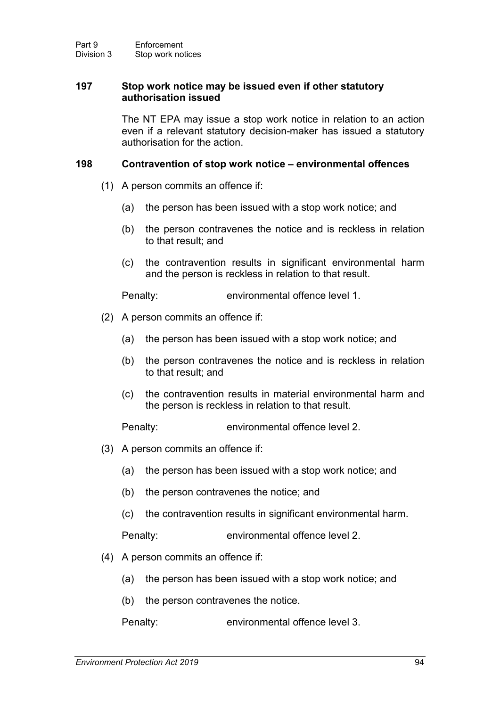### **197 Stop work notice may be issued even if other statutory authorisation issued**

The NT EPA may issue a stop work notice in relation to an action even if a relevant statutory decision-maker has issued a statutory authorisation for the action.

### **198 Contravention of stop work notice – environmental offences**

- (1) A person commits an offence if:
	- (a) the person has been issued with a stop work notice; and
	- (b) the person contravenes the notice and is reckless in relation to that result; and
	- (c) the contravention results in significant environmental harm and the person is reckless in relation to that result.

Penalty: environmental offence level 1.

- (2) A person commits an offence if:
	- (a) the person has been issued with a stop work notice; and
	- (b) the person contravenes the notice and is reckless in relation to that result; and
	- (c) the contravention results in material environmental harm and the person is reckless in relation to that result.

Penalty: environmental offence level 2.

- (3) A person commits an offence if:
	- (a) the person has been issued with a stop work notice; and
	- (b) the person contravenes the notice; and
	- (c) the contravention results in significant environmental harm.

Penalty: environmental offence level 2.

- (4) A person commits an offence if:
	- (a) the person has been issued with a stop work notice; and
	- (b) the person contravenes the notice.

Penalty: environmental offence level 3.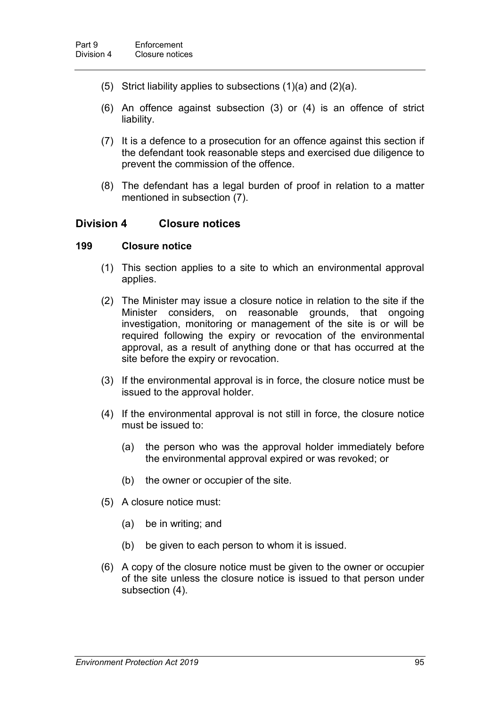- (5) Strict liability applies to subsections (1)(a) and (2)(a).
- (6) An offence against subsection (3) or (4) is an offence of strict liability.
- (7) It is a defence to a prosecution for an offence against this section if the defendant took reasonable steps and exercised due diligence to prevent the commission of the offence.
- (8) The defendant has a legal burden of proof in relation to a matter mentioned in subsection (7).

## **Division 4 Closure notices**

#### **199 Closure notice**

- <span id="page-112-0"></span>(1) This section applies to a site to which an environmental approval applies.
- (2) The Minister may issue a closure notice in relation to the site if the Minister considers, on reasonable grounds, that ongoing investigation, monitoring or management of the site is or will be required following the expiry or revocation of the environmental approval, as a result of anything done or that has occurred at the site before the expiry or revocation.
- (3) If the environmental approval is in force, the closure notice must be issued to the approval holder.
- (4) If the environmental approval is not still in force, the closure notice must be issued to:
	- (a) the person who was the approval holder immediately before the environmental approval expired or was revoked; or
	- (b) the owner or occupier of the site.
- (5) A closure notice must:
	- (a) be in writing; and
	- (b) be given to each person to whom it is issued.
- (6) A copy of the closure notice must be given to the owner or occupier of the site unless the closure notice is issued to that person under subsection (4).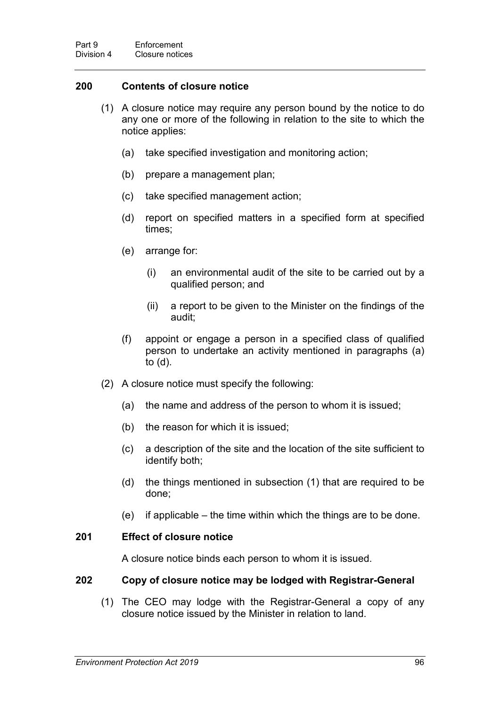### **200 Contents of closure notice**

- (1) A closure notice may require any person bound by the notice to do any one or more of the following in relation to the site to which the notice applies:
	- (a) take specified investigation and monitoring action;
	- (b) prepare a management plan;
	- (c) take specified management action;
	- (d) report on specified matters in a specified form at specified times;
	- (e) arrange for:
		- (i) an environmental audit of the site to be carried out by a qualified person; and
		- (ii) a report to be given to the Minister on the findings of the audit;
	- (f) appoint or engage a person in a specified class of qualified person to undertake an activity mentioned in paragraphs (a) to (d).
- (2) A closure notice must specify the following:
	- (a) the name and address of the person to whom it is issued;
	- (b) the reason for which it is issued;
	- (c) a description of the site and the location of the site sufficient to identify both;
	- (d) the things mentioned in subsection (1) that are required to be done;
	- (e) if applicable the time within which the things are to be done.

### **201 Effect of closure notice**

A closure notice binds each person to whom it is issued.

#### <span id="page-113-0"></span>**202 Copy of closure notice may be lodged with Registrar-General**

(1) The CEO may lodge with the Registrar-General a copy of any closure notice issued by the Minister in relation to land.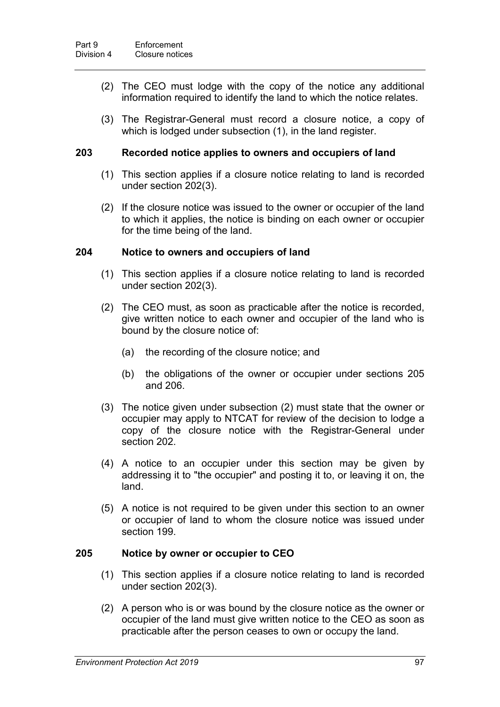- (2) The CEO must lodge with the copy of the notice any additional information required to identify the land to which the notice relates.
- (3) The Registrar-General must record a closure notice, a copy of which is lodged under subsection (1), in the land register.

### **203 Recorded notice applies to owners and occupiers of land**

- (1) This section applies if a closure notice relating to land is recorded under section [202\(](#page-113-0)3).
- (2) If the closure notice was issued to the owner or occupier of the land to which it applies, the notice is binding on each owner or occupier for the time being of the land.

#### **204 Notice to owners and occupiers of land**

- (1) This section applies if a closure notice relating to land is recorded under section [202\(](#page-113-0)3).
- (2) The CEO must, as soon as practicable after the notice is recorded, give written notice to each owner and occupier of the land who is bound by the closure notice of:
	- (a) the recording of the closure notice; and
	- (b) the obligations of the owner or occupier under sections [205](#page-114-0) and [206.](#page-115-0)
- (3) The notice given under subsection (2) must state that the owner or occupier may apply to NTCAT for review of the decision to lodge a copy of the closure notice with the Registrar-General under section [202.](#page-113-0)
- (4) A notice to an occupier under this section may be given by addressing it to "the occupier" and posting it to, or leaving it on, the land.
- (5) A notice is not required to be given under this section to an owner or occupier of land to whom the closure notice was issued under section [199.](#page-112-0)

### <span id="page-114-0"></span>**205 Notice by owner or occupier to CEO**

- (1) This section applies if a closure notice relating to land is recorded under section [202\(](#page-113-0)3).
- (2) A person who is or was bound by the closure notice as the owner or occupier of the land must give written notice to the CEO as soon as practicable after the person ceases to own or occupy the land.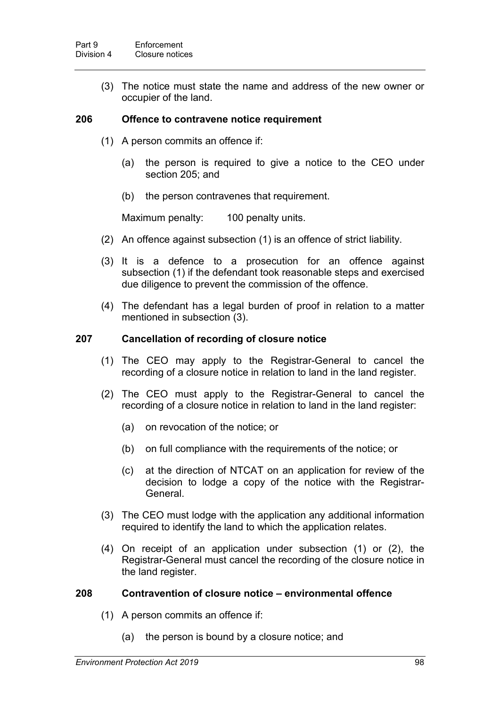(3) The notice must state the name and address of the new owner or occupier of the land.

### <span id="page-115-0"></span>**206 Offence to contravene notice requirement**

- (1) A person commits an offence if:
	- (a) the person is required to give a notice to the CEO under section [205;](#page-114-0) and
	- (b) the person contravenes that requirement.

Maximum penalty: 100 penalty units.

- (2) An offence against subsection (1) is an offence of strict liability.
- (3) It is a defence to a prosecution for an offence against subsection (1) if the defendant took reasonable steps and exercised due diligence to prevent the commission of the offence.
- (4) The defendant has a legal burden of proof in relation to a matter mentioned in subsection (3).

#### **207 Cancellation of recording of closure notice**

- (1) The CEO may apply to the Registrar-General to cancel the recording of a closure notice in relation to land in the land register.
- (2) The CEO must apply to the Registrar-General to cancel the recording of a closure notice in relation to land in the land register:
	- (a) on revocation of the notice; or
	- (b) on full compliance with the requirements of the notice; or
	- (c) at the direction of NTCAT on an application for review of the decision to lodge a copy of the notice with the Registrar-General.
- (3) The CEO must lodge with the application any additional information required to identify the land to which the application relates.
- (4) On receipt of an application under subsection (1) or (2), the Registrar-General must cancel the recording of the closure notice in the land register.

#### **208 Contravention of closure notice – environmental offence**

- (1) A person commits an offence if:
	- (a) the person is bound by a closure notice; and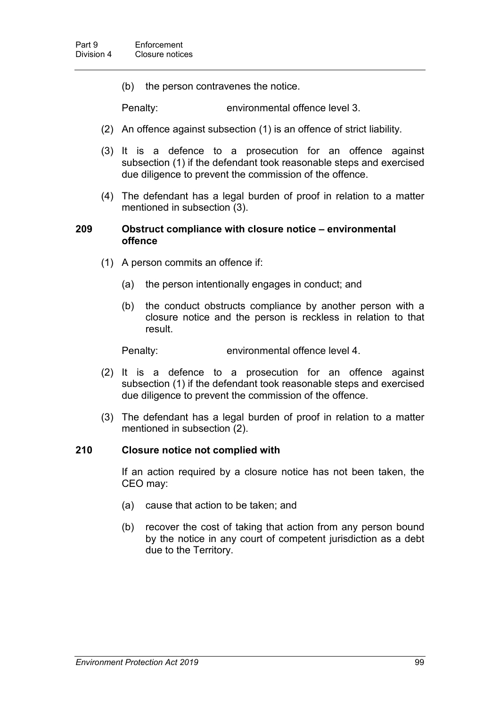(b) the person contravenes the notice.

Penalty: environmental offence level 3.

- (2) An offence against subsection (1) is an offence of strict liability.
- (3) It is a defence to a prosecution for an offence against subsection (1) if the defendant took reasonable steps and exercised due diligence to prevent the commission of the offence.
- (4) The defendant has a legal burden of proof in relation to a matter mentioned in subsection (3).

#### **209 Obstruct compliance with closure notice – environmental offence**

- (1) A person commits an offence if:
	- (a) the person intentionally engages in conduct; and
	- (b) the conduct obstructs compliance by another person with a closure notice and the person is reckless in relation to that result.

Penalty: environmental offence level 4.

- (2) It is a defence to a prosecution for an offence against subsection (1) if the defendant took reasonable steps and exercised due diligence to prevent the commission of the offence.
- (3) The defendant has a legal burden of proof in relation to a matter mentioned in subsection (2).

#### **210 Closure notice not complied with**

If an action required by a closure notice has not been taken, the CEO may:

- (a) cause that action to be taken; and
- (b) recover the cost of taking that action from any person bound by the notice in any court of competent jurisdiction as a debt due to the Territory.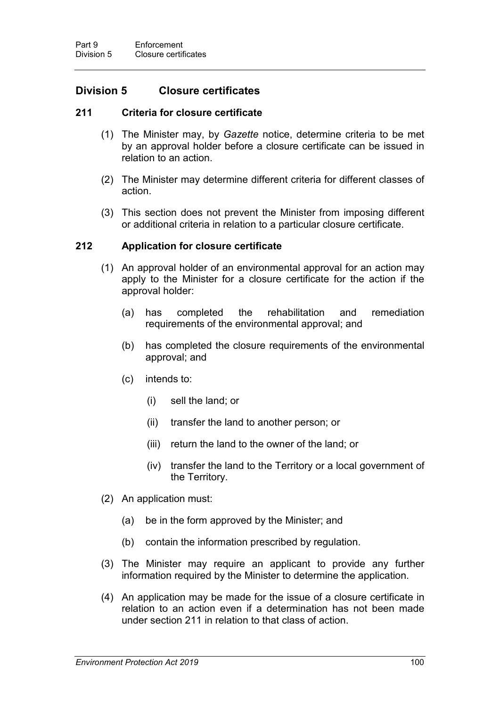## **Division 5 Closure certificates**

### **211 Criteria for closure certificate**

- <span id="page-117-0"></span>(1) The Minister may, by *Gazette* notice, determine criteria to be met by an approval holder before a closure certificate can be issued in relation to an action.
- (2) The Minister may determine different criteria for different classes of action.
- (3) This section does not prevent the Minister from imposing different or additional criteria in relation to a particular closure certificate.

#### <span id="page-117-1"></span>**212 Application for closure certificate**

- (1) An approval holder of an environmental approval for an action may apply to the Minister for a closure certificate for the action if the approval holder:
	- (a) has completed the rehabilitation and remediation requirements of the environmental approval; and
	- (b) has completed the closure requirements of the environmental approval; and
	- (c) intends to:
		- (i) sell the land; or
		- (ii) transfer the land to another person; or
		- (iii) return the land to the owner of the land; or
		- (iv) transfer the land to the Territory or a local government of the Territory.
- (2) An application must:
	- (a) be in the form approved by the Minister; and
	- (b) contain the information prescribed by regulation.
- (3) The Minister may require an applicant to provide any further information required by the Minister to determine the application.
- (4) An application may be made for the issue of a closure certificate in relation to an action even if a determination has not been made under section [211](#page-117-0) in relation to that class of action.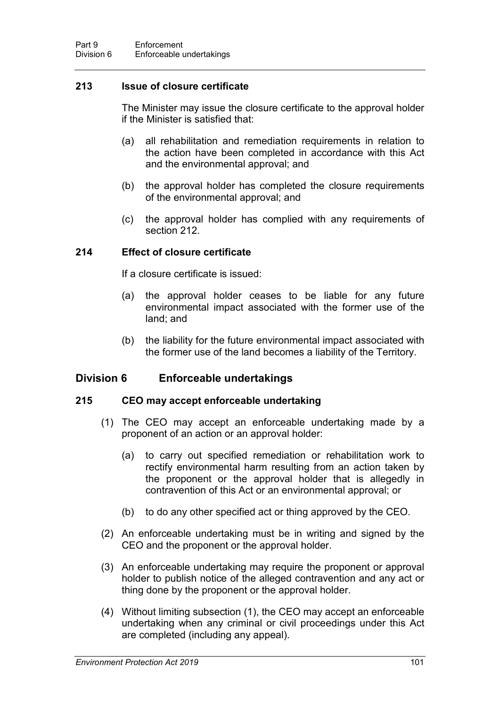### **213 Issue of closure certificate**

The Minister may issue the closure certificate to the approval holder if the Minister is satisfied that:

- (a) all rehabilitation and remediation requirements in relation to the action have been completed in accordance with this Act and the environmental approval; and
- (b) the approval holder has completed the closure requirements of the environmental approval; and
- (c) the approval holder has complied with any requirements of section [212.](#page-117-1)

#### **214 Effect of closure certificate**

If a closure certificate is issued:

- (a) the approval holder ceases to be liable for any future environmental impact associated with the former use of the land; and
- (b) the liability for the future environmental impact associated with the former use of the land becomes a liability of the Territory.

### **Division 6 Enforceable undertakings**

#### **215 CEO may accept enforceable undertaking**

- (1) The CEO may accept an enforceable undertaking made by a proponent of an action or an approval holder:
	- (a) to carry out specified remediation or rehabilitation work to rectify environmental harm resulting from an action taken by the proponent or the approval holder that is allegedly in contravention of this Act or an environmental approval; or
	- (b) to do any other specified act or thing approved by the CEO.
- (2) An enforceable undertaking must be in writing and signed by the CEO and the proponent or the approval holder.
- (3) An enforceable undertaking may require the proponent or approval holder to publish notice of the alleged contravention and any act or thing done by the proponent or the approval holder.
- (4) Without limiting subsection (1), the CEO may accept an enforceable undertaking when any criminal or civil proceedings under this Act are completed (including any appeal).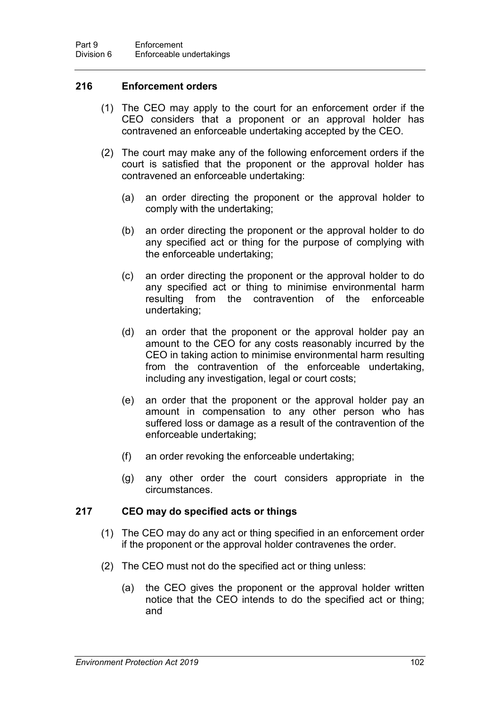### <span id="page-119-0"></span>**216 Enforcement orders**

- (1) The CEO may apply to the court for an enforcement order if the CEO considers that a proponent or an approval holder has contravened an enforceable undertaking accepted by the CEO.
- (2) The court may make any of the following enforcement orders if the court is satisfied that the proponent or the approval holder has contravened an enforceable undertaking:
	- (a) an order directing the proponent or the approval holder to comply with the undertaking;
	- (b) an order directing the proponent or the approval holder to do any specified act or thing for the purpose of complying with the enforceable undertaking;
	- (c) an order directing the proponent or the approval holder to do any specified act or thing to minimise environmental harm resulting from the contravention of the enforceable undertaking;
	- (d) an order that the proponent or the approval holder pay an amount to the CEO for any costs reasonably incurred by the CEO in taking action to minimise environmental harm resulting from the contravention of the enforceable undertaking, including any investigation, legal or court costs;
	- (e) an order that the proponent or the approval holder pay an amount in compensation to any other person who has suffered loss or damage as a result of the contravention of the enforceable undertaking;
	- (f) an order revoking the enforceable undertaking;
	- (g) any other order the court considers appropriate in the circumstances.

### **217 CEO may do specified acts or things**

- (1) The CEO may do any act or thing specified in an enforcement order if the proponent or the approval holder contravenes the order.
- (2) The CEO must not do the specified act or thing unless:
	- (a) the CEO gives the proponent or the approval holder written notice that the CEO intends to do the specified act or thing; and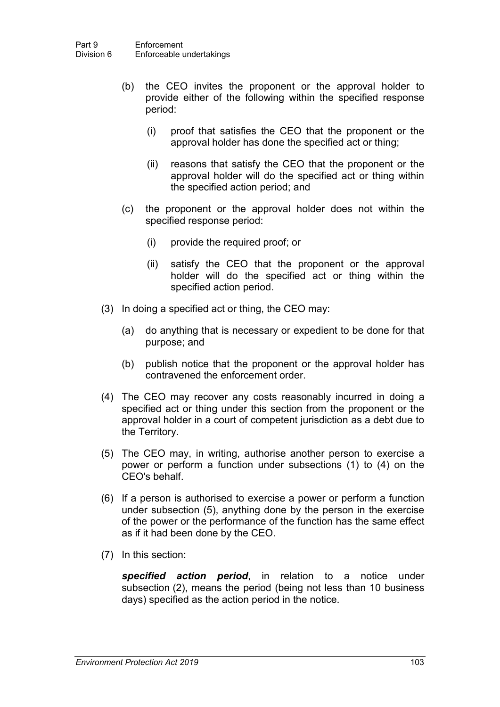- (b) the CEO invites the proponent or the approval holder to provide either of the following within the specified response period:
	- (i) proof that satisfies the CEO that the proponent or the approval holder has done the specified act or thing;
	- (ii) reasons that satisfy the CEO that the proponent or the approval holder will do the specified act or thing within the specified action period; and
- (c) the proponent or the approval holder does not within the specified response period:
	- (i) provide the required proof; or
	- (ii) satisfy the CEO that the proponent or the approval holder will do the specified act or thing within the specified action period.
- (3) In doing a specified act or thing, the CEO may:
	- (a) do anything that is necessary or expedient to be done for that purpose; and
	- (b) publish notice that the proponent or the approval holder has contravened the enforcement order.
- (4) The CEO may recover any costs reasonably incurred in doing a specified act or thing under this section from the proponent or the approval holder in a court of competent jurisdiction as a debt due to the Territory.
- (5) The CEO may, in writing, authorise another person to exercise a power or perform a function under subsections (1) to (4) on the CEO's behalf.
- (6) If a person is authorised to exercise a power or perform a function under subsection (5), anything done by the person in the exercise of the power or the performance of the function has the same effect as if it had been done by the CEO.
- (7) In this section:

*specified action period*, in relation to a notice under subsection (2), means the period (being not less than 10 business days) specified as the action period in the notice.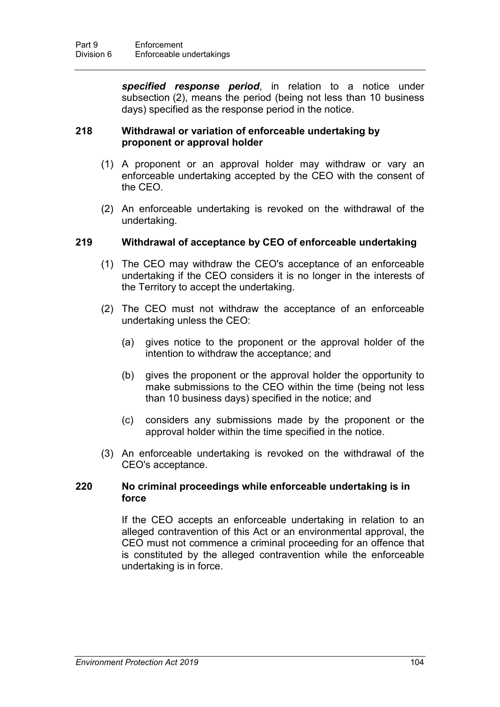*specified response period*, in relation to a notice under subsection (2), means the period (being not less than 10 business days) specified as the response period in the notice.

### **218 Withdrawal or variation of enforceable undertaking by proponent or approval holder**

- (1) A proponent or an approval holder may withdraw or vary an enforceable undertaking accepted by the CEO with the consent of the CEO.
- (2) An enforceable undertaking is revoked on the withdrawal of the undertaking.

#### **219 Withdrawal of acceptance by CEO of enforceable undertaking**

- (1) The CEO may withdraw the CEO's acceptance of an enforceable undertaking if the CEO considers it is no longer in the interests of the Territory to accept the undertaking.
- (2) The CEO must not withdraw the acceptance of an enforceable undertaking unless the CEO:
	- (a) gives notice to the proponent or the approval holder of the intention to withdraw the acceptance; and
	- (b) gives the proponent or the approval holder the opportunity to make submissions to the CEO within the time (being not less than 10 business days) specified in the notice; and
	- (c) considers any submissions made by the proponent or the approval holder within the time specified in the notice.
- (3) An enforceable undertaking is revoked on the withdrawal of the CEO's acceptance.

#### **220 No criminal proceedings while enforceable undertaking is in force**

If the CEO accepts an enforceable undertaking in relation to an alleged contravention of this Act or an environmental approval, the CEO must not commence a criminal proceeding for an offence that is constituted by the alleged contravention while the enforceable undertaking is in force.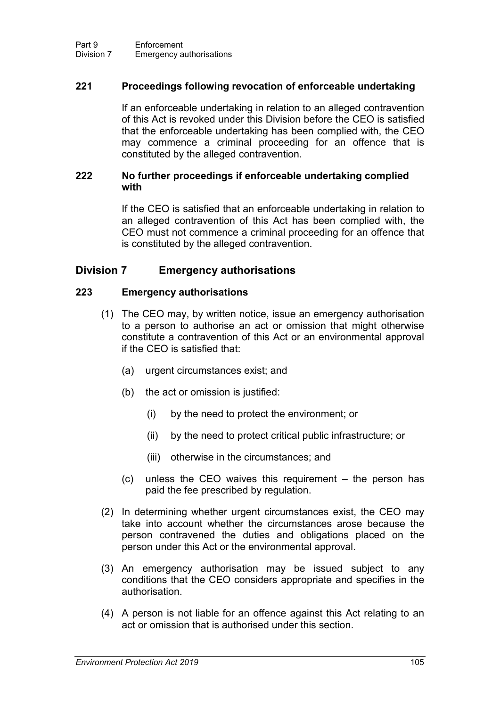### **221 Proceedings following revocation of enforceable undertaking**

If an enforceable undertaking in relation to an alleged contravention of this Act is revoked under this Division before the CEO is satisfied that the enforceable undertaking has been complied with, the CEO may commence a criminal proceeding for an offence that is constituted by the alleged contravention.

### **222 No further proceedings if enforceable undertaking complied with**

If the CEO is satisfied that an enforceable undertaking in relation to an alleged contravention of this Act has been complied with, the CEO must not commence a criminal proceeding for an offence that is constituted by the alleged contravention.

## **Division 7 Emergency authorisations**

#### **223 Emergency authorisations**

- (1) The CEO may, by written notice, issue an emergency authorisation to a person to authorise an act or omission that might otherwise constitute a contravention of this Act or an environmental approval if the CEO is satisfied that:
	- (a) urgent circumstances exist; and
	- (b) the act or omission is justified:
		- (i) by the need to protect the environment; or
		- (ii) by the need to protect critical public infrastructure; or
		- (iii) otherwise in the circumstances; and
	- (c) unless the CEO waives this requirement the person has paid the fee prescribed by regulation.
- (2) In determining whether urgent circumstances exist, the CEO may take into account whether the circumstances arose because the person contravened the duties and obligations placed on the person under this Act or the environmental approval.
- (3) An emergency authorisation may be issued subject to any conditions that the CEO considers appropriate and specifies in the authorisation.
- (4) A person is not liable for an offence against this Act relating to an act or omission that is authorised under this section.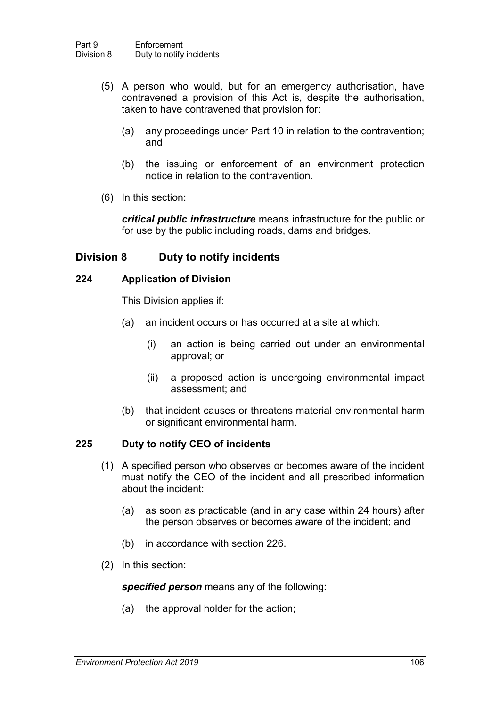- (5) A person who would, but for an emergency authorisation, have contravened a provision of this Act is, despite the authorisation, taken to have contravened that provision for:
	- (a) any proceedings under Part 10 in relation to the contravention; and
	- (b) the issuing or enforcement of an environment protection notice in relation to the contravention*.*
- (6) In this section:

*critical public infrastructure* means infrastructure for the public or for use by the public including roads, dams and bridges.

## **Division 8 Duty to notify incidents**

### **224 Application of Division**

This Division applies if:

- (a) an incident occurs or has occurred at a site at which:
	- (i) an action is being carried out under an environmental approval; or
	- (ii) a proposed action is undergoing environmental impact assessment; and
- (b) that incident causes or threatens material environmental harm or significant environmental harm.

### <span id="page-123-0"></span>**225 Duty to notify CEO of incidents**

- (1) A specified person who observes or becomes aware of the incident must notify the CEO of the incident and all prescribed information about the incident:
	- (a) as soon as practicable (and in any case within 24 hours) after the person observes or becomes aware of the incident; and
	- (b) in accordance with section [226.](#page-124-0)
- (2) In this section:

*specified person* means any of the following:

(a) the approval holder for the action;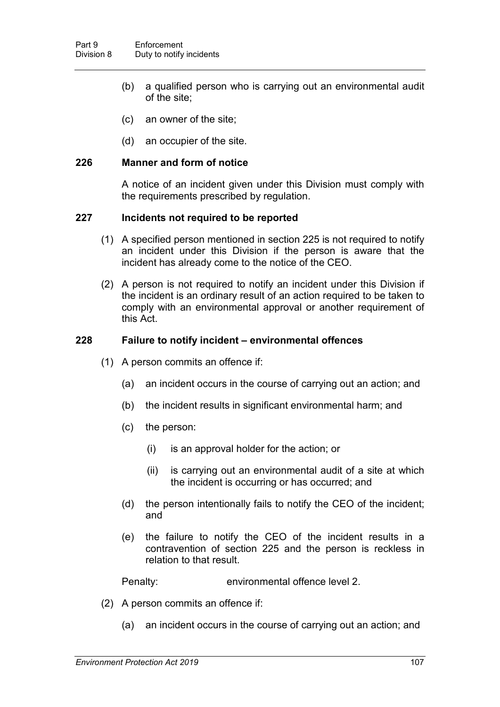- (b) a qualified person who is carrying out an environmental audit of the site;
- (c) an owner of the site;
- (d) an occupier of the site.

### <span id="page-124-0"></span>**226 Manner and form of notice**

A notice of an incident given under this Division must comply with the requirements prescribed by regulation.

### **227 Incidents not required to be reported**

- (1) A specified person mentioned in section [225](#page-123-0) is not required to notify an incident under this Division if the person is aware that the incident has already come to the notice of the CEO.
- (2) A person is not required to notify an incident under this Division if the incident is an ordinary result of an action required to be taken to comply with an environmental approval or another requirement of this Act.

### <span id="page-124-1"></span>**228 Failure to notify incident – environmental offences**

- (1) A person commits an offence if:
	- (a) an incident occurs in the course of carrying out an action; and
	- (b) the incident results in significant environmental harm; and
	- (c) the person:
		- (i) is an approval holder for the action; or
		- (ii) is carrying out an environmental audit of a site at which the incident is occurring or has occurred; and
	- (d) the person intentionally fails to notify the CEO of the incident; and
	- (e) the failure to notify the CEO of the incident results in a contravention of section [225](#page-123-0) and the person is reckless in relation to that result.

Penalty: environmental offence level 2.

- (2) A person commits an offence if:
	- (a) an incident occurs in the course of carrying out an action; and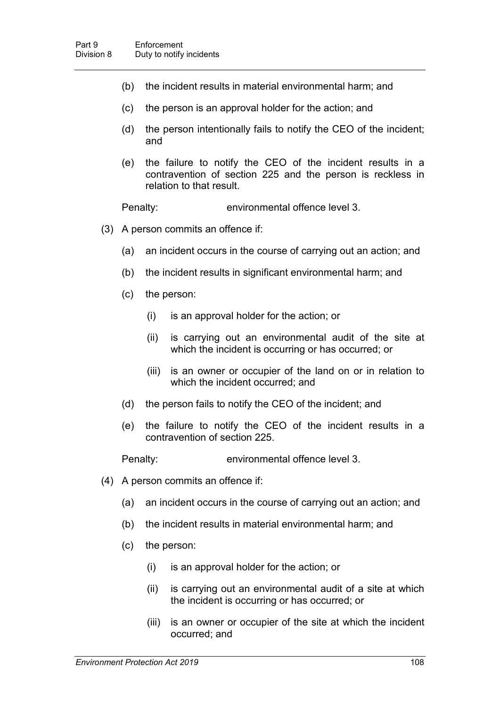- (b) the incident results in material environmental harm; and
- (c) the person is an approval holder for the action; and
- (d) the person intentionally fails to notify the CEO of the incident; and
- (e) the failure to notify the CEO of the incident results in a contravention of section [225](#page-123-0) and the person is reckless in relation to that result.

Penalty: environmental offence level 3.

- (3) A person commits an offence if:
	- (a) an incident occurs in the course of carrying out an action; and
	- (b) the incident results in significant environmental harm; and
	- (c) the person:
		- (i) is an approval holder for the action; or
		- (ii) is carrying out an environmental audit of the site at which the incident is occurring or has occurred; or
		- (iii) is an owner or occupier of the land on or in relation to which the incident occurred; and
	- (d) the person fails to notify the CEO of the incident; and
	- (e) the failure to notify the CEO of the incident results in a contravention of section [225.](#page-123-0)

Penalty: environmental offence level 3.

- (4) A person commits an offence if:
	- (a) an incident occurs in the course of carrying out an action; and
	- (b) the incident results in material environmental harm; and
	- (c) the person:
		- (i) is an approval holder for the action; or
		- (ii) is carrying out an environmental audit of a site at which the incident is occurring or has occurred; or
		- (iii) is an owner or occupier of the site at which the incident occurred; and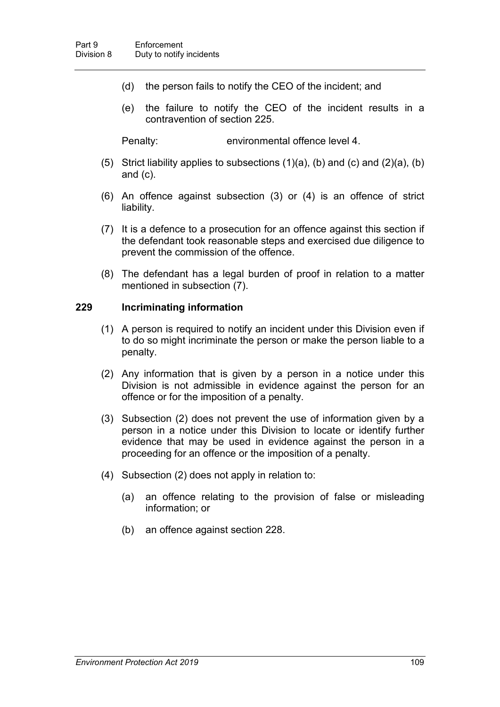- (d) the person fails to notify the CEO of the incident; and
- (e) the failure to notify the CEO of the incident results in a contravention of section [225.](#page-123-0)

Penalty: environmental offence level 4.

- (5) Strict liability applies to subsections  $(1)(a)$ ,  $(b)$  and  $(c)$  and  $(2)(a)$ ,  $(b)$ and (c).
- (6) An offence against subsection (3) or (4) is an offence of strict liability.
- (7) It is a defence to a prosecution for an offence against this section if the defendant took reasonable steps and exercised due diligence to prevent the commission of the offence.
- (8) The defendant has a legal burden of proof in relation to a matter mentioned in subsection (7).

#### **229 Incriminating information**

- (1) A person is required to notify an incident under this Division even if to do so might incriminate the person or make the person liable to a penalty.
- (2) Any information that is given by a person in a notice under this Division is not admissible in evidence against the person for an offence or for the imposition of a penalty.
- (3) Subsection (2) does not prevent the use of information given by a person in a notice under this Division to locate or identify further evidence that may be used in evidence against the person in a proceeding for an offence or the imposition of a penalty.
- (4) Subsection (2) does not apply in relation to:
	- (a) an offence relating to the provision of false or misleading information; or
	- (b) an offence against section [228.](#page-124-1)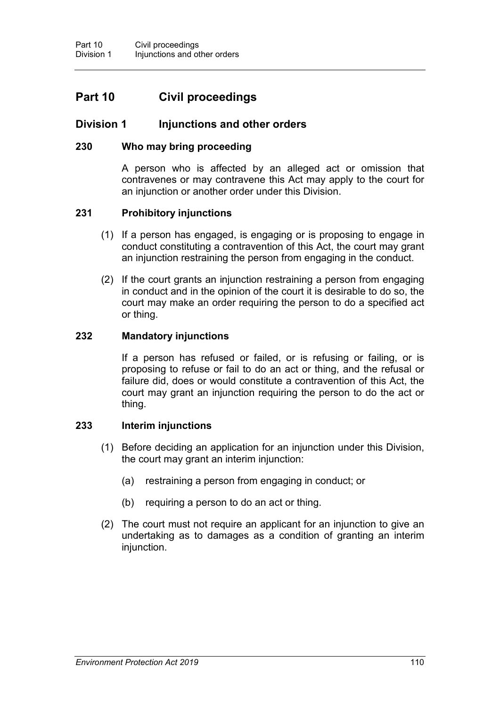# **Part 10 Civil proceedings**

## **Division 1 Injunctions and other orders**

### **230 Who may bring proceeding**

<span id="page-127-0"></span>A person who is affected by an alleged act or omission that contravenes or may contravene this Act may apply to the court for an injunction or another order under this Division.

#### **231 Prohibitory injunctions**

- (1) If a person has engaged, is engaging or is proposing to engage in conduct constituting a contravention of this Act, the court may grant an injunction restraining the person from engaging in the conduct.
- (2) If the court grants an injunction restraining a person from engaging in conduct and in the opinion of the court it is desirable to do so, the court may make an order requiring the person to do a specified act or thing.

### **232 Mandatory injunctions**

If a person has refused or failed, or is refusing or failing, or is proposing to refuse or fail to do an act or thing, and the refusal or failure did, does or would constitute a contravention of this Act, the court may grant an injunction requiring the person to do the act or thing.

### **233 Interim injunctions**

- (1) Before deciding an application for an injunction under this Division, the court may grant an interim injunction:
	- (a) restraining a person from engaging in conduct; or
	- (b) requiring a person to do an act or thing.
- (2) The court must not require an applicant for an injunction to give an undertaking as to damages as a condition of granting an interim injunction.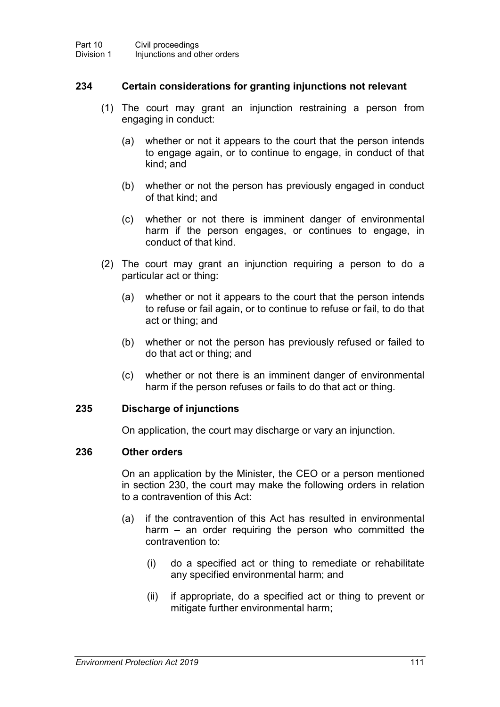### **234 Certain considerations for granting injunctions not relevant**

- (1) The court may grant an injunction restraining a person from engaging in conduct:
	- (a) whether or not it appears to the court that the person intends to engage again, or to continue to engage, in conduct of that kind; and
	- (b) whether or not the person has previously engaged in conduct of that kind; and
	- (c) whether or not there is imminent danger of environmental harm if the person engages, or continues to engage, in conduct of that kind.
- (2) The court may grant an injunction requiring a person to do a particular act or thing:
	- (a) whether or not it appears to the court that the person intends to refuse or fail again, or to continue to refuse or fail, to do that act or thing; and
	- (b) whether or not the person has previously refused or failed to do that act or thing; and
	- (c) whether or not there is an imminent danger of environmental harm if the person refuses or fails to do that act or thing.

#### **235 Discharge of injunctions**

On application, the court may discharge or vary an injunction.

#### <span id="page-128-0"></span>**236 Other orders**

On an application by the Minister, the CEO or a person mentioned in section [230,](#page-127-0) the court may make the following orders in relation to a contravention of this Act:

- (a) if the contravention of this Act has resulted in environmental harm – an order requiring the person who committed the contravention to:
	- (i) do a specified act or thing to remediate or rehabilitate any specified environmental harm; and
	- (ii) if appropriate, do a specified act or thing to prevent or mitigate further environmental harm;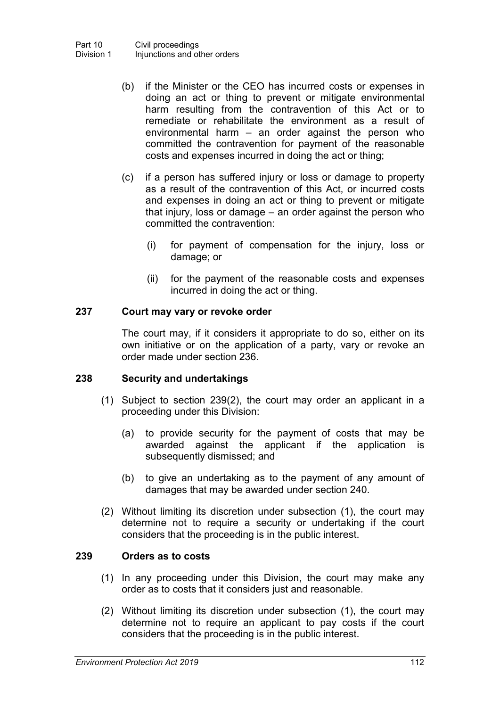- (b) if the Minister or the CEO has incurred costs or expenses in doing an act or thing to prevent or mitigate environmental harm resulting from the contravention of this Act or to remediate or rehabilitate the environment as a result of environmental harm – an order against the person who committed the contravention for payment of the reasonable costs and expenses incurred in doing the act or thing;
- (c) if a person has suffered injury or loss or damage to property as a result of the contravention of this Act, or incurred costs and expenses in doing an act or thing to prevent or mitigate that injury, loss or damage – an order against the person who committed the contravention:
	- (i) for payment of compensation for the injury, loss or damage; or
	- (ii) for the payment of the reasonable costs and expenses incurred in doing the act or thing.

## **237 Court may vary or revoke order**

The court may, if it considers it appropriate to do so, either on its own initiative or on the application of a party, vary or revoke an order made under section [236.](#page-128-0)

### **238 Security and undertakings**

- (1) Subject to section [239\(](#page-129-0)2), the court may order an applicant in a proceeding under this Division:
	- (a) to provide security for the payment of costs that may be awarded against the applicant if the application is subsequently dismissed; and
	- (b) to give an undertaking as to the payment of any amount of damages that may be awarded under section [240.](#page-130-0)
- (2) Without limiting its discretion under subsection (1), the court may determine not to require a security or undertaking if the court considers that the proceeding is in the public interest.

### <span id="page-129-0"></span>**239 Orders as to costs**

- (1) In any proceeding under this Division, the court may make any order as to costs that it considers just and reasonable.
- (2) Without limiting its discretion under subsection (1), the court may determine not to require an applicant to pay costs if the court considers that the proceeding is in the public interest.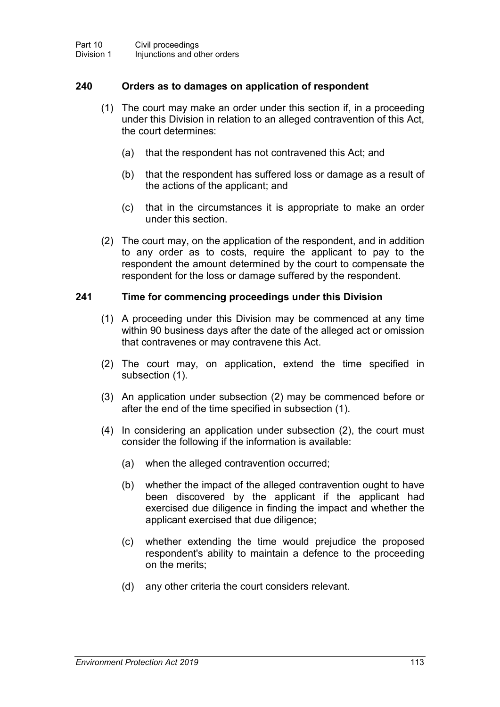### <span id="page-130-0"></span>**240 Orders as to damages on application of respondent**

- (1) The court may make an order under this section if, in a proceeding under this Division in relation to an alleged contravention of this Act, the court determines:
	- (a) that the respondent has not contravened this Act; and
	- (b) that the respondent has suffered loss or damage as a result of the actions of the applicant; and
	- (c) that in the circumstances it is appropriate to make an order under this section.
- (2) The court may, on the application of the respondent, and in addition to any order as to costs, require the applicant to pay to the respondent the amount determined by the court to compensate the respondent for the loss or damage suffered by the respondent.

### **241 Time for commencing proceedings under this Division**

- (1) A proceeding under this Division may be commenced at any time within 90 business days after the date of the alleged act or omission that contravenes or may contravene this Act.
- (2) The court may, on application, extend the time specified in subsection (1).
- (3) An application under subsection (2) may be commenced before or after the end of the time specified in subsection (1).
- (4) In considering an application under subsection (2), the court must consider the following if the information is available:
	- (a) when the alleged contravention occurred;
	- (b) whether the impact of the alleged contravention ought to have been discovered by the applicant if the applicant had exercised due diligence in finding the impact and whether the applicant exercised that due diligence;
	- (c) whether extending the time would prejudice the proposed respondent's ability to maintain a defence to the proceeding on the merits;
	- (d) any other criteria the court considers relevant.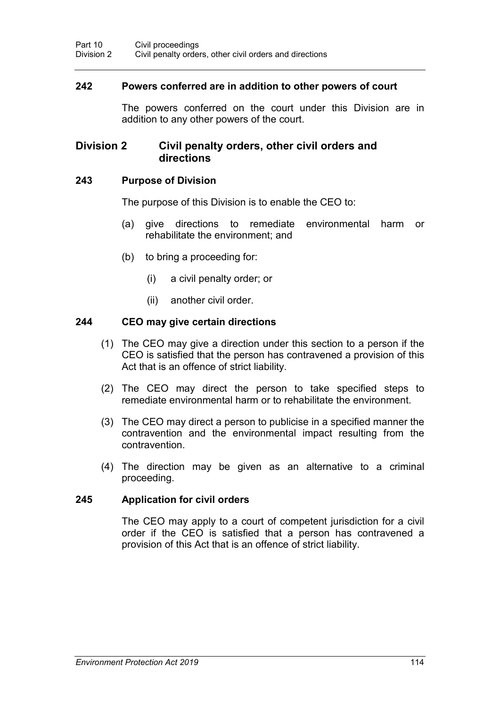### **242 Powers conferred are in addition to other powers of court**

The powers conferred on the court under this Division are in addition to any other powers of the court.

## **Division 2 Civil penalty orders, other civil orders and directions**

#### **243 Purpose of Division**

The purpose of this Division is to enable the CEO to:

- (a) give directions to remediate environmental harm or rehabilitate the environment; and
- (b) to bring a proceeding for:
	- (i) a civil penalty order; or
	- (ii) another civil order.

#### **244 CEO may give certain directions**

- (1) The CEO may give a direction under this section to a person if the CEO is satisfied that the person has contravened a provision of this Act that is an offence of strict liability.
- (2) The CEO may direct the person to take specified steps to remediate environmental harm or to rehabilitate the environment.
- (3) The CEO may direct a person to publicise in a specified manner the contravention and the environmental impact resulting from the contravention.
- (4) The direction may be given as an alternative to a criminal proceeding.

#### **245 Application for civil orders**

The CEO may apply to a court of competent jurisdiction for a civil order if the CEO is satisfied that a person has contravened a provision of this Act that is an offence of strict liability.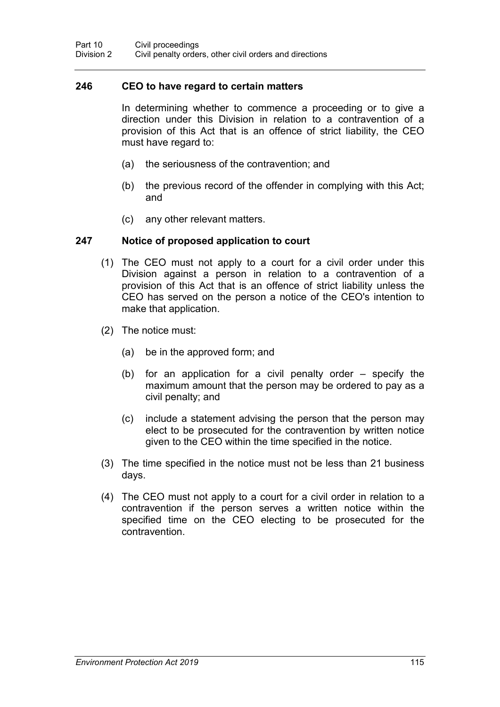#### **246 CEO to have regard to certain matters**

In determining whether to commence a proceeding or to give a direction under this Division in relation to a contravention of a provision of this Act that is an offence of strict liability, the CEO must have regard to:

- (a) the seriousness of the contravention; and
- (b) the previous record of the offender in complying with this Act; and
- (c) any other relevant matters.

#### **247 Notice of proposed application to court**

- (1) The CEO must not apply to a court for a civil order under this Division against a person in relation to a contravention of a provision of this Act that is an offence of strict liability unless the CEO has served on the person a notice of the CEO's intention to make that application.
- (2) The notice must:
	- (a) be in the approved form; and
	- (b) for an application for a civil penalty order specify the maximum amount that the person may be ordered to pay as a civil penalty; and
	- (c) include a statement advising the person that the person may elect to be prosecuted for the contravention by written notice given to the CEO within the time specified in the notice.
- (3) The time specified in the notice must not be less than 21 business days.
- (4) The CEO must not apply to a court for a civil order in relation to a contravention if the person serves a written notice within the specified time on the CEO electing to be prosecuted for the contravention.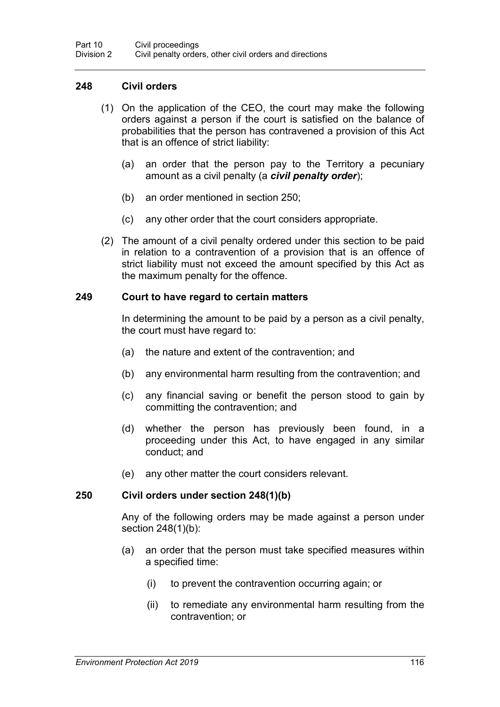### <span id="page-133-1"></span>**248 Civil orders**

- (1) On the application of the CEO, the court may make the following orders against a person if the court is satisfied on the balance of probabilities that the person has contravened a provision of this Act that is an offence of strict liability:
	- (a) an order that the person pay to the Territory a pecuniary amount as a civil penalty (a *civil penalty order*);
	- (b) an order mentioned in section [250;](#page-133-0)
	- (c) any other order that the court considers appropriate.
- (2) The amount of a civil penalty ordered under this section to be paid in relation to a contravention of a provision that is an offence of strict liability must not exceed the amount specified by this Act as the maximum penalty for the offence.

#### **249 Court to have regard to certain matters**

In determining the amount to be paid by a person as a civil penalty, the court must have regard to:

- (a) the nature and extent of the contravention; and
- (b) any environmental harm resulting from the contravention; and
- (c) any financial saving or benefit the person stood to gain by committing the contravention; and
- (d) whether the person has previously been found, in a proceeding under this Act, to have engaged in any similar conduct; and
- (e) any other matter the court considers relevant.

#### <span id="page-133-0"></span>**250 Civil orders under section [248\(](#page-133-1)1)(b)**

Any of the following orders may be made against a person under section [248\(](#page-133-1)1)(b):

- (a) an order that the person must take specified measures within a specified time:
	- (i) to prevent the contravention occurring again; or
	- (ii) to remediate any environmental harm resulting from the contravention; or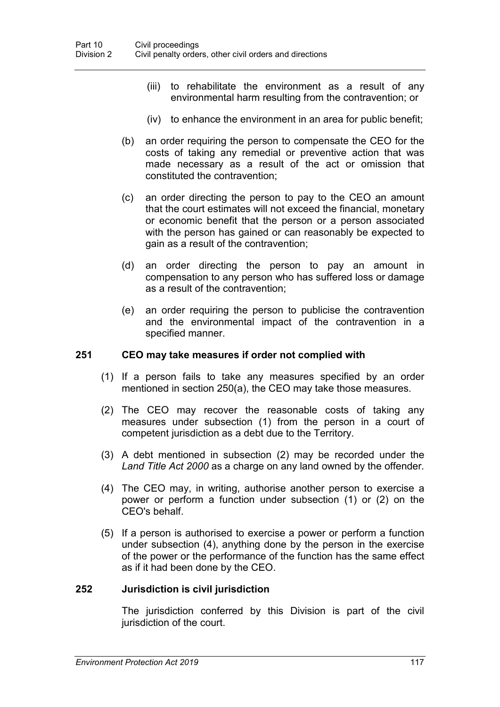- (iii) to rehabilitate the environment as a result of any environmental harm resulting from the contravention; or
- (iv) to enhance the environment in an area for public benefit;
- (b) an order requiring the person to compensate the CEO for the costs of taking any remedial or preventive action that was made necessary as a result of the act or omission that constituted the contravention;
- (c) an order directing the person to pay to the CEO an amount that the court estimates will not exceed the financial, monetary or economic benefit that the person or a person associated with the person has gained or can reasonably be expected to gain as a result of the contravention;
- (d) an order directing the person to pay an amount in compensation to any person who has suffered loss or damage as a result of the contravention;
- (e) an order requiring the person to publicise the contravention and the environmental impact of the contravention in a specified manner.

### **251 CEO may take measures if order not complied with**

- (1) If a person fails to take any measures specified by an order mentioned in section [250\(](#page-133-0)a), the CEO may take those measures.
- (2) The CEO may recover the reasonable costs of taking any measures under subsection (1) from the person in a court of competent jurisdiction as a debt due to the Territory.
- (3) A debt mentioned in subsection (2) may be recorded under the *Land Title Act 2000* as a charge on any land owned by the offender*.*
- (4) The CEO may, in writing, authorise another person to exercise a power or perform a function under subsection (1) or (2) on the CEO's behalf.
- (5) If a person is authorised to exercise a power or perform a function under subsection (4), anything done by the person in the exercise of the power or the performance of the function has the same effect as if it had been done by the CEO.

#### **252 Jurisdiction is civil jurisdiction**

The jurisdiction conferred by this Division is part of the civil jurisdiction of the court.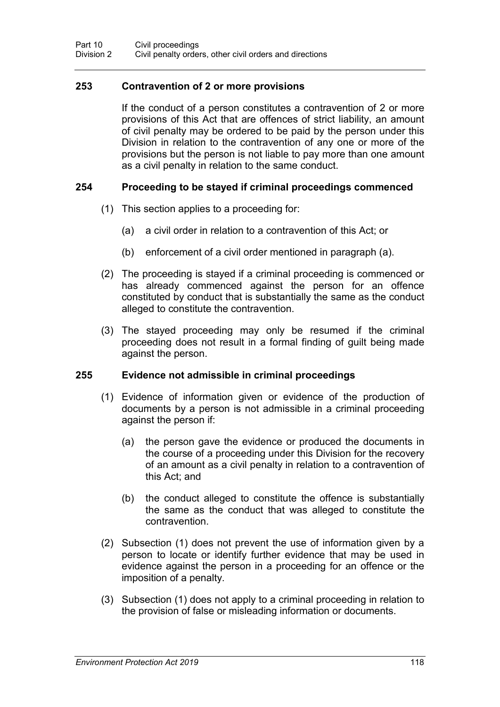### **253 Contravention of 2 or more provisions**

If the conduct of a person constitutes a contravention of 2 or more provisions of this Act that are offences of strict liability, an amount of civil penalty may be ordered to be paid by the person under this Division in relation to the contravention of any one or more of the provisions but the person is not liable to pay more than one amount as a civil penalty in relation to the same conduct.

#### **254 Proceeding to be stayed if criminal proceedings commenced**

- (1) This section applies to a proceeding for:
	- (a) a civil order in relation to a contravention of this Act; or
	- (b) enforcement of a civil order mentioned in paragraph (a).
- (2) The proceeding is stayed if a criminal proceeding is commenced or has already commenced against the person for an offence constituted by conduct that is substantially the same as the conduct alleged to constitute the contravention.
- (3) The stayed proceeding may only be resumed if the criminal proceeding does not result in a formal finding of guilt being made against the person.

#### **255 Evidence not admissible in criminal proceedings**

- (1) Evidence of information given or evidence of the production of documents by a person is not admissible in a criminal proceeding against the person if:
	- (a) the person gave the evidence or produced the documents in the course of a proceeding under this Division for the recovery of an amount as a civil penalty in relation to a contravention of this Act; and
	- (b) the conduct alleged to constitute the offence is substantially the same as the conduct that was alleged to constitute the contravention.
- (2) Subsection (1) does not prevent the use of information given by a person to locate or identify further evidence that may be used in evidence against the person in a proceeding for an offence or the imposition of a penalty.
- (3) Subsection (1) does not apply to a criminal proceeding in relation to the provision of false or misleading information or documents.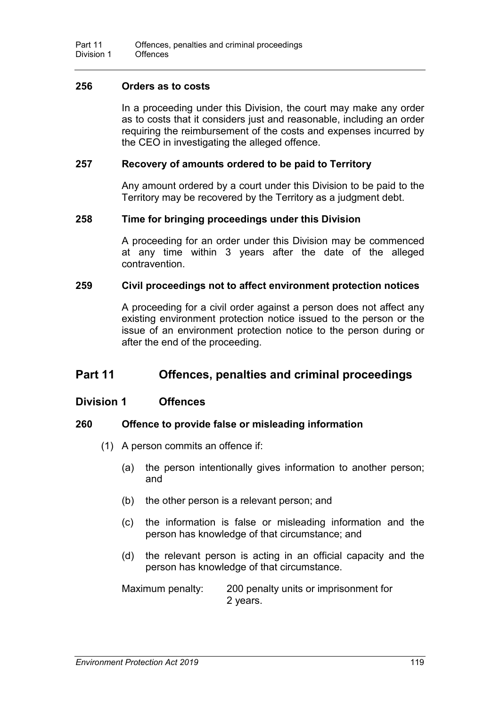### **256 Orders as to costs**

In a proceeding under this Division, the court may make any order as to costs that it considers just and reasonable, including an order requiring the reimbursement of the costs and expenses incurred by the CEO in investigating the alleged offence.

#### **257 Recovery of amounts ordered to be paid to Territory**

Any amount ordered by a court under this Division to be paid to the Territory may be recovered by the Territory as a judgment debt.

#### **258 Time for bringing proceedings under this Division**

A proceeding for an order under this Division may be commenced at any time within 3 years after the date of the alleged contravention.

#### **259 Civil proceedings not to affect environment protection notices**

A proceeding for a civil order against a person does not affect any existing environment protection notice issued to the person or the issue of an environment protection notice to the person during or after the end of the proceeding.

# **Part 11 Offences, penalties and criminal proceedings**

### **Division 1 Offences**

### **260 Offence to provide false or misleading information**

- (1) A person commits an offence if:
	- (a) the person intentionally gives information to another person; and
	- (b) the other person is a relevant person; and
	- (c) the information is false or misleading information and the person has knowledge of that circumstance; and
	- (d) the relevant person is acting in an official capacity and the person has knowledge of that circumstance.

Maximum penalty: 200 penalty units or imprisonment for 2 years.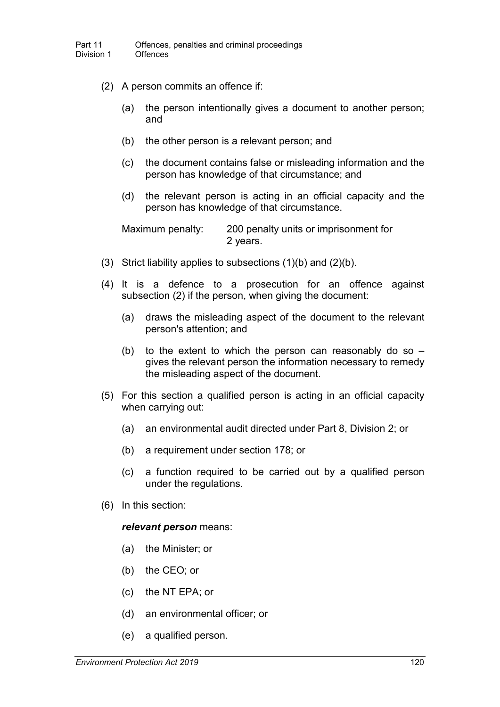- (2) A person commits an offence if:
	- (a) the person intentionally gives a document to another person; and
	- (b) the other person is a relevant person; and
	- (c) the document contains false or misleading information and the person has knowledge of that circumstance; and
	- (d) the relevant person is acting in an official capacity and the person has knowledge of that circumstance.

Maximum penalty: 200 penalty units or imprisonment for 2 years.

- (3) Strict liability applies to subsections (1)(b) and (2)(b).
- (4) It is a defence to a prosecution for an offence against subsection (2) if the person, when giving the document:
	- (a) draws the misleading aspect of the document to the relevant person's attention; and
	- (b) to the extent to which the person can reasonably do so  $$ gives the relevant person the information necessary to remedy the misleading aspect of the document.
- (5) For this section a qualified person is acting in an official capacity when carrying out:
	- (a) an environmental audit directed under Part 8, Division 2; or
	- (b) a requirement under section [178;](#page-101-0) or
	- (c) a function required to be carried out by a qualified person under the regulations.
- (6) In this section:

#### *relevant person* means:

- (a) the Minister; or
- (b) the CEO; or
- (c) the NT EPA; or
- (d) an environmental officer; or
- (e) a qualified person.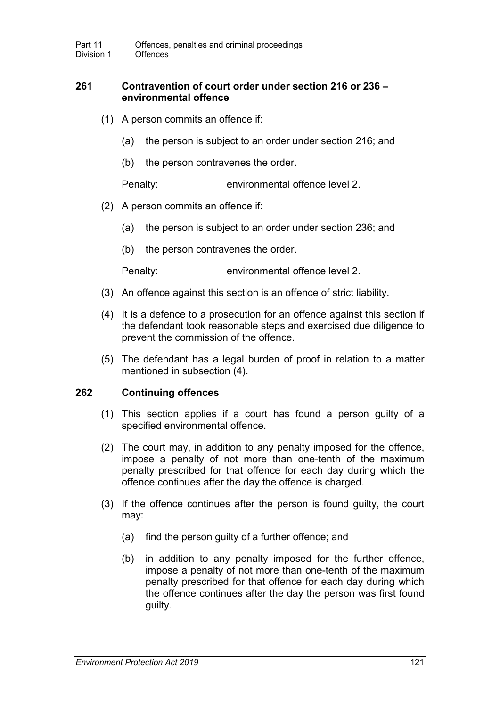### **261 Contravention of court order under section [216](#page-119-0) or [236](#page-128-0) – environmental offence**

- (1) A person commits an offence if:
	- (a) the person is subject to an order under section [216;](#page-119-0) and
	- (b) the person contravenes the order.

Penalty: environmental offence level 2.

- (2) A person commits an offence if:
	- (a) the person is subject to an order under section [236;](#page-128-0) and
	- (b) the person contravenes the order.

Penalty: environmental offence level 2.

- (3) An offence against this section is an offence of strict liability.
- (4) It is a defence to a prosecution for an offence against this section if the defendant took reasonable steps and exercised due diligence to prevent the commission of the offence.
- (5) The defendant has a legal burden of proof in relation to a matter mentioned in subsection (4).

#### **262 Continuing offences**

- (1) This section applies if a court has found a person guilty of a specified environmental offence.
- (2) The court may, in addition to any penalty imposed for the offence, impose a penalty of not more than one-tenth of the maximum penalty prescribed for that offence for each day during which the offence continues after the day the offence is charged.
- (3) If the offence continues after the person is found guilty, the court may:
	- (a) find the person guilty of a further offence; and
	- (b) in addition to any penalty imposed for the further offence, impose a penalty of not more than one-tenth of the maximum penalty prescribed for that offence for each day during which the offence continues after the day the person was first found guilty.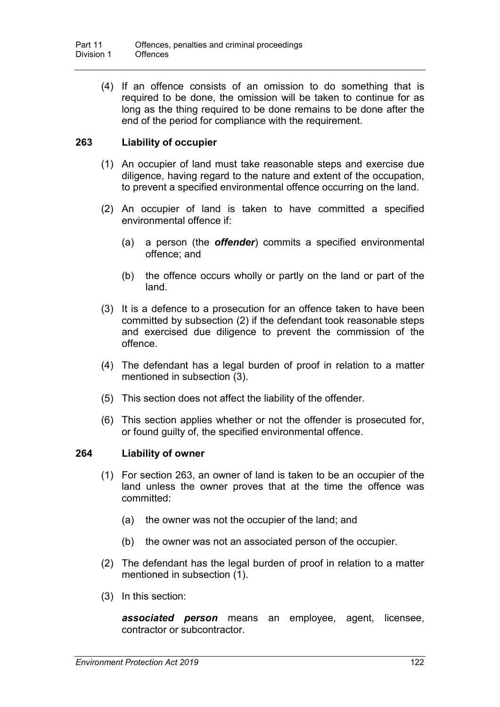(4) If an offence consists of an omission to do something that is required to be done, the omission will be taken to continue for as long as the thing required to be done remains to be done after the end of the period for compliance with the requirement.

## <span id="page-139-0"></span>**263 Liability of occupier**

- (1) An occupier of land must take reasonable steps and exercise due diligence, having regard to the nature and extent of the occupation, to prevent a specified environmental offence occurring on the land.
- (2) An occupier of land is taken to have committed a specified environmental offence if:
	- (a) a person (the *offender*) commits a specified environmental offence; and
	- (b) the offence occurs wholly or partly on the land or part of the land.
- (3) It is a defence to a prosecution for an offence taken to have been committed by subsection (2) if the defendant took reasonable steps and exercised due diligence to prevent the commission of the offence.
- (4) The defendant has a legal burden of proof in relation to a matter mentioned in subsection (3).
- (5) This section does not affect the liability of the offender.
- (6) This section applies whether or not the offender is prosecuted for, or found guilty of, the specified environmental offence.

### **264 Liability of owner**

- (1) For section [263,](#page-139-0) an owner of land is taken to be an occupier of the land unless the owner proves that at the time the offence was committed:
	- (a) the owner was not the occupier of the land; and
	- (b) the owner was not an associated person of the occupier.
- (2) The defendant has the legal burden of proof in relation to a matter mentioned in subsection (1).
- (3) In this section:

*associated person* means an employee, agent, licensee, contractor or subcontractor.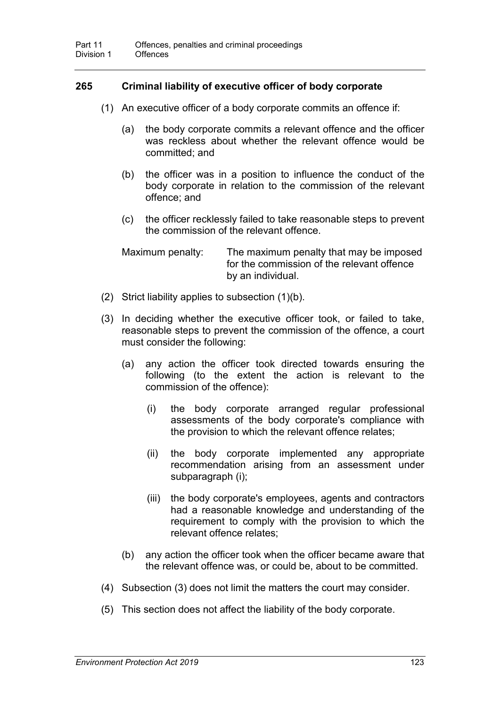## **265 Criminal liability of executive officer of body corporate**

- (1) An executive officer of a body corporate commits an offence if:
	- (a) the body corporate commits a relevant offence and the officer was reckless about whether the relevant offence would be committed; and
	- (b) the officer was in a position to influence the conduct of the body corporate in relation to the commission of the relevant offence; and
	- (c) the officer recklessly failed to take reasonable steps to prevent the commission of the relevant offence.

| Maximum penalty: | The maximum penalty that may be imposed    |
|------------------|--------------------------------------------|
|                  | for the commission of the relevant offence |
|                  | by an individual.                          |

- (2) Strict liability applies to subsection (1)(b).
- (3) In deciding whether the executive officer took, or failed to take, reasonable steps to prevent the commission of the offence, a court must consider the following:
	- (a) any action the officer took directed towards ensuring the following (to the extent the action is relevant to the commission of the offence):
		- (i) the body corporate arranged regular professional assessments of the body corporate's compliance with the provision to which the relevant offence relates;
		- (ii) the body corporate implemented any appropriate recommendation arising from an assessment under subparagraph (i);
		- (iii) the body corporate's employees, agents and contractors had a reasonable knowledge and understanding of the requirement to comply with the provision to which the relevant offence relates;
	- (b) any action the officer took when the officer became aware that the relevant offence was, or could be, about to be committed.
- (4) Subsection (3) does not limit the matters the court may consider.
- (5) This section does not affect the liability of the body corporate.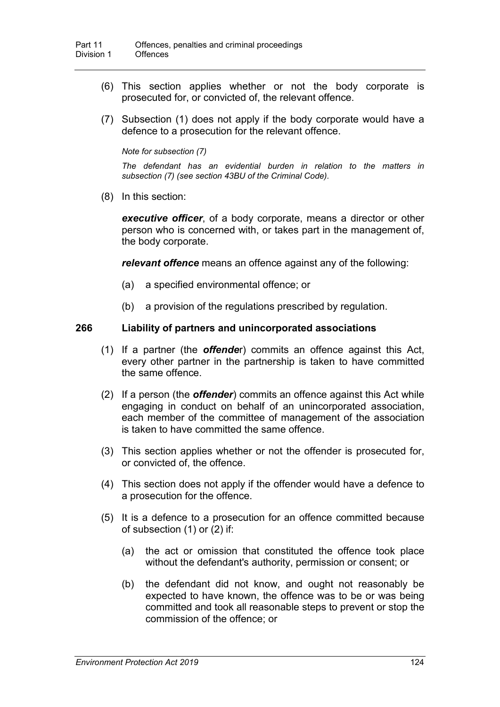- (6) This section applies whether or not the body corporate is prosecuted for, or convicted of, the relevant offence.
- (7) Subsection (1) does not apply if the body corporate would have a defence to a prosecution for the relevant offence.

*Note for subsection (7)*

*The defendant has an evidential burden in relation to the matters in subsection (7) (see section 43BU of the Criminal Code).*

(8) In this section:

*executive officer*, of a body corporate, means a director or other person who is concerned with, or takes part in the management of, the body corporate.

*relevant offence* means an offence against any of the following:

- (a) a specified environmental offence; or
- (b) a provision of the regulations prescribed by regulation.

#### **266 Liability of partners and unincorporated associations**

- (1) If a partner (the *offende*r) commits an offence against this Act, every other partner in the partnership is taken to have committed the same offence.
- (2) If a person (the *offender*) commits an offence against this Act while engaging in conduct on behalf of an unincorporated association, each member of the committee of management of the association is taken to have committed the same offence.
- (3) This section applies whether or not the offender is prosecuted for, or convicted of, the offence.
- (4) This section does not apply if the offender would have a defence to a prosecution for the offence.
- (5) It is a defence to a prosecution for an offence committed because of subsection (1) or (2) if:
	- (a) the act or omission that constituted the offence took place without the defendant's authority, permission or consent; or
	- (b) the defendant did not know, and ought not reasonably be expected to have known, the offence was to be or was being committed and took all reasonable steps to prevent or stop the commission of the offence; or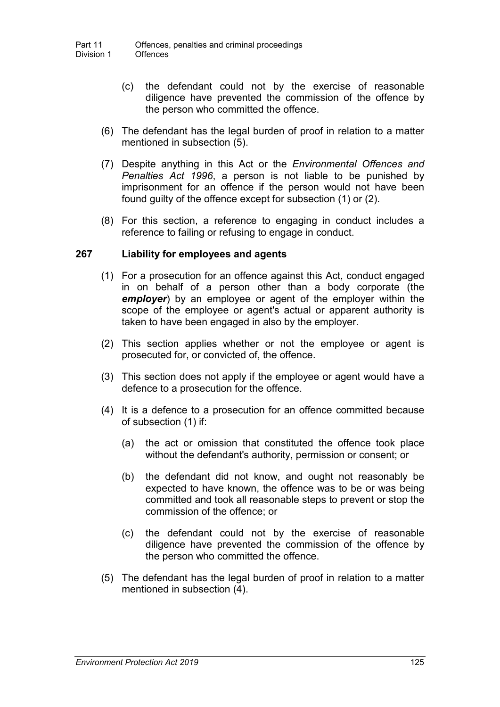- (c) the defendant could not by the exercise of reasonable diligence have prevented the commission of the offence by the person who committed the offence.
- (6) The defendant has the legal burden of proof in relation to a matter mentioned in subsection (5).
- (7) Despite anything in this Act or the *Environmental Offences and Penalties Act 1996*, a person is not liable to be punished by imprisonment for an offence if the person would not have been found guilty of the offence except for subsection (1) or (2).
- (8) For this section, a reference to engaging in conduct includes a reference to failing or refusing to engage in conduct.

### **267 Liability for employees and agents**

- (1) For a prosecution for an offence against this Act, conduct engaged in on behalf of a person other than a body corporate (the *employer*) by an employee or agent of the employer within the scope of the employee or agent's actual or apparent authority is taken to have been engaged in also by the employer.
- (2) This section applies whether or not the employee or agent is prosecuted for, or convicted of, the offence.
- (3) This section does not apply if the employee or agent would have a defence to a prosecution for the offence.
- (4) It is a defence to a prosecution for an offence committed because of subsection (1) if:
	- (a) the act or omission that constituted the offence took place without the defendant's authority, permission or consent; or
	- (b) the defendant did not know, and ought not reasonably be expected to have known, the offence was to be or was being committed and took all reasonable steps to prevent or stop the commission of the offence; or
	- (c) the defendant could not by the exercise of reasonable diligence have prevented the commission of the offence by the person who committed the offence.
- (5) The defendant has the legal burden of proof in relation to a matter mentioned in subsection (4).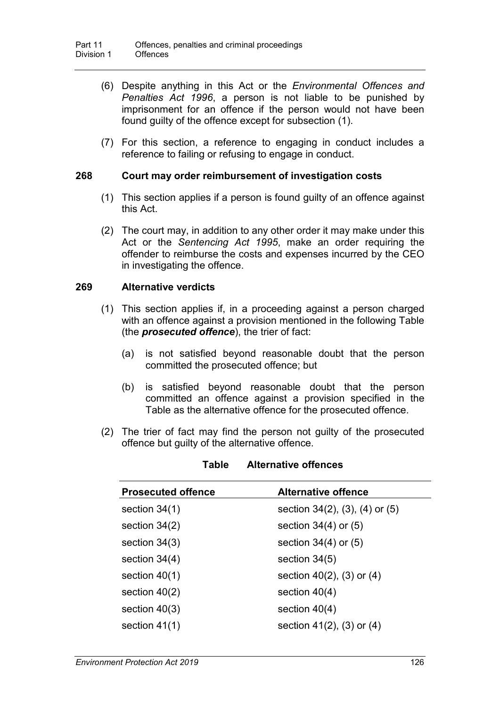- (6) Despite anything in this Act or the *Environmental Offences and Penalties Act 1996*, a person is not liable to be punished by imprisonment for an offence if the person would not have been found guilty of the offence except for subsection (1).
- (7) For this section, a reference to engaging in conduct includes a reference to failing or refusing to engage in conduct.

### **268 Court may order reimbursement of investigation costs**

- (1) This section applies if a person is found guilty of an offence against this Act.
- (2) The court may, in addition to any other order it may make under this Act or the *Sentencing Act 1995*, make an order requiring the offender to reimburse the costs and expenses incurred by the CEO in investigating the offence.

#### **269 Alternative verdicts**

- (1) This section applies if, in a proceeding against a person charged with an offence against a provision mentioned in the following Table (the *prosecuted offence*), the trier of fact:
	- (a) is not satisfied beyond reasonable doubt that the person committed the prosecuted offence; but
	- (b) is satisfied beyond reasonable doubt that the person committed an offence against a provision specified in the Table as the alternative offence for the prosecuted offence.
- (2) The trier of fact may find the person not guilty of the prosecuted offence but guilty of the alternative offence.

| <b>Prosecuted offence</b> | <b>Alternative offence</b>               |
|---------------------------|------------------------------------------|
| section $34(1)$           | section $34(2)$ , $(3)$ , $(4)$ or $(5)$ |
| section $34(2)$           | section $34(4)$ or $(5)$                 |
| section $34(3)$           | section $34(4)$ or $(5)$                 |
| section $34(4)$           | section $34(5)$                          |
| section $40(1)$           | section $40(2)$ , $(3)$ or $(4)$         |
| section $40(2)$           | section $40(4)$                          |
| section $40(3)$           | section $40(4)$                          |
| section $41(1)$           | section $41(2)$ , $(3)$ or $(4)$         |
|                           |                                          |

#### **Table Alternative offences**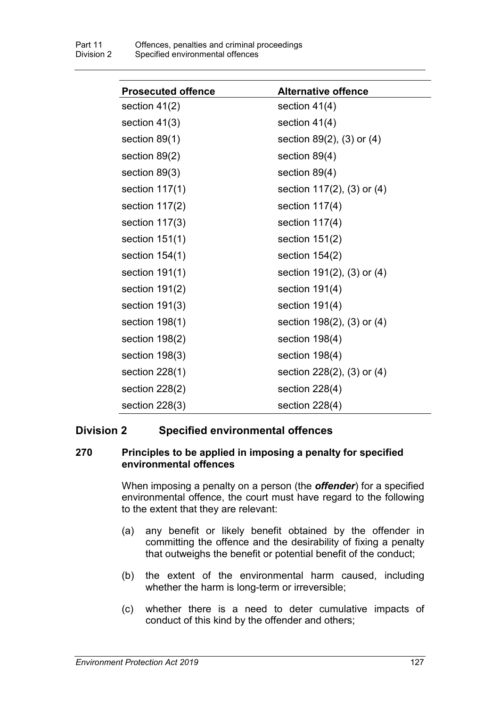| <b>Prosecuted offence</b> | <b>Alternative offence</b> |
|---------------------------|----------------------------|
| section $41(2)$           | section $41(4)$            |
| section $41(3)$           | section $41(4)$            |
| section $89(1)$           | section 89(2), (3) or (4)  |
| section 89(2)             | section $89(4)$            |
| section 89(3)             | section 89(4)              |
| section $117(1)$          | section 117(2), (3) or (4) |
| section $117(2)$          | section $117(4)$           |
| section $117(3)$          | section $117(4)$           |
| section $151(1)$          | section $151(2)$           |
| section $154(1)$          | section $154(2)$           |
| section $191(1)$          | section 191(2), (3) or (4) |
| section $191(2)$          | section $191(4)$           |
| section $191(3)$          | section $191(4)$           |
| section $198(1)$          | section 198(2), (3) or (4) |
| section $198(2)$          | section $198(4)$           |
| section $198(3)$          | section $198(4)$           |
| section $228(1)$          | section 228(2), (3) or (4) |
| section $228(2)$          | section $228(4)$           |
| section $228(3)$          | section $228(4)$           |

## **Division 2 Specified environmental offences**

### **270 Principles to be applied in imposing a penalty for specified environmental offences**

When imposing a penalty on a person (the *offender*) for a specified environmental offence, the court must have regard to the following to the extent that they are relevant:

- (a) any benefit or likely benefit obtained by the offender in committing the offence and the desirability of fixing a penalty that outweighs the benefit or potential benefit of the conduct;
- (b) the extent of the environmental harm caused, including whether the harm is long-term or irreversible;
- (c) whether there is a need to deter cumulative impacts of conduct of this kind by the offender and others;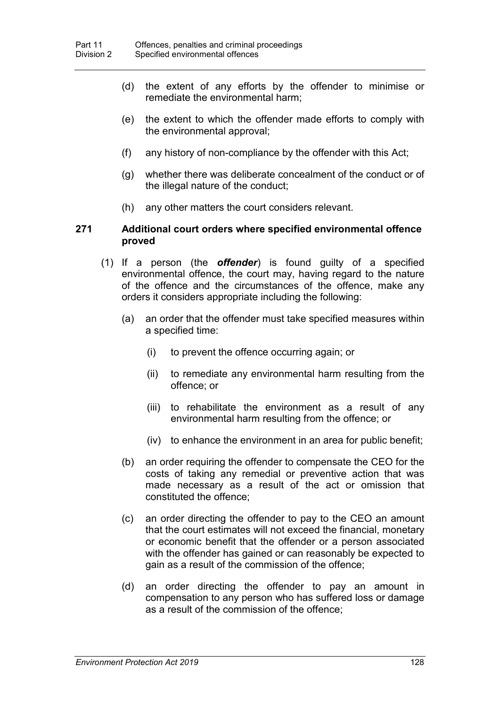- (d) the extent of any efforts by the offender to minimise or remediate the environmental harm;
- (e) the extent to which the offender made efforts to comply with the environmental approval;
- (f) any history of non-compliance by the offender with this Act;
- (g) whether there was deliberate concealment of the conduct or of the illegal nature of the conduct;
- (h) any other matters the court considers relevant.

#### <span id="page-145-0"></span>**271 Additional court orders where specified environmental offence proved**

- (1) If a person (the *offender*) is found guilty of a specified environmental offence, the court may, having regard to the nature of the offence and the circumstances of the offence, make any orders it considers appropriate including the following:
	- (a) an order that the offender must take specified measures within a specified time:
		- (i) to prevent the offence occurring again; or
		- (ii) to remediate any environmental harm resulting from the offence; or
		- (iii) to rehabilitate the environment as a result of any environmental harm resulting from the offence; or
		- (iv) to enhance the environment in an area for public benefit;
	- (b) an order requiring the offender to compensate the CEO for the costs of taking any remedial or preventive action that was made necessary as a result of the act or omission that constituted the offence;
	- (c) an order directing the offender to pay to the CEO an amount that the court estimates will not exceed the financial, monetary or economic benefit that the offender or a person associated with the offender has gained or can reasonably be expected to gain as a result of the commission of the offence;
	- (d) an order directing the offender to pay an amount in compensation to any person who has suffered loss or damage as a result of the commission of the offence;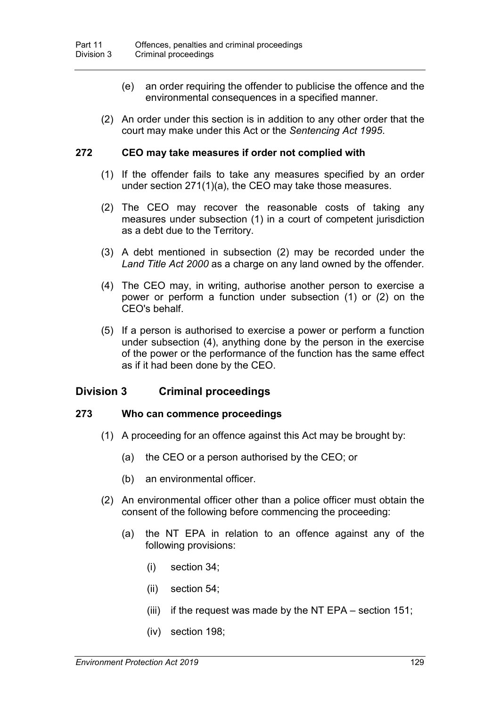- (e) an order requiring the offender to publicise the offence and the environmental consequences in a specified manner.
- (2) An order under this section is in addition to any other order that the court may make under this Act or the *Sentencing Act 1995*.

#### **272 CEO may take measures if order not complied with**

- (1) If the offender fails to take any measures specified by an order under section [271\(](#page-145-0)1)(a), the CEO may take those measures.
- (2) The CEO may recover the reasonable costs of taking any measures under subsection (1) in a court of competent jurisdiction as a debt due to the Territory.
- (3) A debt mentioned in subsection (2) may be recorded under the *Land Title Act 2000* as a charge on any land owned by the offender*.*
- (4) The CEO may, in writing, authorise another person to exercise a power or perform a function under subsection (1) or (2) on the CEO's behalf.
- (5) If a person is authorised to exercise a power or perform a function under subsection (4), anything done by the person in the exercise of the power or the performance of the function has the same effect as if it had been done by the CEO.

## **Division 3 Criminal proceedings**

#### **273 Who can commence proceedings**

- (1) A proceeding for an offence against this Act may be brought by:
	- (a) the CEO or a person authorised by the CEO; or
	- (b) an environmental officer.
- (2) An environmental officer other than a police officer must obtain the consent of the following before commencing the proceeding:
	- (a) the NT EPA in relation to an offence against any of the following provisions:
		- (i) section [34;](#page-33-0)
		- (ii) section [54;](#page-45-0)
		- (iii) if the request was made by the NT EPA section [151;](#page-87-0)
		- (iv) section [198;](#page-111-0)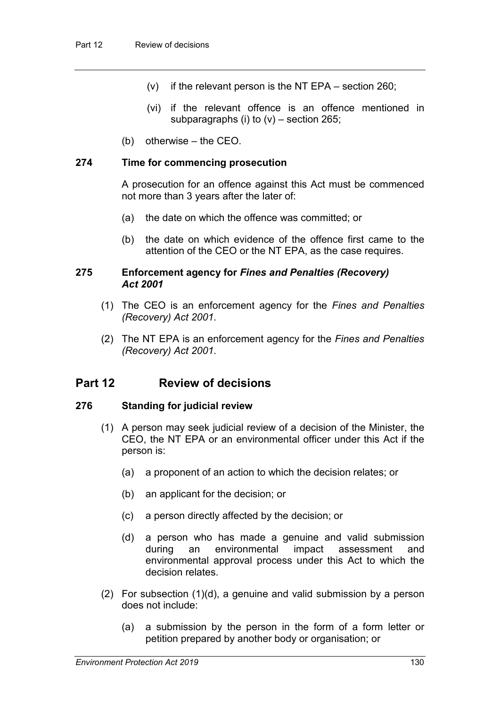- (v) if the relevant person is the NT EPA section [260;](#page-136-0)
- (vi) if the relevant offence is an offence mentioned in subparagraphs (i) to  $(v)$  – section [265;](#page-140-0)
- (b) otherwise the CEO.

### **274 Time for commencing prosecution**

A prosecution for an offence against this Act must be commenced not more than 3 years after the later of:

- (a) the date on which the offence was committed; or
- (b) the date on which evidence of the offence first came to the attention of the CEO or the NT EPA, as the case requires.

#### **275 Enforcement agency for** *Fines and Penalties (Recovery) Act 2001*

- (1) The CEO is an enforcement agency for the *Fines and Penalties (Recovery) Act 2001*.
- (2) The NT EPA is an enforcement agency for the *Fines and Penalties (Recovery) Act 2001*.

## **Part 12 Review of decisions**

### **276 Standing for judicial review**

- (1) A person may seek judicial review of a decision of the Minister, the CEO, the NT EPA or an environmental officer under this Act if the person is:
	- (a) a proponent of an action to which the decision relates; or
	- (b) an applicant for the decision; or
	- (c) a person directly affected by the decision; or
	- (d) a person who has made a genuine and valid submission during an environmental impact assessment and environmental approval process under this Act to which the decision relates.
- (2) For subsection (1)(d), a genuine and valid submission by a person does not include:
	- (a) a submission by the person in the form of a form letter or petition prepared by another body or organisation; or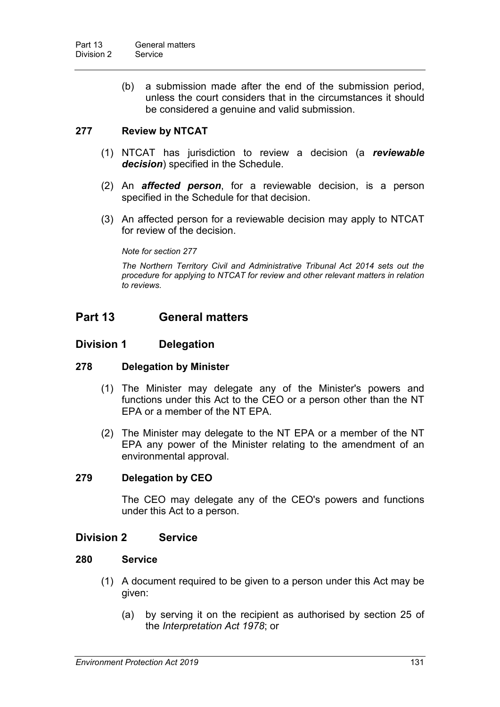(b) a submission made after the end of the submission period, unless the court considers that in the circumstances it should be considered a genuine and valid submission.

## <span id="page-148-2"></span><span id="page-148-0"></span>**277 Review by NTCAT**

- (1) NTCAT has jurisdiction to review a decision (a *reviewable decision*) specified in the Schedule.
- (2) An *affected person*, for a reviewable decision, is a person specified in the Schedule for that decision.
- (3) An affected person for a reviewable decision may apply to NTCAT for review of the decision.

*Note for section [277](#page-148-0)*

*The Northern Territory Civil and Administrative Tribunal Act 2014 sets out the procedure for applying to NTCAT for review and other relevant matters in relation to reviews.*

## **Part 13 General matters**

### **Division 1 Delegation**

### **278 Delegation by Minister**

- (1) The Minister may delegate any of the Minister's powers and functions under this Act to the CEO or a person other than the NT EPA or a member of the NT EPA.
- (2) The Minister may delegate to the NT EPA or a member of the NT EPA any power of the Minister relating to the amendment of an environmental approval.

### **279 Delegation by CEO**

The CEO may delegate any of the CEO's powers and functions under this Act to a person.

### **Division 2 Service**

### **280 Service**

- <span id="page-148-1"></span>(1) A document required to be given to a person under this Act may be given:
	- (a) by serving it on the recipient as authorised by section 25 of the *Interpretation Act 1978*; or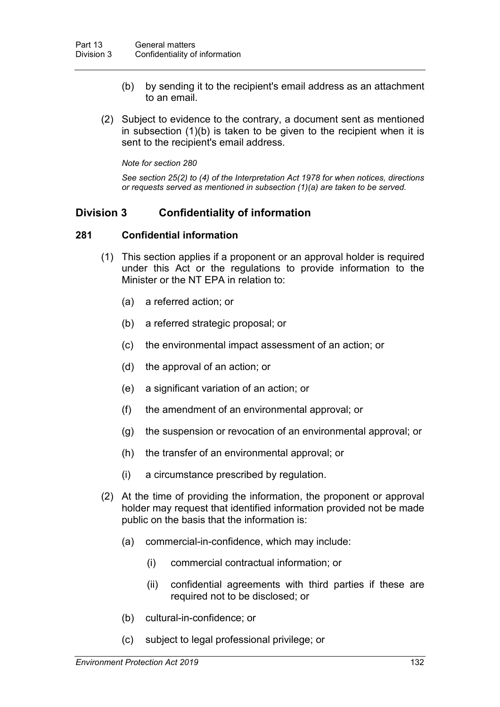- (b) by sending it to the recipient's email address as an attachment to an email.
- (2) Subject to evidence to the contrary, a document sent as mentioned in subsection (1)(b) is taken to be given to the recipient when it is sent to the recipient's email address.

*Note for section [280](#page-148-1)*

*See section 25(2) to (4) of the Interpretation Act 1978 for when notices, directions or requests served as mentioned in subsection (1)(a) are taken to be served.*

## **Division 3 Confidentiality of information**

### **281 Confidential information**

- <span id="page-149-0"></span>(1) This section applies if a proponent or an approval holder is required under this Act or the regulations to provide information to the Minister or the NT EPA in relation to:
	- (a) a referred action; or
	- (b) a referred strategic proposal; or
	- (c) the environmental impact assessment of an action; or
	- (d) the approval of an action; or
	- (e) a significant variation of an action; or
	- (f) the amendment of an environmental approval; or
	- (g) the suspension or revocation of an environmental approval; or
	- (h) the transfer of an environmental approval; or
	- (i) a circumstance prescribed by regulation.
- (2) At the time of providing the information, the proponent or approval holder may request that identified information provided not be made public on the basis that the information is:
	- (a) commercial-in-confidence, which may include:
		- (i) commercial contractual information; or
		- (ii) confidential agreements with third parties if these are required not to be disclosed; or
	- (b) cultural-in-confidence; or
	- (c) subject to legal professional privilege; or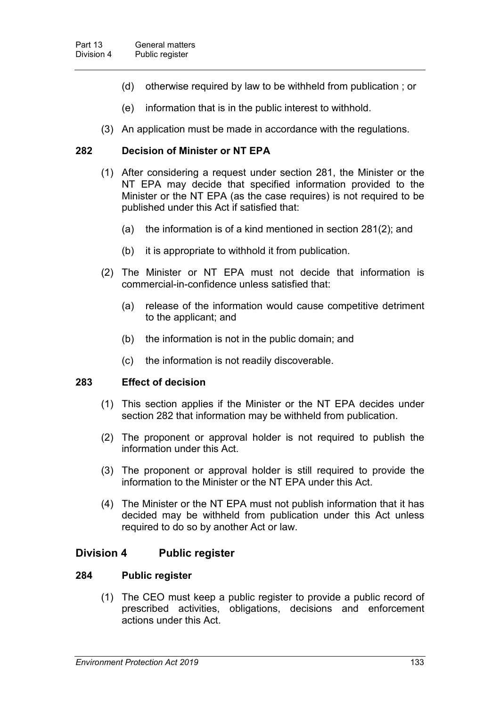- (d) otherwise required by law to be withheld from publication ; or
- (e) information that is in the public interest to withhold.
- (3) An application must be made in accordance with the regulations.

#### <span id="page-150-0"></span>**282 Decision of Minister or NT EPA**

- (1) After considering a request under section [281,](#page-149-0) the Minister or the NT EPA may decide that specified information provided to the Minister or the NT EPA (as the case requires) is not required to be published under this Act if satisfied that:
	- (a) the information is of a kind mentioned in section [281\(](#page-149-0)2); and
	- (b) it is appropriate to withhold it from publication.
- (2) The Minister or NT EPA must not decide that information is commercial-in-confidence unless satisfied that:
	- (a) release of the information would cause competitive detriment to the applicant; and
	- (b) the information is not in the public domain; and
	- (c) the information is not readily discoverable.

#### **283 Effect of decision**

- (1) This section applies if the Minister or the NT EPA decides under section [282](#page-150-0) that information may be withheld from publication.
- (2) The proponent or approval holder is not required to publish the information under this Act.
- (3) The proponent or approval holder is still required to provide the information to the Minister or the NT EPA under this Act.
- (4) The Minister or the NT EPA must not publish information that it has decided may be withheld from publication under this Act unless required to do so by another Act or law.

### **Division 4 Public register**

#### **284 Public register**

(1) The CEO must keep a public register to provide a public record of prescribed activities, obligations, decisions and enforcement actions under this Act.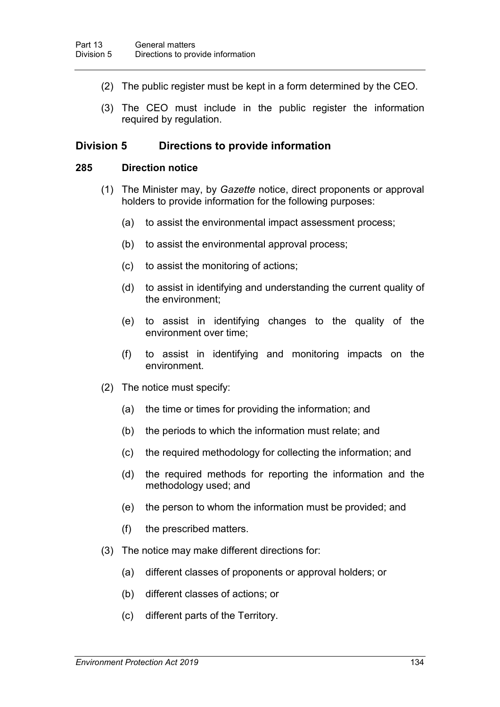- (2) The public register must be kept in a form determined by the CEO.
- (3) The CEO must include in the public register the information required by regulation.

### **Division 5 Directions to provide information**

#### **285 Direction notice**

- <span id="page-151-0"></span>(1) The Minister may, by *Gazette* notice, direct proponents or approval holders to provide information for the following purposes:
	- (a) to assist the environmental impact assessment process;
	- (b) to assist the environmental approval process;
	- (c) to assist the monitoring of actions;
	- (d) to assist in identifying and understanding the current quality of the environment;
	- (e) to assist in identifying changes to the quality of the environment over time;
	- (f) to assist in identifying and monitoring impacts on the environment.
- (2) The notice must specify:
	- (a) the time or times for providing the information; and
	- (b) the periods to which the information must relate; and
	- (c) the required methodology for collecting the information; and
	- (d) the required methods for reporting the information and the methodology used; and
	- (e) the person to whom the information must be provided; and
	- (f) the prescribed matters.
- (3) The notice may make different directions for:
	- (a) different classes of proponents or approval holders; or
	- (b) different classes of actions; or
	- (c) different parts of the Territory.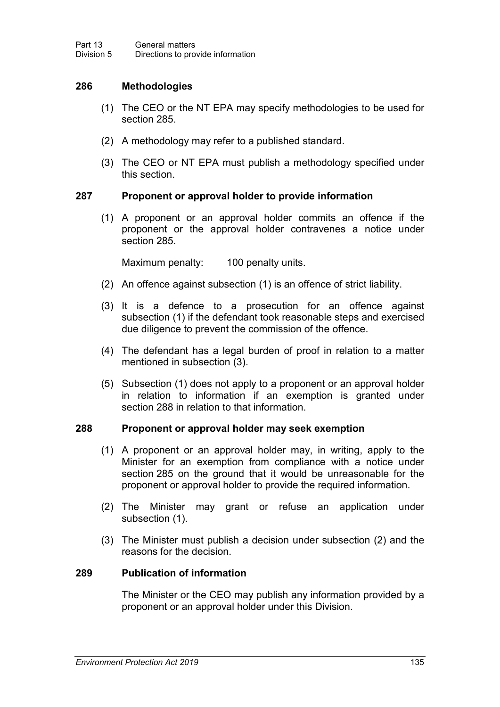### **286 Methodologies**

- (1) The CEO or the NT EPA may specify methodologies to be used for section [285.](#page-151-0)
- (2) A methodology may refer to a published standard.
- (3) The CEO or NT EPA must publish a methodology specified under this section.

### **287 Proponent or approval holder to provide information**

(1) A proponent or an approval holder commits an offence if the proponent or the approval holder contravenes a notice under section [285.](#page-151-0)

Maximum penalty: 100 penalty units.

- (2) An offence against subsection (1) is an offence of strict liability.
- (3) It is a defence to a prosecution for an offence against subsection (1) if the defendant took reasonable steps and exercised due diligence to prevent the commission of the offence.
- (4) The defendant has a legal burden of proof in relation to a matter mentioned in subsection (3).
- (5) Subsection (1) does not apply to a proponent or an approval holder in relation to information if an exemption is granted under section [288](#page-152-0) in relation to that information.

### <span id="page-152-0"></span>**288 Proponent or approval holder may seek exemption**

- (1) A proponent or an approval holder may, in writing, apply to the Minister for an exemption from compliance with a notice under section [285](#page-151-0) on the ground that it would be unreasonable for the proponent or approval holder to provide the required information.
- (2) The Minister may grant or refuse an application under subsection (1).
- (3) The Minister must publish a decision under subsection (2) and the reasons for the decision.

## **289 Publication of information**

The Minister or the CEO may publish any information provided by a proponent or an approval holder under this Division.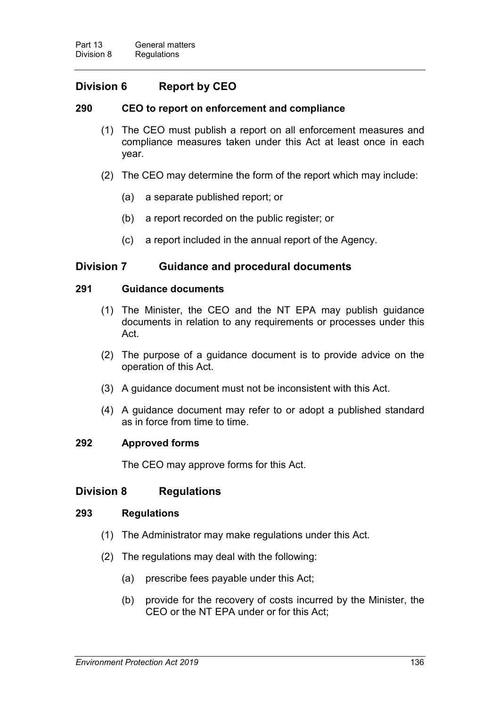## **Division 6 Report by CEO**

### **290 CEO to report on enforcement and compliance**

- (1) The CEO must publish a report on all enforcement measures and compliance measures taken under this Act at least once in each year.
- (2) The CEO may determine the form of the report which may include:
	- (a) a separate published report; or
	- (b) a report recorded on the public register; or
	- (c) a report included in the annual report of the Agency.

## **Division 7 Guidance and procedural documents**

#### **291 Guidance documents**

- (1) The Minister, the CEO and the NT EPA may publish guidance documents in relation to any requirements or processes under this Act.
- (2) The purpose of a guidance document is to provide advice on the operation of this Act.
- (3) A guidance document must not be inconsistent with this Act.
- (4) A guidance document may refer to or adopt a published standard as in force from time to time.

### **292 Approved forms**

The CEO may approve forms for this Act.

## **Division 8 Regulations**

#### **293 Regulations**

- <span id="page-153-0"></span>(1) The Administrator may make regulations under this Act.
- (2) The regulations may deal with the following:
	- (a) prescribe fees payable under this Act;
	- (b) provide for the recovery of costs incurred by the Minister, the CEO or the NT EPA under or for this Act;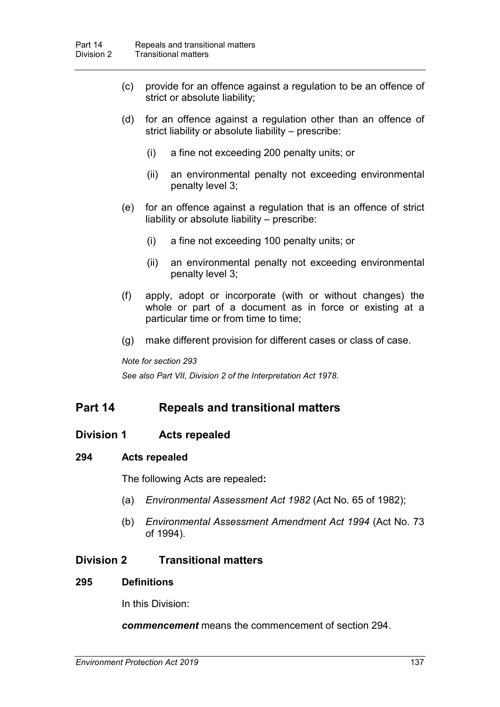- (c) provide for an offence against a regulation to be an offence of strict or absolute liability;
- (d) for an offence against a regulation other than an offence of strict liability or absolute liability – prescribe:
	- (i) a fine not exceeding 200 penalty units; or
	- (ii) an environmental penalty not exceeding environmental penalty level 3;
- (e) for an offence against a regulation that is an offence of strict liability or absolute liability – prescribe:
	- (i) a fine not exceeding 100 penalty units; or
	- (ii) an environmental penalty not exceeding environmental penalty level 3;
- (f) apply, adopt or incorporate (with or without changes) the whole or part of a document as in force or existing at a particular time or from time to time;
- (g) make different provision for different cases or class of case.

*Note for section [293](#page-153-0)*

*See also Part VII, Division 2 of the Interpretation Act 1978.*

## **Part 14 Repeals and transitional matters**

## **Division 1 Acts repealed**

### **294 Acts repealed**

<span id="page-154-0"></span>The following Acts are repealed**:**

- (a) *Environmental Assessment Act 1982* (Act No. 65 of 1982);
- (b) *Environmental Assessment Amendment Act 1994* (Act No. 73 of 1994).

### **Division 2 Transitional matters**

#### **295 Definitions**

In this Division:

*commencement* means the commencement of section [294.](#page-154-0)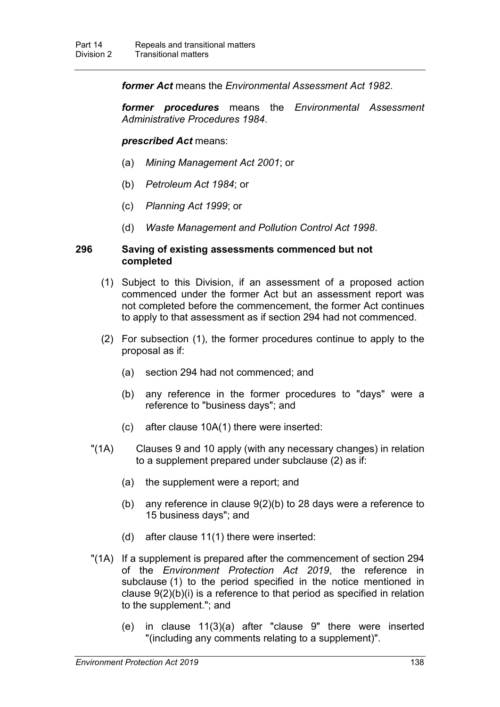*former Act* means the *Environmental Assessment Act 1982*.

*former procedures* means the *Environmental Assessment Administrative Procedures 1984*.

*prescribed Act* means:

- (a) *Mining Management Act 2001*; or
- (b) *Petroleum Act 1984*; or
- (c) *Planning Act 1999*; or
- (d) *Waste Management and Pollution Control Act 1998*.

#### **296 Saving of existing assessments commenced but not completed**

- (1) Subject to this Division, if an assessment of a proposed action commenced under the former Act but an assessment report was not completed before the commencement, the former Act continues to apply to that assessment as if section [294](#page-154-0) had not commenced.
- (2) For subsection (1), the former procedures continue to apply to the proposal as if:
	- (a) section [294](#page-154-0) had not commenced; and
	- (b) any reference in the former procedures to "days" were a reference to "business days"; and
	- (c) after clause 10A(1) there were inserted:
- "(1A) Clauses 9 and 10 apply (with any necessary changes) in relation to a supplement prepared under subclause (2) as if:
	- (a) the supplement were a report; and
	- (b) any reference in clause 9(2)(b) to 28 days were a reference to 15 business days"; and
	- (d) after clause 11(1) there were inserted:
- "(1A) If a supplement is prepared after the commencement of section [294](#page-154-0) of the *Environment Protection Act 2019*, the reference in subclause (1) to the period specified in the notice mentioned in clause 9(2)(b)(i) is a reference to that period as specified in relation to the supplement."; and
	- (e) in clause 11(3)(a) after "clause 9" there were inserted "(including any comments relating to a supplement)".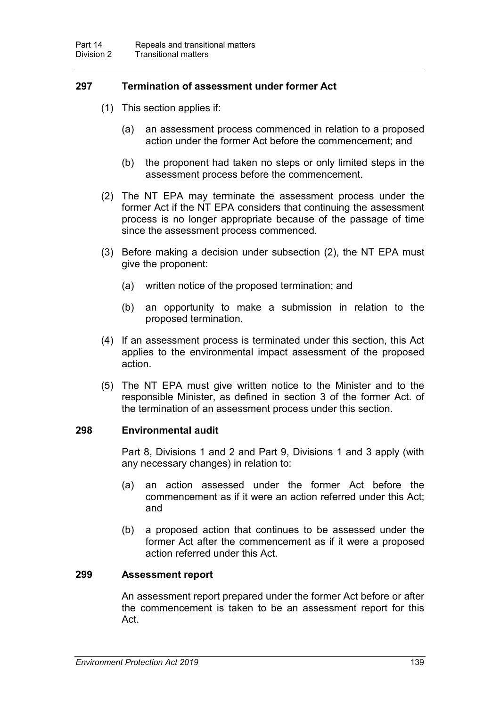### **297 Termination of assessment under former Act**

- (1) This section applies if:
	- (a) an assessment process commenced in relation to a proposed action under the former Act before the commencement; and
	- (b) the proponent had taken no steps or only limited steps in the assessment process before the commencement.
- (2) The NT EPA may terminate the assessment process under the former Act if the NT EPA considers that continuing the assessment process is no longer appropriate because of the passage of time since the assessment process commenced.
- (3) Before making a decision under subsection (2), the NT EPA must give the proponent:
	- (a) written notice of the proposed termination; and
	- (b) an opportunity to make a submission in relation to the proposed termination.
- (4) If an assessment process is terminated under this section, this Act applies to the environmental impact assessment of the proposed action.
- (5) The NT EPA must give written notice to the Minister and to the responsible Minister, as defined in section 3 of the former Act. of the termination of an assessment process under this section.

### **298 Environmental audit**

Part 8, Divisions 1 and 2 and Part 9, Divisions 1 and 3 apply (with any necessary changes) in relation to:

- (a) an action assessed under the former Act before the commencement as if it were an action referred under this Act; and
- (b) a proposed action that continues to be assessed under the former Act after the commencement as if it were a proposed action referred under this Act.

### **299 Assessment report**

An assessment report prepared under the former Act before or after the commencement is taken to be an assessment report for this Act.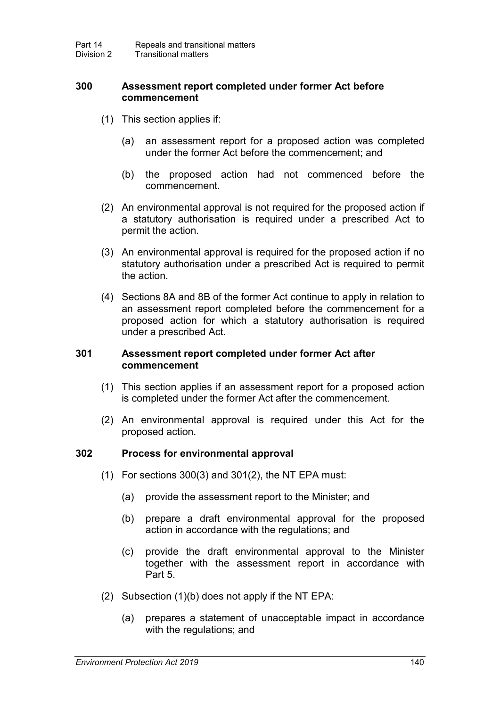### <span id="page-157-0"></span>**300 Assessment report completed under former Act before commencement**

- (1) This section applies if:
	- (a) an assessment report for a proposed action was completed under the former Act before the commencement; and
	- (b) the proposed action had not commenced before the commencement.
- (2) An environmental approval is not required for the proposed action if a statutory authorisation is required under a prescribed Act to permit the action.
- (3) An environmental approval is required for the proposed action if no statutory authorisation under a prescribed Act is required to permit the action.
- (4) Sections 8A and 8B of the former Act continue to apply in relation to an assessment report completed before the commencement for a proposed action for which a statutory authorisation is required under a prescribed Act.

#### <span id="page-157-1"></span>**301 Assessment report completed under former Act after commencement**

- (1) This section applies if an assessment report for a proposed action is completed under the former Act after the commencement.
- (2) An environmental approval is required under this Act for the proposed action.

### **302 Process for environmental approval**

- (1) For sections [300\(](#page-157-0)3) and [301\(](#page-157-1)2), the NT EPA must:
	- (a) provide the assessment report to the Minister; and
	- (b) prepare a draft environmental approval for the proposed action in accordance with the regulations; and
	- (c) provide the draft environmental approval to the Minister together with the assessment report in accordance with Part 5.
- (2) Subsection (1)(b) does not apply if the NT EPA:
	- (a) prepares a statement of unacceptable impact in accordance with the regulations; and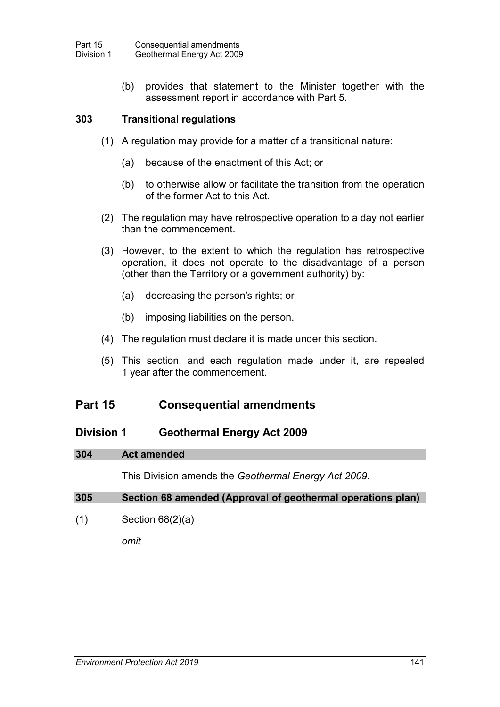(b) provides that statement to the Minister together with the assessment report in accordance with Part 5.

### **303 Transitional regulations**

- (1) A regulation may provide for a matter of a transitional nature:
	- (a) because of the enactment of this Act; or
	- (b) to otherwise allow or facilitate the transition from the operation of the former Act to this Act.
- (2) The regulation may have retrospective operation to a day not earlier than the commencement.
- (3) However, to the extent to which the regulation has retrospective operation, it does not operate to the disadvantage of a person (other than the Territory or a government authority) by:
	- (a) decreasing the person's rights; or
	- (b) imposing liabilities on the person.
- (4) The regulation must declare it is made under this section.
- (5) This section, and each regulation made under it, are repealed 1 year after the commencement.

## **Part 15 Consequential amendments**

## **Division 1 Geothermal Energy Act 2009**

#### **304 Act amended**

This Division amends the *Geothermal Energy Act 2009*.

### **305 Section 68 amended (Approval of geothermal operations plan)**

(1) Section 68(2)(a)

*omit*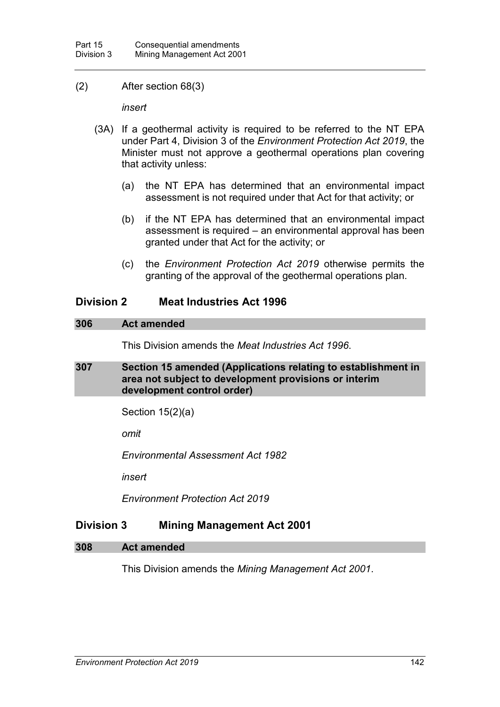### (2) After section 68(3)

*insert*

- (3A) If a geothermal activity is required to be referred to the NT EPA under Part 4, Division 3 of the *Environment Protection Act 2019*, the Minister must not approve a geothermal operations plan covering that activity unless:
	- (a) the NT EPA has determined that an environmental impact assessment is not required under that Act for that activity; or
	- (b) if the NT EPA has determined that an environmental impact assessment is required – an environmental approval has been granted under that Act for the activity; or
	- (c) the *Environment Protection Act 2019* otherwise permits the granting of the approval of the geothermal operations plan.

## **Division 2 Meat Industries Act 1996**

#### **306 Act amended**

This Division amends the *Meat Industries Act 1996*.

### **307 Section 15 amended (Applications relating to establishment in area not subject to development provisions or interim development control order)**

Section 15(2)(a)

*omit* 

*Environmental Assessment Act 1982*

*insert*

*Environment Protection Act 2019*

## **Division 3 Mining Management Act 2001**

#### **308 Act amended**

This Division amends the *Mining Management Act 2001*.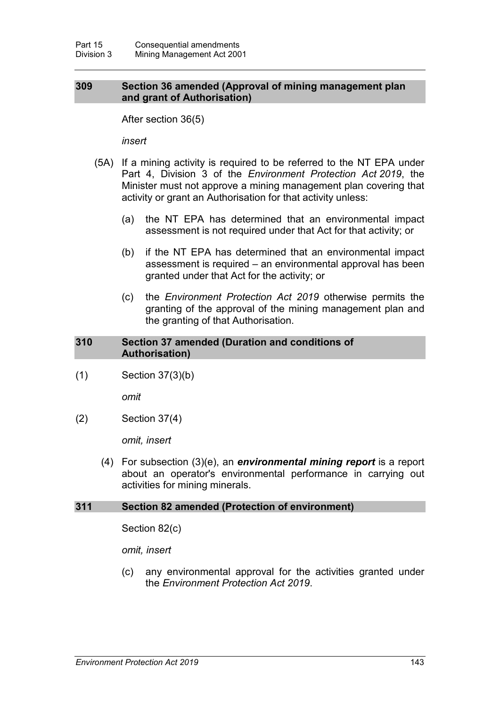#### **309 Section 36 amended (Approval of mining management plan and grant of Authorisation)**

After section 36(5)

*insert*

- (5A) If a mining activity is required to be referred to the NT EPA under Part 4, Division 3 of the *Environment Protection Act 2019*, the Minister must not approve a mining management plan covering that activity or grant an Authorisation for that activity unless:
	- (a) the NT EPA has determined that an environmental impact assessment is not required under that Act for that activity; or
	- (b) if the NT EPA has determined that an environmental impact assessment is required – an environmental approval has been granted under that Act for the activity; or
	- (c) the *Environment Protection Act 2019* otherwise permits the granting of the approval of the mining management plan and the granting of that Authorisation.

#### **310 Section 37 amended (Duration and conditions of Authorisation)**

(1) Section 37(3)(b)

*omit*

(2) Section 37(4)

*omit, insert*

(4) For subsection (3)(e), an *environmental mining report* is a report about an operator's environmental performance in carrying out activities for mining minerals.

### **311 Section 82 amended (Protection of environment)**

Section 82(c)

*omit, insert*

(c) any environmental approval for the activities granted under the *Environment Protection Act 2019*.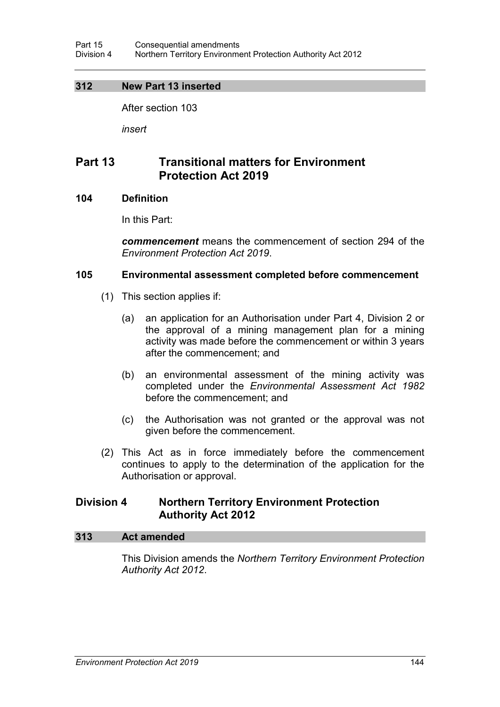### **312 New Part 13 inserted**

After section 103

*insert*

## **Part 13 Transitional matters for Environment Protection Act 2019**

### **104 Definition**

In this Part:

*commencement* means the commencement of section [294](#page-154-0) of the *Environment Protection Act 2019*.

### **105 Environmental assessment completed before commencement**

- (1) This section applies if:
	- (a) an application for an Authorisation under Part 4, Division 2 or the approval of a mining management plan for a mining activity was made before the commencement or within 3 years after the commencement; and
	- (b) an environmental assessment of the mining activity was completed under the *Environmental Assessment Act 1982*  before the commencement; and
	- (c) the Authorisation was not granted or the approval was not given before the commencement.
- (2) This Act as in force immediately before the commencement continues to apply to the determination of the application for the Authorisation or approval.

## **Division 4 Northern Territory Environment Protection Authority Act 2012**

### **313 Act amended**

This Division amends the *Northern Territory Environment Protection Authority Act 2012*.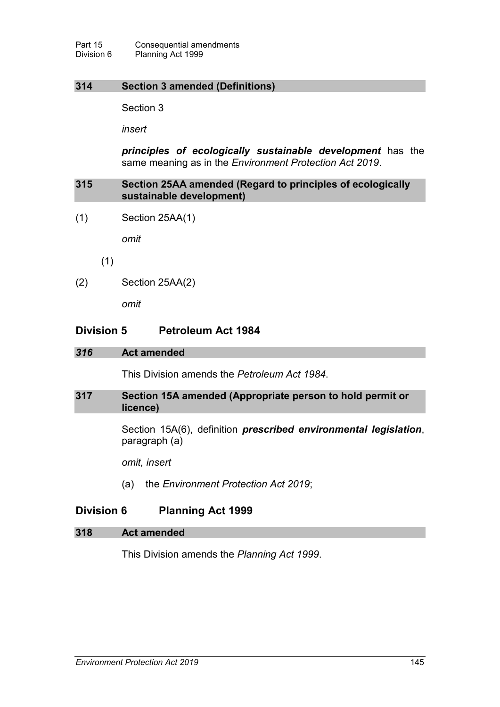## **314 Section 3 amended (Definitions)**

Section 3

*insert*

*principles of ecologically sustainable development* has the same meaning as in the *Environment Protection Act 2019*.

### **315 Section 25AA amended (Regard to principles of ecologically sustainable development)**

(1) Section 25AA(1)

*omit*

(1)

(2) Section 25AA(2)

*omit*

### **Division 5 Petroleum Act 1984**

#### *316* **Act amended**

This Division amends the *Petroleum Act 1984*.

#### **317 Section 15A amended (Appropriate person to hold permit or licence)**

Section 15A(6), definition *prescribed environmental legislation*, paragraph (a)

*omit, insert*

(a) the *Environment Protection Act 2019*;

## **Division 6 Planning Act 1999**

#### **318 Act amended**

This Division amends the *Planning Act 1999*.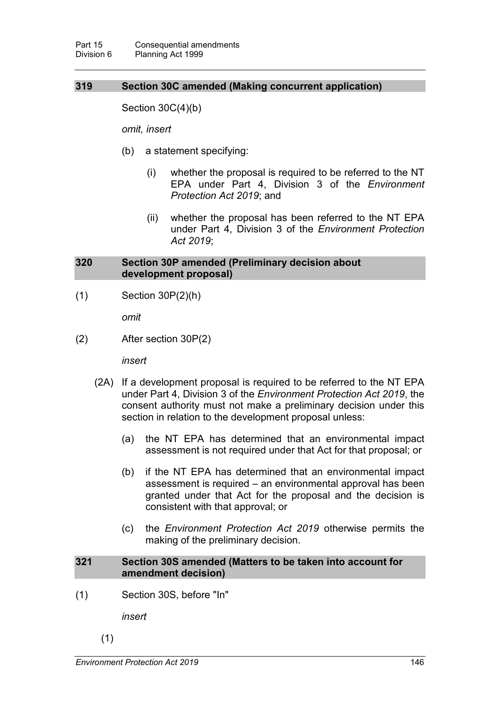### **319 Section 30C amended (Making concurrent application)**

Section 30C(4)(b)

*omit, insert*

- (b) a statement specifying:
	- (i) whether the proposal is required to be referred to the NT EPA under Part 4, Division 3 of the *Environment Protection Act 2019*; and
	- (ii) whether the proposal has been referred to the NT EPA under Part 4, Division 3 of the *Environment Protection Act 2019*;

### **320 Section 30P amended (Preliminary decision about development proposal)**

(1) Section 30P(2)(h)

*omit* 

(2) After section 30P(2)

*insert*

- (2A) If a development proposal is required to be referred to the NT EPA under Part 4, Division 3 of the *Environment Protection Act 2019*, the consent authority must not make a preliminary decision under this section in relation to the development proposal unless:
	- (a) the NT EPA has determined that an environmental impact assessment is not required under that Act for that proposal; or
	- (b) if the NT EPA has determined that an environmental impact assessment is required – an environmental approval has been granted under that Act for the proposal and the decision is consistent with that approval; or
	- (c) the *Environment Protection Act 2019* otherwise permits the making of the preliminary decision.

#### **321 Section 30S amended (Matters to be taken into account for amendment decision)**

(1) Section 30S, before "In"

*insert*

(1)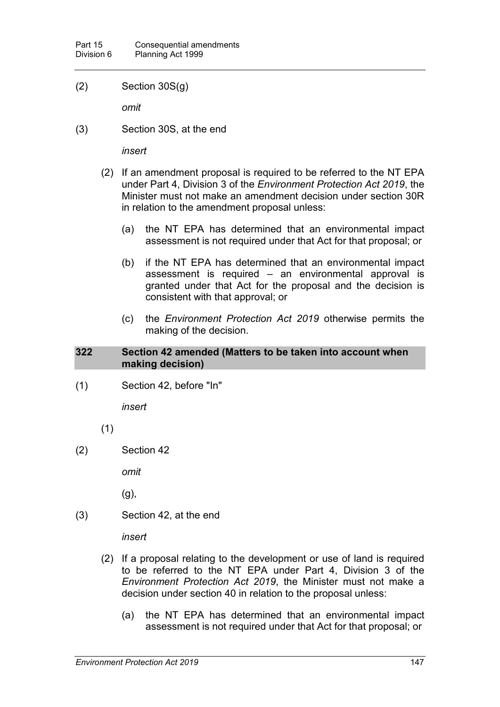(2) Section 30S(g)

*omit* 

(3) Section 30S, at the end

*insert*

- (2) If an amendment proposal is required to be referred to the NT EPA under Part 4, Division 3 of the *Environment Protection Act 2019*, the Minister must not make an amendment decision under section 30R in relation to the amendment proposal unless:
	- (a) the NT EPA has determined that an environmental impact assessment is not required under that Act for that proposal; or
	- (b) if the NT EPA has determined that an environmental impact assessment is required – an environmental approval is granted under that Act for the proposal and the decision is consistent with that approval; or
	- (c) the *Environment Protection Act 2019* otherwise permits the making of the decision.

#### **322 Section 42 amended (Matters to be taken into account when making decision)**

(1) Section 42, before "In"

*insert* 

(1)

(2) Section 42

*omit* 

(g),

(3) Section 42, at the end

*insert*

- (2) If a proposal relating to the development or use of land is required to be referred to the NT EPA under Part 4, Division 3 of the *Environment Protection Act 2019*, the Minister must not make a decision under section 40 in relation to the proposal unless:
	- (a) the NT EPA has determined that an environmental impact assessment is not required under that Act for that proposal; or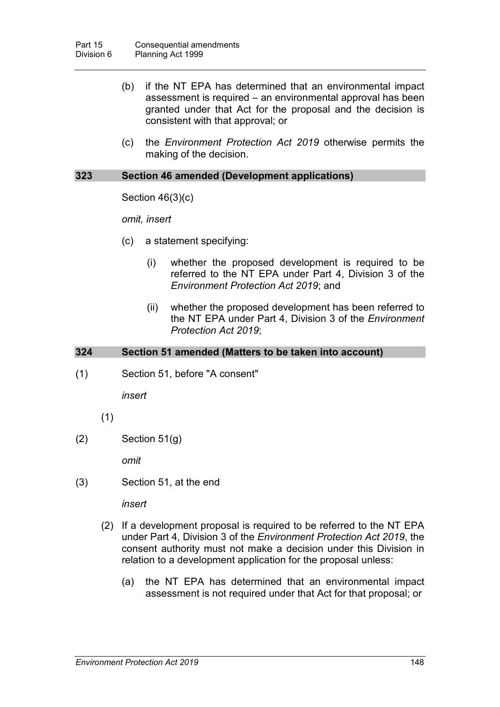- (b) if the NT EPA has determined that an environmental impact assessment is required – an environmental approval has been granted under that Act for the proposal and the decision is consistent with that approval; or
- (c) the *Environment Protection Act 2019* otherwise permits the making of the decision.

#### **323 Section 46 amended (Development applications)**

Section 46(3)(c)

*omit, insert*

- (c) a statement specifying:
	- (i) whether the proposed development is required to be referred to the NT EPA under Part 4, Division 3 of the *Environment Protection Act 2019*; and
	- (ii) whether the proposed development has been referred to the NT EPA under Part 4, Division 3 of the *Environment Protection Act 2019*;

#### **324 Section 51 amended (Matters to be taken into account)**

(1) Section 51, before "A consent"

*insert*

- (1)
- $(2)$  Section 51 $(g)$

*omit*

(3) Section 51, at the end

*insert*

- (2) If a development proposal is required to be referred to the NT EPA under Part 4, Division 3 of the *Environment Protection Act 2019*, the consent authority must not make a decision under this Division in relation to a development application for the proposal unless:
	- (a) the NT EPA has determined that an environmental impact assessment is not required under that Act for that proposal; or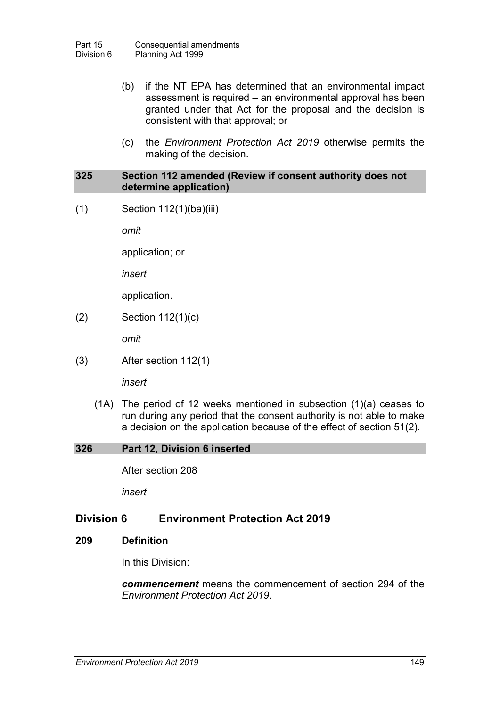- (b) if the NT EPA has determined that an environmental impact assessment is required – an environmental approval has been granted under that Act for the proposal and the decision is consistent with that approval; or
- (c) the *Environment Protection Act 2019* otherwise permits the making of the decision.

#### **325 Section 112 amended (Review if consent authority does not determine application)**

(1) Section 112(1)(ba)(iii)

*omit*

application; or

*insert*

application.

(2) Section 112(1)(c)

*omit*

(3) After section 112(1)

*insert*

(1A) The period of 12 weeks mentioned in subsection (1)(a) ceases to run during any period that the consent authority is not able to make a decision on the application because of the effect of section 51(2).

#### **326 Part 12, Division 6 inserted**

After section 208

*insert*

## **Division 6 Environment Protection Act 2019**

#### **209 Definition**

In this Division:

*commencement* means the commencement of section [294](#page-154-0) of the *Environment Protection Act 2019*.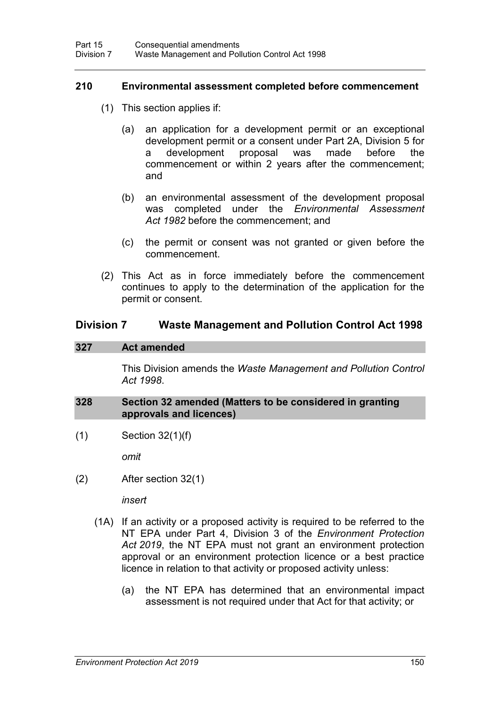#### **210 Environmental assessment completed before commencement**

- (1) This section applies if:
	- (a) an application for a development permit or an exceptional development permit or a consent under Part 2A, Division 5 for development proposal was made before the commencement or within 2 years after the commencement; and
	- (b) an environmental assessment of the development proposal was completed under the *Environmental Assessment Act 1982* before the commencement; and
	- (c) the permit or consent was not granted or given before the commencement.
- (2) This Act as in force immediately before the commencement continues to apply to the determination of the application for the permit or consent.

### **Division 7 Waste Management and Pollution Control Act 1998**

#### **327 Act amended**

This Division amends the *Waste Management and Pollution Control Act 1998*.

#### **328 Section 32 amended (Matters to be considered in granting approvals and licences)**

(1) Section 32(1)(f)

*omit*

(2) After section 32(1)

*insert*

- (1A) If an activity or a proposed activity is required to be referred to the NT EPA under Part 4, Division 3 of the *Environment Protection Act 2019*, the NT EPA must not grant an environment protection approval or an environment protection licence or a best practice licence in relation to that activity or proposed activity unless:
	- (a) the NT EPA has determined that an environmental impact assessment is not required under that Act for that activity; or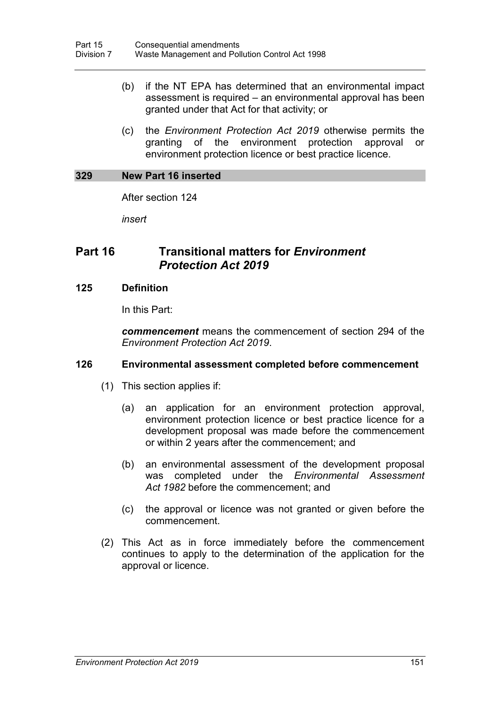- (b) if the NT EPA has determined that an environmental impact assessment is required – an environmental approval has been granted under that Act for that activity; or
- (c) the *Environment Protection Act 2019* otherwise permits the granting of the environment protection approval or environment protection licence or best practice licence.

#### **329 New Part 16 inserted**

After section 124

*insert*

## **Part 16 Transitional matters for** *Environment Protection Act 2019*

#### **125 Definition**

In this Part:

*commencement* means the commencement of section [294](#page-154-0) of the *Environment Protection Act 2019*.

### **126 Environmental assessment completed before commencement**

- (1) This section applies if:
	- (a) an application for an environment protection approval, environment protection licence or best practice licence for a development proposal was made before the commencement or within 2 years after the commencement; and
	- (b) an environmental assessment of the development proposal was completed under the *Environmental Assessment Act 1982* before the commencement; and
	- (c) the approval or licence was not granted or given before the commencement.
- (2) This Act as in force immediately before the commencement continues to apply to the determination of the application for the approval or licence.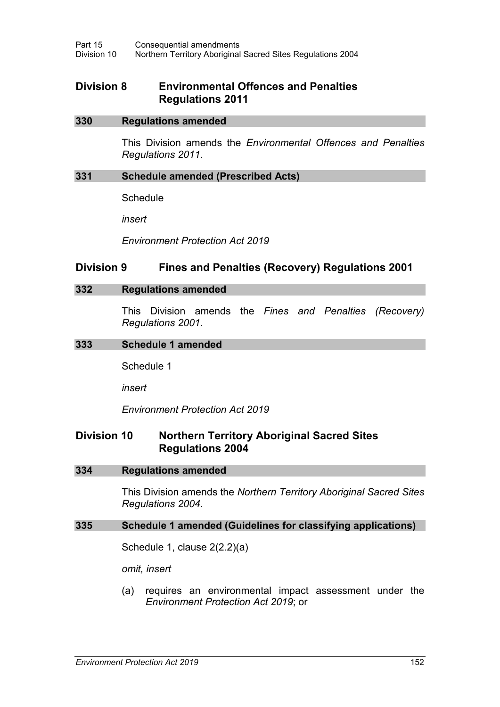## **Division 8 Environmental Offences and Penalties Regulations 2011**

#### **330 Regulations amended**

This Division amends the *Environmental Offences and Penalties Regulations 2011*.

#### **331 Schedule amended (Prescribed Acts)**

**Schedule** 

*insert*

*Environment Protection Act 2019*

### **Division 9 Fines and Penalties (Recovery) Regulations 2001**

#### **332 Regulations amended**

This Division amends the *Fines and Penalties (Recovery) Regulations 2001*.

#### **333 Schedule 1 amended**

Schedule 1

*insert*

*Environment Protection Act 2019*

## **Division 10 Northern Territory Aboriginal Sacred Sites Regulations 2004**

#### **334 Regulations amended**

This Division amends the *Northern Territory Aboriginal Sacred Sites Regulations 2004*.

### **335 Schedule 1 amended (Guidelines for classifying applications)**

Schedule 1, clause 2(2.2)(a)

*omit, insert*

(a) requires an environmental impact assessment under the *Environment Protection Act 2019*; or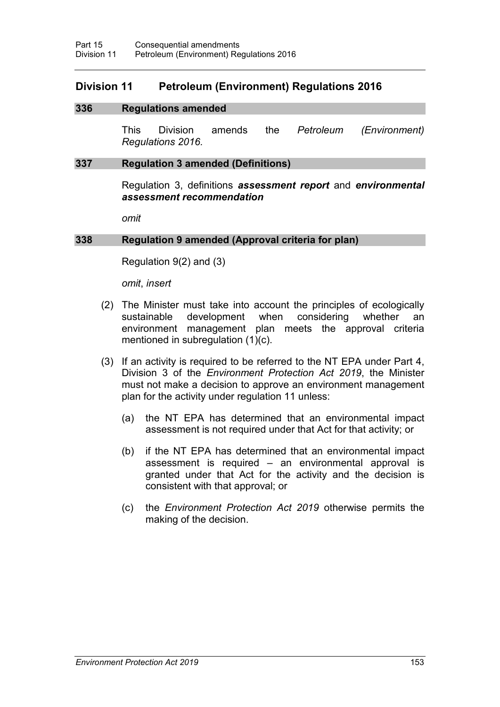## **Division 11 Petroleum (Environment) Regulations 2016**

#### **336 Regulations amended**

This Division amends the *Petroleum (Environment) Regulations 2016.*

#### **337 Regulation 3 amended (Definitions)**

Regulation 3, definitions *assessment report* and *environmental assessment recommendation*

*omit*

#### **338 Regulation 9 amended (Approval criteria for plan)**

Regulation 9(2) and (3)

*omit*, *insert*

- (2) The Minister must take into account the principles of ecologically sustainable development when considering whether an environment management plan meets the approval criteria mentioned in subregulation (1)(c).
- (3) If an activity is required to be referred to the NT EPA under Part 4, Division 3 of the *Environment Protection Act 2019*, the Minister must not make a decision to approve an environment management plan for the activity under regulation 11 unless:
	- (a) the NT EPA has determined that an environmental impact assessment is not required under that Act for that activity; or
	- (b) if the NT EPA has determined that an environmental impact assessment is required – an environmental approval is granted under that Act for the activity and the decision is consistent with that approval; or
	- (c) the *Environment Protection Act 2019* otherwise permits the making of the decision.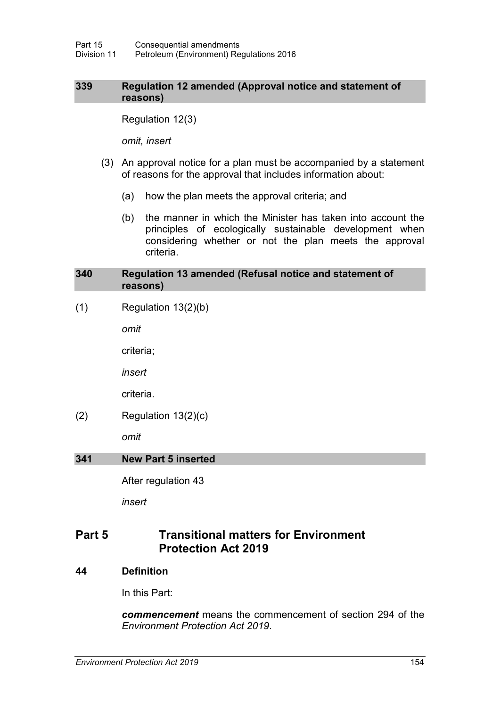### **339 Regulation 12 amended (Approval notice and statement of reasons)**

Regulation 12(3)

*omit, insert*

- (3) An approval notice for a plan must be accompanied by a statement of reasons for the approval that includes information about:
	- (a) how the plan meets the approval criteria; and
	- (b) the manner in which the Minister has taken into account the principles of ecologically sustainable development when considering whether or not the plan meets the approval criteria.

#### **340 Regulation 13 amended (Refusal notice and statement of reasons)**

 $(1)$  Regulation 13 $(2)(b)$ 

*omit*

criteria;

*insert*

criteria.

 $(2)$  Regulation 13 $(2)(c)$ 

*omit*

### **341 New Part 5 inserted**

After regulation 43

*insert*

## **Part 5 Transitional matters for Environment Protection Act 2019**

**44 Definition**

In this Part:

*commencement* means the commencement of section [294](#page-154-0) of the *Environment Protection Act 2019*.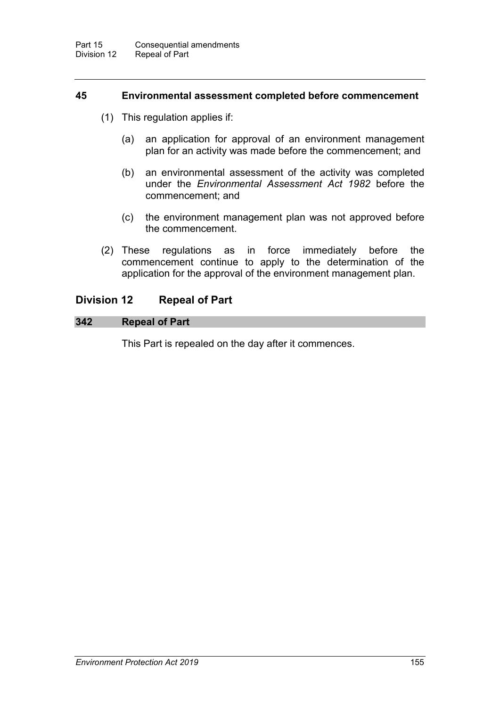#### **45 Environmental assessment completed before commencement**

- (1) This regulation applies if:
	- (a) an application for approval of an environment management plan for an activity was made before the commencement; and
	- (b) an environmental assessment of the activity was completed under the *Environmental Assessment Act 1982* before the commencement; and
	- (c) the environment management plan was not approved before the commencement.
- (2) These regulations as in force immediately before the commencement continue to apply to the determination of the application for the approval of the environment management plan.

### **Division 12 Repeal of Part**

## **342 Repeal of Part**

This Part is repealed on the day after it commences.